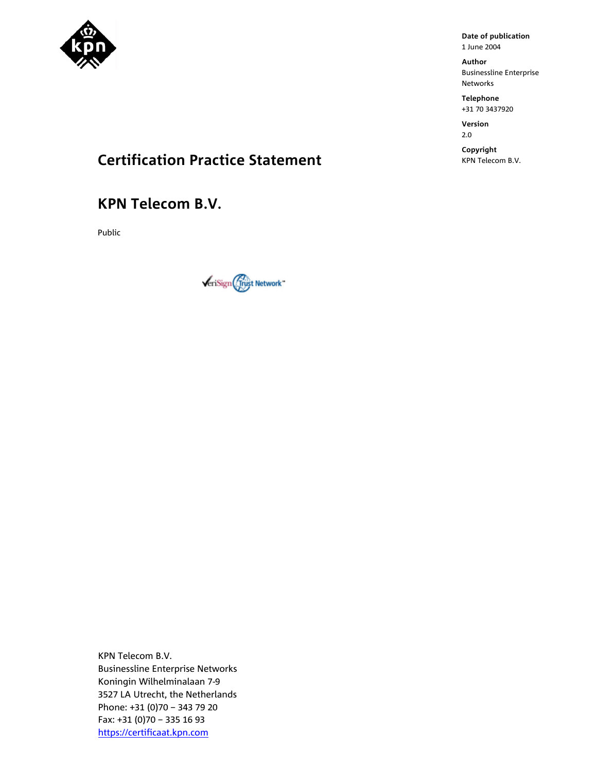

**Author**  Businessline Enterprise Networks

**Telephone**  +31 70 3437920

**Version**  2.0

**Copyright** 

## **Certification Practice Statement Certification Practice Statement**

### **KPN Telecom B.V.**

Public



KPN Telecom B.V. Businessline Enterprise Networks Koningin Wilhelminalaan 7-9 3527 LA Utrecht, the Netherlands Phone: +31 (0)70 – 343 79 20 Fax: +31 (0)70 – 335 16 93 https://certificaat.kpn.com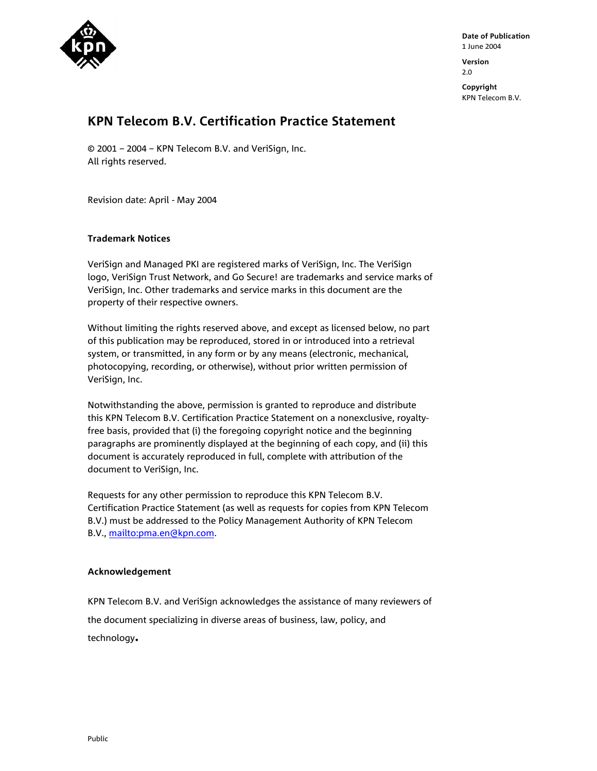

**Date of Publication**  1 June 2004 **Version** 

2.0

**Copyright**  KPN Telecom B.V.

### **KPN Telecom B.V. Certification Practice Statement**

© 2001 – 2004 – KPN Telecom B.V. and VeriSign, Inc. All rights reserved.

Revision date: April - May 2004

#### **Trademark Notices**

VeriSign and Managed PKI are registered marks of VeriSign, Inc. The VeriSign logo, VeriSign Trust Network, and Go Secure! are trademarks and service marks of VeriSign, Inc. Other trademarks and service marks in this document are the property of their respective owners.

Without limiting the rights reserved above, and except as licensed below, no part of this publication may be reproduced, stored in or introduced into a retrieval system, or transmitted, in any form or by any means (electronic, mechanical, photocopying, recording, or otherwise), without prior written permission of VeriSign, Inc.

Notwithstanding the above, permission is granted to reproduce and distribute this KPN Telecom B.V. Certification Practice Statement on a nonexclusive, royaltyfree basis, provided that (i) the foregoing copyright notice and the beginning paragraphs are prominently displayed at the beginning of each copy, and (ii) this document is accurately reproduced in full, complete with attribution of the document to VeriSign, Inc.

Requests for any other permission to reproduce this KPN Telecom B.V. Certification Practice Statement (as well as requests for copies from KPN Telecom B.V.) must be addressed to the Policy Management Authority of KPN Telecom B.V., mailto:pma.en@kpn.com.

#### **Acknowledgement**

KPN Telecom B.V. and VeriSign acknowledges the assistance of many reviewers of the document specializing in diverse areas of business, law, policy, and technology**.**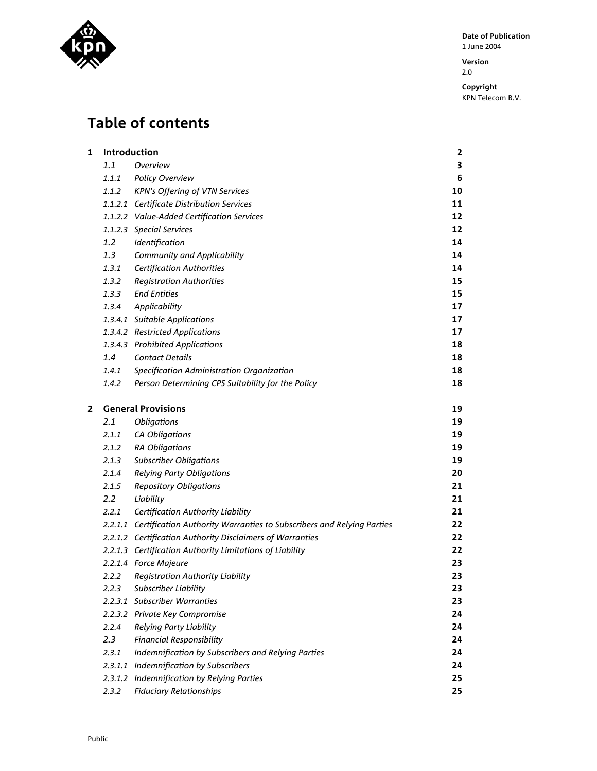

**Version**  2.0

**Copyright** 

KPN Telecom B.V.

# **Table of contents**

| 1 | Introduction     |                                                                               |    |  |  |
|---|------------------|-------------------------------------------------------------------------------|----|--|--|
|   | 1.1              | Overview                                                                      | 3  |  |  |
|   | 1.1.1            | Policy Overview                                                               | 6  |  |  |
|   | 1.1.2            | KPN's Offering of VTN Services                                                | 10 |  |  |
|   |                  | 1.1.2.1 Certificate Distribution Services                                     | 11 |  |  |
|   |                  | 1.1.2.2 Value-Added Certification Services                                    | 12 |  |  |
|   |                  | 1.1.2.3 Special Services                                                      | 12 |  |  |
|   | $1.2^{\circ}$    | Identification                                                                | 14 |  |  |
|   | 1.3              | <b>Community and Applicability</b>                                            | 14 |  |  |
|   | 1.3.1            | <b>Certification Authorities</b>                                              | 14 |  |  |
|   | 1.3.2            | <b>Registration Authorities</b>                                               | 15 |  |  |
|   | 1.3.3            | <b>End Entities</b>                                                           | 15 |  |  |
|   | 1.3.4            | Applicability                                                                 | 17 |  |  |
|   |                  | 1.3.4.1 Suitable Applications                                                 | 17 |  |  |
|   |                  | 1.3.4.2 Restricted Applications                                               | 17 |  |  |
|   |                  | 1.3.4.3 Prohibited Applications                                               | 18 |  |  |
|   | 1.4              | <b>Contact Details</b>                                                        | 18 |  |  |
|   | 1.4.1            | Specification Administration Organization                                     | 18 |  |  |
|   | 1.4.2            | Person Determining CPS Suitability for the Policy                             | 18 |  |  |
| 2 |                  | <b>General Provisions</b>                                                     | 19 |  |  |
|   | 2.1              | Obligations                                                                   | 19 |  |  |
|   | 2.1.1            | CA Obligations                                                                | 19 |  |  |
|   | 2.1.2            | <b>RA Obligations</b>                                                         | 19 |  |  |
|   | 2.1.3            | <b>Subscriber Obligations</b>                                                 | 19 |  |  |
|   | 2.1.4            | <b>Relying Party Obligations</b>                                              | 20 |  |  |
|   | 2.1.5            | <b>Repository Obligations</b>                                                 | 21 |  |  |
|   | $2.2\phantom{0}$ | Liability                                                                     | 21 |  |  |
|   | 2.2.1            | <b>Certification Authority Liability</b>                                      | 21 |  |  |
|   |                  | 2.2.1.1 Certification Authority Warranties to Subscribers and Relying Parties | 22 |  |  |
|   |                  | 2.2.1.2 Certification Authority Disclaimers of Warranties                     | 22 |  |  |
|   |                  | 2.2.1.3 Certification Authority Limitations of Liability                      | 22 |  |  |
|   |                  | 2.2.1.4 Force Majeure                                                         | 23 |  |  |
|   | 2.2.2            | Registration Authority Liability                                              | 23 |  |  |
|   | 2.2.3            | Subscriber Liability                                                          | 23 |  |  |
|   | 2.2.3.1          | <b>Subscriber Warranties</b>                                                  | 23 |  |  |
|   | 2.2.3.2          | Private Key Compromise                                                        | 24 |  |  |
|   | 2.2.4            | <b>Relying Party Liability</b>                                                | 24 |  |  |
|   | 2.3              | <b>Financial Responsibility</b>                                               | 24 |  |  |
|   | 2.3.1            | Indemnification by Subscribers and Relying Parties                            | 24 |  |  |
|   | 2.3.1.1          | Indemnification by Subscribers                                                | 24 |  |  |
|   |                  | 2.3.1.2 Indemnification by Relying Parties                                    | 25 |  |  |
|   | 2.3.2            | <b>Fiduciary Relationships</b>                                                | 25 |  |  |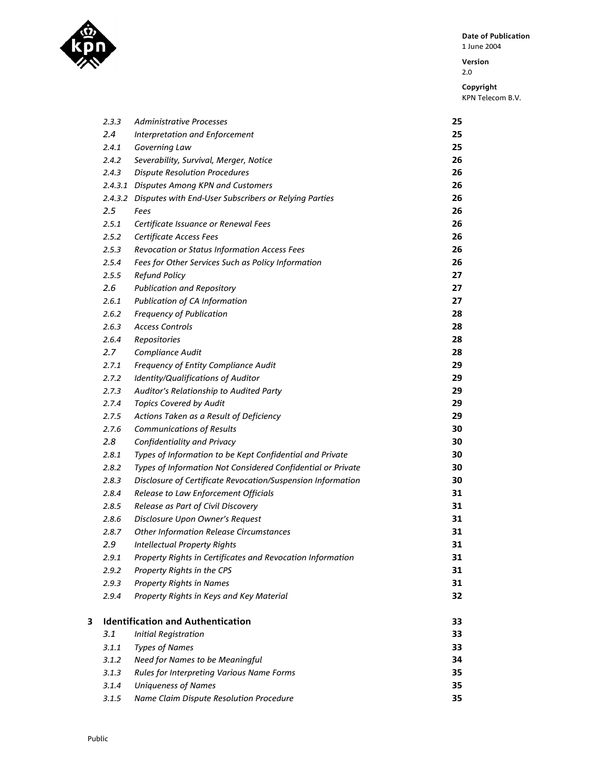

**Version**  2.0

|   | 2.3.3            | Administrative Processes                                      | 25 |
|---|------------------|---------------------------------------------------------------|----|
|   | 2.4              | Interpretation and Enforcement                                | 25 |
|   | 2.4.1            | Governing Law                                                 | 25 |
|   | 2.4.2            | Severability, Survival, Merger, Notice                        | 26 |
|   | 2.4.3            | <b>Dispute Resolution Procedures</b>                          | 26 |
|   |                  | 2.4.3.1 Disputes Among KPN and Customers                      | 26 |
|   |                  | 2.4.3.2 Disputes with End-User Subscribers or Relying Parties | 26 |
|   | $2.5\,$          | Fees                                                          | 26 |
|   | 2.5.1            | Certificate Issuance or Renewal Fees                          | 26 |
|   | 2.5.2            | Certificate Access Fees                                       | 26 |
|   | 2.5.3            | Revocation or Status Information Access Fees                  | 26 |
|   | 2.5.4            | Fees for Other Services Such as Policy Information            | 26 |
|   | 2.5.5            | <b>Refund Policy</b>                                          | 27 |
|   | 2.6              | <b>Publication and Repository</b>                             | 27 |
|   | 2.6.1            | Publication of CA Information                                 | 27 |
|   | 2.6.2            | <b>Frequency of Publication</b>                               | 28 |
|   | 2.6.3            | <b>Access Controls</b>                                        | 28 |
|   | 2.6.4            | Repositories                                                  | 28 |
|   | 2.7 <sub>2</sub> | Compliance Audit                                              | 28 |
|   | 2.7.1            | Frequency of Entity Compliance Audit                          | 29 |
|   | 2.7.2            | Identity/Qualifications of Auditor                            | 29 |
|   | 2.7.3            | Auditor's Relationship to Audited Party                       | 29 |
|   | 2.7.4            | <b>Topics Covered by Audit</b>                                | 29 |
|   | 2.7.5            | Actions Taken as a Result of Deficiency                       | 29 |
|   | 2.7.6            | <b>Communications of Results</b>                              | 30 |
|   | 2.8              | Confidentiality and Privacy                                   | 30 |
|   | 2.8.1            | Types of Information to be Kept Confidential and Private      | 30 |
|   | 2.8.2            | Types of Information Not Considered Confidential or Private   | 30 |
|   | 2.8.3            | Disclosure of Certificate Revocation/Suspension Information   | 30 |
|   | 2.8.4            | Release to Law Enforcement Officials                          | 31 |
|   | 2.8.5            | Release as Part of Civil Discovery                            | 31 |
|   | 2.8.6            | Disclosure Upon Owner's Request                               | 31 |
|   | 2.8.7            | <b>Other Information Release Circumstances</b>                | 31 |
|   | 2.9              | <b>Intellectual Property Rights</b>                           | 31 |
|   | 2.9.1            | Property Rights in Certificates and Revocation Information    | 31 |
|   | 2.9.2            | Property Rights in the CPS                                    | 31 |
|   | 2.9.3            | <b>Property Rights in Names</b>                               | 31 |
|   | 2.9.4            | Property Rights in Keys and Key Material                      | 32 |
| 3 |                  | <b>Identification and Authentication</b>                      | 33 |
|   | 3.1              | <b>Initial Registration</b>                                   | 33 |
|   | 3.1.1            | <b>Types of Names</b>                                         | 33 |
|   | 3.1.2            | Need for Names to be Meaningful                               | 34 |
|   | 3.1.3            | Rules for Interpreting Various Name Forms                     | 35 |
|   | 3.1.4            | <b>Uniqueness of Names</b>                                    | 35 |
|   | 3.1.5            | Name Claim Dispute Resolution Procedure                       | 35 |
|   |                  |                                                               |    |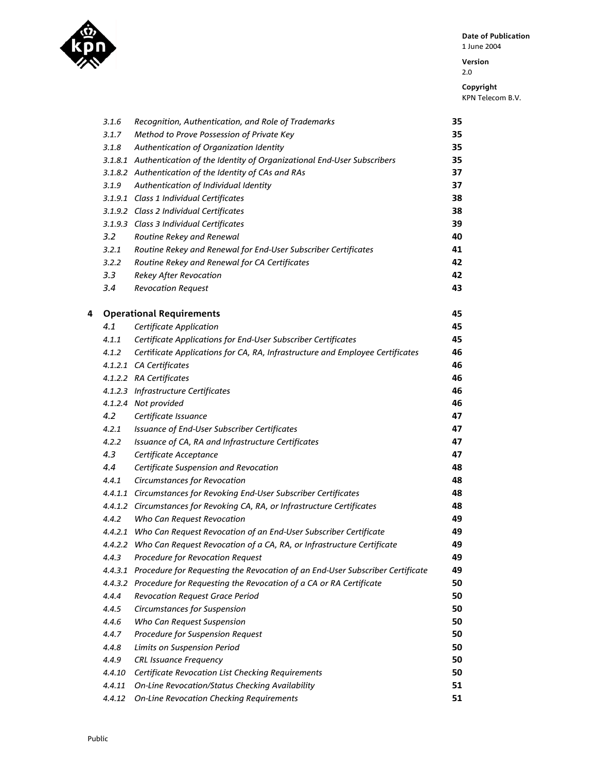

**Version**  2.0

|   | 3.1.6         | Recognition, Authentication, and Role of Trademarks                           | 35 |
|---|---------------|-------------------------------------------------------------------------------|----|
|   | 3.1.7         | Method to Prove Possession of Private Key                                     | 35 |
|   | 3.1.8         | Authentication of Organization Identity                                       | 35 |
|   |               | 3.1.8.1 Authentication of the Identity of Organizational End-User Subscribers | 35 |
|   |               | 3.1.8.2 Authentication of the Identity of CAs and RAs                         | 37 |
|   | 3.1.9         | Authentication of Individual Identity                                         | 37 |
|   |               | 3.1.9.1 Class 1 Individual Certificates                                       | 38 |
|   |               | 3.1.9.2 Class 2 Individual Certificates                                       | 38 |
|   |               | 3.1.9.3 Class 3 Individual Certificates                                       | 39 |
|   | $3.2^{\circ}$ | Routine Rekey and Renewal                                                     | 40 |
|   | 3.2.1         | Routine Rekey and Renewal for End-User Subscriber Certificates                | 41 |
|   | 3.2.2         | Routine Rekey and Renewal for CA Certificates                                 | 42 |
|   | 3.3           | <b>Rekey After Revocation</b>                                                 | 42 |
|   | 3.4           | <b>Revocation Request</b>                                                     | 43 |
| 4 |               | <b>Operational Requirements</b>                                               | 45 |
|   | 4.1           | <b>Certificate Application</b>                                                | 45 |
|   | 4.1.1         | Certificate Applications for End-User Subscriber Certificates                 | 45 |
|   | 4.1.2         | Certificate Applications for CA, RA, Infrastructure and Employee Certificates | 46 |
|   |               | 4.1.2.1 CA Certificates                                                       | 46 |
|   |               | 4.1.2.2 RA Certificates                                                       | 46 |
|   |               | 4.1.2.3 Infrastructure Certificates                                           | 46 |
|   |               | 4.1.2.4 Not provided                                                          | 46 |
|   | 4.2           | Certificate Issuance                                                          | 47 |
|   | 4.2.1         | Issuance of End-User Subscriber Certificates                                  | 47 |
|   | 4.2.2         | Issuance of CA, RA and Infrastructure Certificates                            | 47 |
|   | 4.3           | Certificate Acceptance                                                        | 47 |
|   | 4.4           | Certificate Suspension and Revocation                                         | 48 |
|   | 4.4.1         | Circumstances for Revocation                                                  | 48 |
|   |               | 4.4.1.1 Circumstances for Revoking End-User Subscriber Certificates           | 48 |
|   |               | 4.4.1.2 Circumstances for Revoking CA, RA, or Infrastructure Certificates     | 48 |
|   | 4.4.2         | Who Can Request Revocation                                                    | 49 |
|   |               | 4.4.2.1 Who Can Request Revocation of an End-User Subscriber Certificate      | 49 |
|   |               | 4.4.2.2 Who Can Request Revocation of a CA, RA, or Infrastructure Certificate | 49 |
|   | 4.4.3         | Procedure for Revocation Request                                              | 49 |
|   | 4.4.3.1       | Procedure for Requesting the Revocation of an End-User Subscriber Certificate | 49 |
|   | 4.4.3.2       | Procedure for Requesting the Revocation of a CA or RA Certificate             | 50 |
|   | 4.4.4         | Revocation Request Grace Period                                               | 50 |
|   | 4.4.5         | Circumstances for Suspension                                                  | 50 |
|   | 4.4.6         | Who Can Request Suspension                                                    | 50 |
|   | 4.4.7         | Procedure for Suspension Request                                              | 50 |
|   | 4.4.8         |                                                                               | 50 |
|   | 4.4.9         | Limits on Suspension Period                                                   | 50 |
|   | 4.4.10        | <b>CRL Issuance Frequency</b>                                                 | 50 |
|   |               | Certificate Revocation List Checking Requirements                             | 51 |
|   | 4.4.11        | On-Line Revocation/Status Checking Availability                               |    |
|   | 4.4.12        | <b>On-Line Revocation Checking Requirements</b>                               | 51 |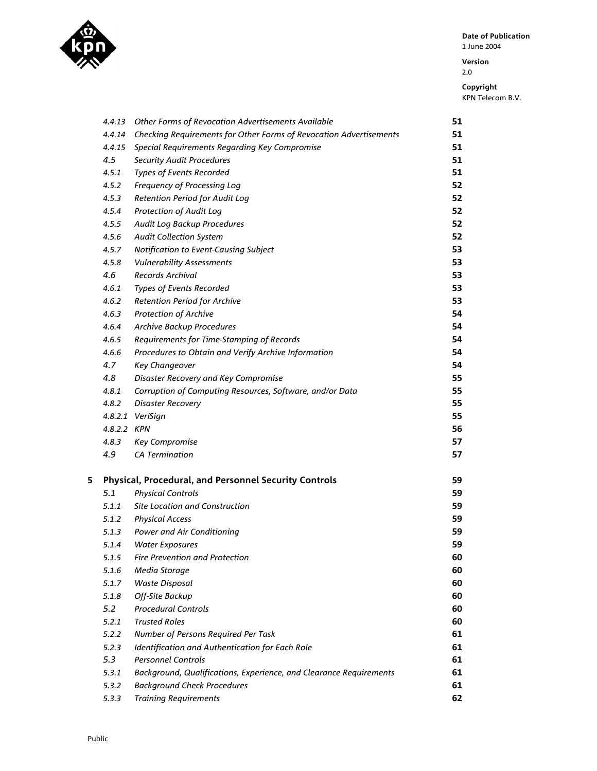

**Version**  2.0

|   | 4.4.13      | Other Forms of Revocation Advertisements Available                 | 51 |
|---|-------------|--------------------------------------------------------------------|----|
|   | 4.4.14      | Checking Requirements for Other Forms of Revocation Advertisements | 51 |
|   | 4.4.15      | Special Requirements Regarding Key Compromise                      | 51 |
|   | 4.5         | <b>Security Audit Procedures</b>                                   | 51 |
|   | 4.5.1       | Types of Events Recorded                                           | 51 |
|   | 4.5.2       | Frequency of Processing Log                                        | 52 |
|   | 4.5.3       | Retention Period for Audit Log                                     | 52 |
|   | 4.5.4       | Protection of Audit Log                                            | 52 |
|   | 4.5.5       | Audit Log Backup Procedures                                        | 52 |
|   | 4.5.6       | <b>Audit Collection System</b>                                     | 52 |
|   | 4.5.7       | Notification to Event-Causing Subject                              | 53 |
|   | 4.5.8       | <b>Vulnerability Assessments</b>                                   | 53 |
|   | 4.6         | <b>Records Archival</b>                                            | 53 |
|   | 4.6.1       | Types of Events Recorded                                           | 53 |
|   | 4.6.2       | Retention Period for Archive                                       | 53 |
|   | 4.6.3       | Protection of Archive                                              | 54 |
|   | 4.6.4       | <b>Archive Backup Procedures</b>                                   | 54 |
|   | 4.6.5       | Requirements for Time-Stamping of Records                          | 54 |
|   | 4.6.6       | Procedures to Obtain and Verify Archive Information                | 54 |
|   | 4.7         | <b>Key Changeover</b>                                              | 54 |
|   | 4.8         | Disaster Recovery and Key Compromise                               | 55 |
|   | 4.8.1       | Corruption of Computing Resources, Software, and/or Data           | 55 |
|   | 4.8.2       | Disaster Recovery                                                  | 55 |
|   |             | 4.8.2.1 VeriSign                                                   | 55 |
|   | 4.8.2.2 KPN |                                                                    | 56 |
|   | 4.8.3       | <b>Key Compromise</b>                                              | 57 |
|   | 4.9         | <b>CA Termination</b>                                              | 57 |
|   |             |                                                                    |    |
| 5 |             | Physical, Procedural, and Personnel Security Controls              | 59 |
|   | 5.1         | <b>Physical Controls</b>                                           | 59 |
|   | 5.1.1       | Site Location and Construction                                     | 59 |
|   | 5.1.2       | <b>Physical Access</b>                                             | 59 |
|   | 5.1.3       | Power and Air Conditioning                                         | 59 |
|   | 5.1.4       | <b>Water Exposures</b>                                             | 59 |
|   | 5.1.5       | <b>Fire Prevention and Protection</b>                              | 60 |
|   | 5.1.6       | Media Storage                                                      | 60 |
|   | 5.1.7       | <b>Waste Disposal</b>                                              | 60 |
|   | 5.1.8       | Off-Site Backup                                                    | 60 |
|   | 5.2         | <b>Procedural Controls</b>                                         | 60 |
|   | 5.2.1       | <b>Trusted Roles</b>                                               | 60 |
|   | 5.2.2       | Number of Persons Required Per Task                                | 61 |
|   | 5.2.3       | Identification and Authentication for Each Role                    | 61 |
|   | 5.3         | <b>Personnel Controls</b>                                          | 61 |
|   | 5.3.1       | Background, Qualifications, Experience, and Clearance Requirements | 61 |
|   | 5.3.2       | <b>Background Check Procedures</b>                                 | 61 |
|   | 5.3.3       | <b>Training Requirements</b>                                       | 62 |
|   |             |                                                                    |    |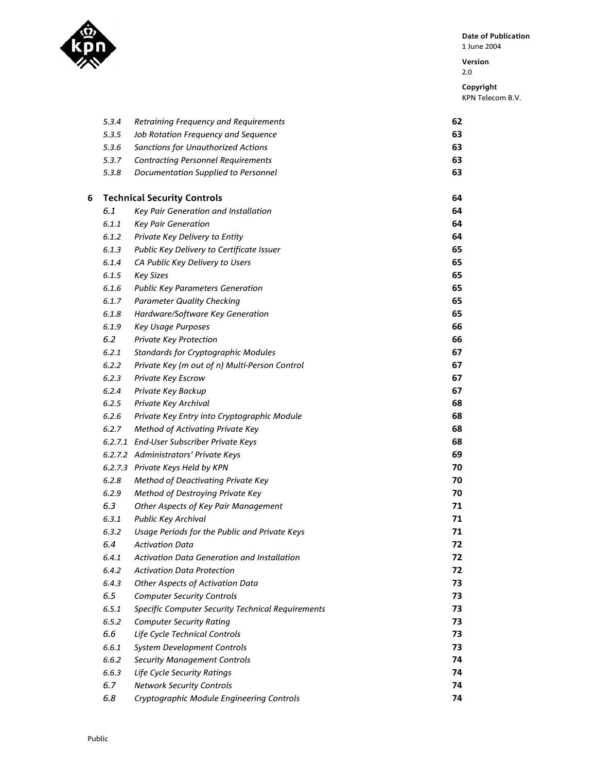

**Version** 

2.0

**Copyright**  KPN Telecom B.V.

|   | 5.3.4 | Retraining Frequency and Requirements             | 62 |
|---|-------|---------------------------------------------------|----|
|   | 5.3.5 | Job Rotation Frequency and Sequence               | 63 |
|   | 5.3.6 | <b>Sanctions for Unauthorized Actions</b>         | 63 |
|   | 5.3.7 | <b>Contracting Personnel Requirements</b>         | 63 |
|   | 5.3.8 | Documentation Supplied to Personnel               | 63 |
| 6 |       | <b>Technical Security Controls</b>                | 64 |
|   | 6.1   | Key Pair Generation and Installation              | 64 |
|   | 6.1.1 | <b>Key Pair Generation</b>                        | 64 |
|   | 6.1.2 | Private Key Delivery to Entity                    | 64 |
|   | 6.1.3 | Public Key Delivery to Certificate Issuer         | 65 |
|   | 6.1.4 | CA Public Key Delivery to Users                   | 65 |
|   | 6.1.5 | <b>Key Sizes</b>                                  | 65 |
|   | 6.1.6 | <b>Public Key Parameters Generation</b>           | 65 |
|   | 6.1.7 | <b>Parameter Quality Checking</b>                 | 65 |
|   | 6.1.8 | Hardware/Software Key Generation                  | 65 |
|   | 6.1.9 | Key Usage Purposes                                | 66 |
|   | 6.2   | Private Key Protection                            | 66 |
|   | 6.2.1 | <b>Standards for Cryptographic Modules</b>        | 67 |
|   | 6.2.2 | Private Key (m out of n) Multi-Person Control     | 67 |
|   | 6.2.3 | Private Key Escrow                                | 67 |
|   | 6.2.4 | Private Key Backup                                | 67 |
|   | 6.2.5 | Private Key Archival                              | 68 |
|   | 6.2.6 | Private Key Entry into Cryptographic Module       | 68 |
|   | 6.2.7 | Method of Activating Private Key                  | 68 |
|   |       | 6.2.7.1 End-User Subscriber Private Keys          | 68 |
|   |       | 6.2.7.2 Administrators' Private Keys              | 69 |
|   |       | 6.2.7.3 Private Keys Held by KPN                  | 70 |
|   | 6.2.8 | Method of Deactivating Private Key                | 70 |
|   | 6.2.9 | Method of Destroying Private Key                  | 70 |
|   | 6.3   | Other Aspects of Key Pair Management              | 71 |
|   | 6.3.1 | Public Key Archival                               | 71 |
|   | 6.3.2 | Usage Periods for the Public and Private Keys     | 71 |
|   | 6.4   | <b>Activation Data</b>                            | 72 |
|   | 6.4.1 | Activation Data Generation and Installation       | 72 |
|   | 6.4.2 | <b>Activation Data Protection</b>                 | 72 |
|   | 6.4.3 | <b>Other Aspects of Activation Data</b>           | 73 |
|   | 6.5   | <b>Computer Security Controls</b>                 | 73 |
|   | 6.5.1 | Specific Computer Security Technical Requirements | 73 |
|   | 6.5.2 | <b>Computer Security Rating</b>                   | 73 |
|   | 6.6   | Life Cycle Technical Controls                     | 73 |
|   | 6.6.1 | System Development Controls                       | 73 |
|   | 6.6.2 | <b>Security Management Controls</b>               | 74 |
|   | 6.6.3 | Life Cycle Security Ratings                       | 74 |
|   | 6.7   | <b>Network Security Controls</b>                  | 74 |
|   |       |                                                   |    |

*6.8 Cryptographic Module Engineering Controls* **74**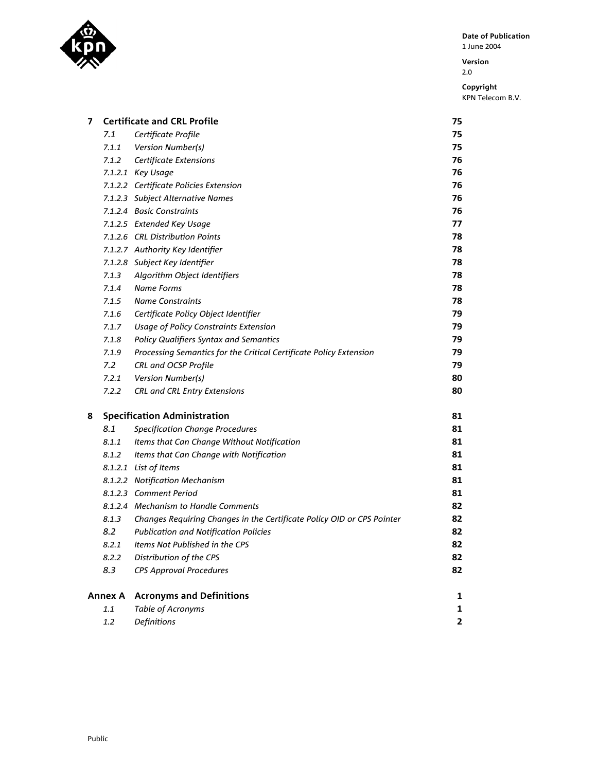

**Version**  2.0

| 7 |                | <b>Certificate and CRL Profile</b>                                     | 75                      |
|---|----------------|------------------------------------------------------------------------|-------------------------|
|   | 7.1            | Certificate Profile                                                    | 75                      |
|   | 7.1.1          | Version Number(s)                                                      | 75                      |
|   |                | 7.1.2 Certificate Extensions                                           | 76                      |
|   |                | 7.1.2.1 Key Usage                                                      | 76                      |
|   |                | 7.1.2.2 Certificate Policies Extension                                 | 76                      |
|   |                | 7.1.2.3 Subject Alternative Names                                      | 76                      |
|   |                | 7.1.2.4 Basic Constraints                                              | 76                      |
|   |                | 7.1.2.5 Extended Key Usage                                             | 77                      |
|   |                | 7.1.2.6 CRL Distribution Points                                        | 78                      |
|   |                | 7.1.2.7 Authority Key Identifier                                       | 78                      |
|   |                | 7.1.2.8 Subject Key Identifier                                         | 78                      |
|   | 7.1.3          | Algorithm Object Identifiers                                           | 78                      |
|   | 7.1.4          | <b>Name Forms</b>                                                      | 78                      |
|   | 7.1.5          | <b>Name Constraints</b>                                                | 78                      |
|   | 7.1.6          | Certificate Policy Object Identifier                                   | 79                      |
|   | 7.1.7          | <b>Usage of Policy Constraints Extension</b>                           | 79                      |
|   | 7.1.8          | <b>Policy Qualifiers Syntax and Semantics</b>                          | 79                      |
|   | 7.1.9          | Processing Semantics for the Critical Certificate Policy Extension     | 79                      |
|   | 7.2            | CRL and OCSP Profile                                                   | 79                      |
|   | 7.2.1          | Version Number(s)                                                      | 80                      |
|   | 7.2.2          | CRL and CRL Entry Extensions                                           | 80                      |
| 8 |                | <b>Specification Administration</b>                                    | 81                      |
|   | 8.1            | <b>Specification Change Procedures</b>                                 | 81                      |
|   | 8.1.1          | Items that Can Change Without Notification                             | 81                      |
|   | 8.1.2          | Items that Can Change with Notification                                | 81                      |
|   |                | 8.1.2.1 List of Items                                                  | 81                      |
|   |                | 8.1.2.2 Notification Mechanism                                         | 81                      |
|   |                | 8.1.2.3 Comment Period                                                 | 81                      |
|   |                | 8.1.2.4 Mechanism to Handle Comments                                   | 82                      |
|   | 8.1.3          | Changes Requiring Changes in the Certificate Policy OID or CPS Pointer | 82                      |
|   | 8.2            | <b>Publication and Notification Policies</b>                           | 82                      |
|   | 8.2.1          | Items Not Published in the CPS                                         | 82                      |
|   | 8.2.2          | Distribution of the CPS                                                | 82                      |
|   | 8.3            | <b>CPS Approval Procedures</b>                                         | 82                      |
|   | <b>Annex A</b> | <b>Acronyms and Definitions</b>                                        | 1                       |
|   | $1.1\,$        | Table of Acronyms                                                      | 1                       |
|   | $1.2\,$        | Definitions                                                            | $\overline{\mathbf{2}}$ |
|   |                |                                                                        |                         |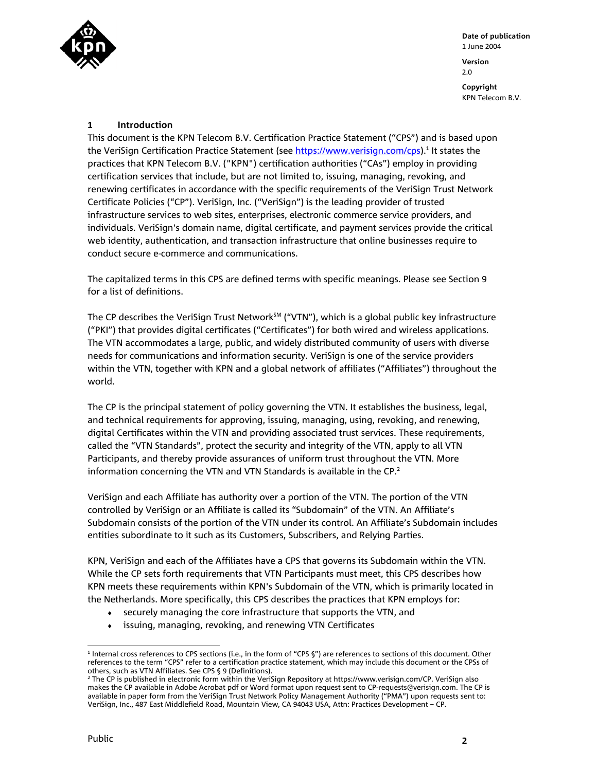

#### **1 Introduction**

This document is the KPN Telecom B.V. Certification Practice Statement ("CPS") and is based upon the VeriSign Certification Practice Statement (see <u>https://www.verisign.com/cps</u>).<sup>1</sup> It states the practices that KPN Telecom B.V. ("KPN") certification authorities ("CAs") employ in providing certification services that include, but are not limited to, issuing, managing, revoking, and renewing certificates in accordance with the specific requirements of the VeriSign Trust Network Certificate Policies ("CP"). VeriSign, Inc. ("VeriSign") is the leading provider of trusted infrastructure services to web sites, enterprises, electronic commerce service providers, and individuals. VeriSign's domain name, digital certificate, and payment services provide the critical web identity, authentication, and transaction infrastructure that online businesses require to conduct secure e-commerce and communications.

The capitalized terms in this CPS are defined terms with specific meanings. Please see Section 9 for a list of definitions.

The CP describes the VeriSign Trust Network<sup>SM</sup> ("VTN"), which is a global public key infrastructure ("PKI") that provides digital certificates ("Certificates") for both wired and wireless applications. The VTN accommodates a large, public, and widely distributed community of users with diverse needs for communications and information security. VeriSign is one of the service providers within the VTN, together with KPN and a global network of affiliates ("Affiliates") throughout the world.

The CP is the principal statement of policy governing the VTN. It establishes the business, legal, and technical requirements for approving, issuing, managing, using, revoking, and renewing, digital Certificates within the VTN and providing associated trust services. These requirements, called the "VTN Standards", protect the security and integrity of the VTN, apply to all VTN Participants, and thereby provide assurances of uniform trust throughout the VTN. More information concerning the VTN and VTN Standards is available in the CP.<sup>2</sup>

VeriSign and each Affiliate has authority over a portion of the VTN. The portion of the VTN controlled by VeriSign or an Affiliate is called its "Subdomain" of the VTN. An Affiliate's Subdomain consists of the portion of the VTN under its control. An Affiliate's Subdomain includes entities subordinate to it such as its Customers, Subscribers, and Relying Parties.

KPN, VeriSign and each of the Affiliates have a CPS that governs its Subdomain within the VTN. While the CP sets forth requirements that VTN Participants must meet, this CPS describes how KPN meets these requirements within KPN's Subdomain of the VTN, which is primarily located in the Netherlands. More specifically, this CPS describes the practices that KPN employs for:

- ♦ securely managing the core infrastructure that supports the VTN, and
- ♦ issuing, managing, revoking, and renewing VTN Certificates

 $\overline{a}$ 1 Internal cross references to CPS sections (i.e., in the form of "CPS §") are references to sections of this document. Other references to the term "CPS" refer to a certification practice statement, which may include this document or the CPSs of others, such as VTN Affiliates. See CPS § 9 (Definitions).

<sup>2</sup> The CP is published in electronic form within the VeriSign Repository at https://www.verisign.com/CP. VeriSign also makes the CP available in Adobe Acrobat pdf or Word format upon request sent to CP-requests@verisign.com. The CP is available in paper form from the VeriSign Trust Network Policy Management Authority ("PMA") upon requests sent to: VeriSign, Inc., 487 East Middlefield Road, Mountain View, CA 94043 USA, Attn: Practices Development – CP.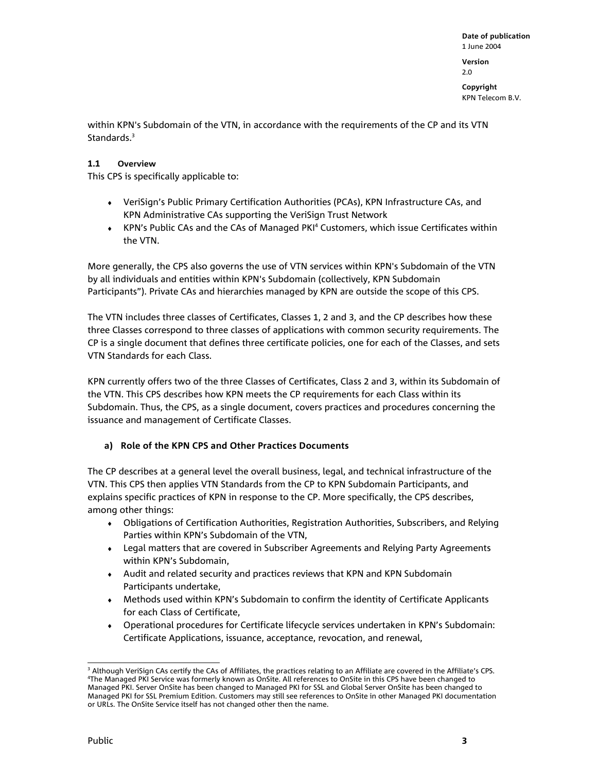2.0

**Copyright**  KPN Telecom B.V.

within KPN's Subdomain of the VTN, in accordance with the requirements of the CP and its VTN Standards.<sup>3</sup>

#### **1.1 Overview**

This CPS is specifically applicable to:

- ♦ VeriSign's Public Primary Certification Authorities (PCAs), KPN Infrastructure CAs, and KPN Administrative CAs supporting the VeriSign Trust Network
- ◆ KPN's Public CAs and the CAs of Managed PKI<sup>4</sup> Customers, which issue Certificates within the VTN.

More generally, the CPS also governs the use of VTN services within KPN's Subdomain of the VTN by all individuals and entities within KPN's Subdomain (collectively, KPN Subdomain Participants"). Private CAs and hierarchies managed by KPN are outside the scope of this CPS.

The VTN includes three classes of Certificates, Classes 1, 2 and 3, and the CP describes how these three Classes correspond to three classes of applications with common security requirements. The CP is a single document that defines three certificate policies, one for each of the Classes, and sets VTN Standards for each Class.

KPN currently offers two of the three Classes of Certificates, Class 2 and 3, within its Subdomain of the VTN. This CPS describes how KPN meets the CP requirements for each Class within its Subdomain. Thus, the CPS, as a single document, covers practices and procedures concerning the issuance and management of Certificate Classes.

#### **a) Role of the KPN CPS and Other Practices Documents**

The CP describes at a general level the overall business, legal, and technical infrastructure of the VTN. This CPS then applies VTN Standards from the CP to KPN Subdomain Participants, and explains specific practices of KPN in response to the CP. More specifically, the CPS describes, among other things:

- ♦ Obligations of Certification Authorities, Registration Authorities, Subscribers, and Relying Parties within KPN's Subdomain of the VTN,
- ♦ Legal matters that are covered in Subscriber Agreements and Relying Party Agreements within KPN's Subdomain,
- ♦ Audit and related security and practices reviews that KPN and KPN Subdomain Participants undertake,
- ♦ Methods used within KPN's Subdomain to confirm the identity of Certificate Applicants for each Class of Certificate,
- ♦ Operational procedures for Certificate lifecycle services undertaken in KPN's Subdomain: Certificate Applications, issuance, acceptance, revocation, and renewal,

 $\overline{a}$ <sup>3</sup> Although VeriSign CAs certify the CAs of Affiliates, the practices relating to an Affiliate are covered in the Affiliate's CPS.<br><sup>4</sup>The Managed PKLService was formerly known as OnSite. All references to OnSite in this C The Managed PKI Service was formerly known as OnSite. All references to OnSite in this CPS have been changed to Managed PKI. Server OnSite has been changed to Managed PKI for SSL and Global Server OnSite has been changed to Managed PKI for SSL Premium Edition. Customers may still see references to OnSite in other Managed PKI documentation or URLs. The OnSite Service itself has not changed other then the name.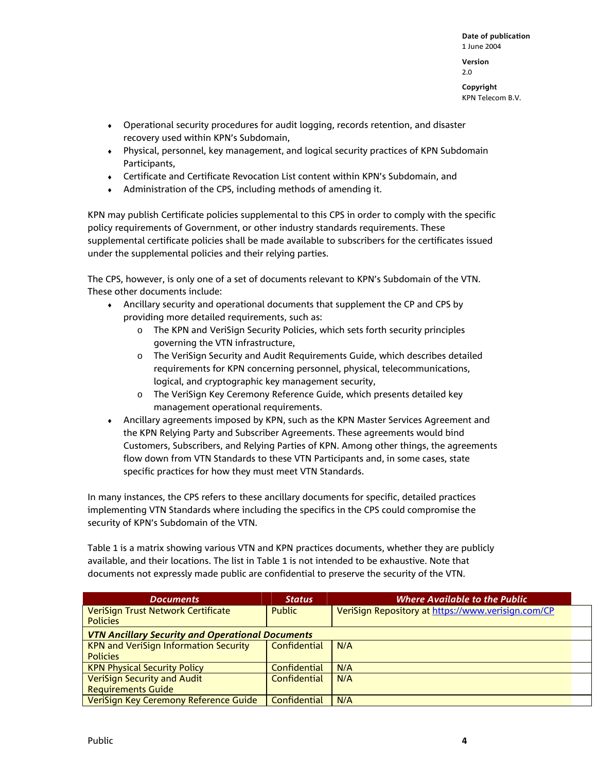**Date of publication**  1 June 2004 **Version**  2.0

**Copyright**  KPN Telecom B.V.

- ♦ Operational security procedures for audit logging, records retention, and disaster recovery used within KPN's Subdomain,
- ♦ Physical, personnel, key management, and logical security practices of KPN Subdomain Participants,
- ♦ Certificate and Certificate Revocation List content within KPN's Subdomain, and
- ♦ Administration of the CPS, including methods of amending it.

KPN may publish Certificate policies supplemental to this CPS in order to comply with the specific policy requirements of Government, or other industry standards requirements. These supplemental certificate policies shall be made available to subscribers for the certificates issued under the supplemental policies and their relying parties.

The CPS, however, is only one of a set of documents relevant to KPN's Subdomain of the VTN. These other documents include:

- ♦ Ancillary security and operational documents that supplement the CP and CPS by providing more detailed requirements, such as:
	- o The KPN and VeriSign Security Policies, which sets forth security principles governing the VTN infrastructure,
	- o The VeriSign Security and Audit Requirements Guide, which describes detailed requirements for KPN concerning personnel, physical, telecommunications, logical, and cryptographic key management security,
	- o The VeriSign Key Ceremony Reference Guide, which presents detailed key management operational requirements.
- ♦ Ancillary agreements imposed by KPN, such as the KPN Master Services Agreement and the KPN Relying Party and Subscriber Agreements. These agreements would bind Customers, Subscribers, and Relying Parties of KPN. Among other things, the agreements flow down from VTN Standards to these VTN Participants and, in some cases, state specific practices for how they must meet VTN Standards.

In many instances, the CPS refers to these ancillary documents for specific, detailed practices implementing VTN Standards where including the specifics in the CPS could compromise the security of KPN's Subdomain of the VTN.

Table 1 is a matrix showing various VTN and KPN practices documents, whether they are publicly available, and their locations. The list in Table 1 is not intended to be exhaustive. Note that documents not expressly made public are confidential to preserve the security of the VTN.

| <b>Documents</b>                                        | <b>Status</b> | <b>Where Available to the Public</b>               |
|---------------------------------------------------------|---------------|----------------------------------------------------|
| VeriSign Trust Network Certificate                      | <b>Public</b> | VeriSign Repository at https://www.verisign.com/CP |
| <b>Policies</b>                                         |               |                                                    |
| <b>VTN Ancillary Security and Operational Documents</b> |               |                                                    |
| <b>KPN and VeriSign Information Security</b>            | Confidential  | N/A                                                |
| <b>Policies</b>                                         |               |                                                    |
| <b>KPN Physical Security Policy</b>                     | Confidential  | N/A                                                |
| <b>VeriSign Security and Audit</b>                      | Confidential  | N/A                                                |
| <b>Requirements Guide</b>                               |               |                                                    |
| VeriSign Key Ceremony Reference Guide                   | Confidential  | N/A                                                |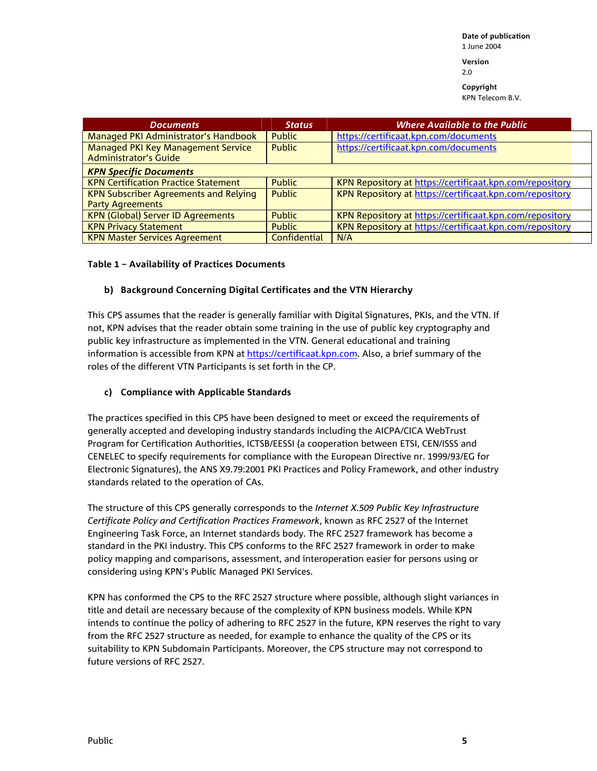**Version**  2.0

**Copyright** 

KPN Telecom B.V.

| <b>Documents</b>                                            | <b>Status</b> | <b>Where Available to the Public</b>                     |  |
|-------------------------------------------------------------|---------------|----------------------------------------------------------|--|
| Managed PKI Administrator's Handbook                        | <b>Public</b> | https://certificaat.kpn.com/documents                    |  |
| Managed PKI Key Management Service<br>Administrator's Guide | <b>Public</b> | https://certificaat.kpn.com/documents                    |  |
| <b>KPN Specific Documents</b>                               |               |                                                          |  |
| <b>KPN Certification Practice Statement</b>                 | <b>Public</b> | KPN Repository at https://certificaat.kpn.com/repository |  |
| <b>KPN Subscriber Agreements and Relying</b>                | <b>Public</b> | KPN Repository at https://certificaat.kpn.com/repository |  |
| <b>Party Agreements</b>                                     |               |                                                          |  |
| <b>KPN (Global) Server ID Agreements</b>                    | <b>Public</b> | KPN Repository at https://certificaat.kpn.com/repository |  |
| <b>KPN Privacy Statement</b>                                | <b>Public</b> | KPN Repository at https://certificaat.kpn.com/repository |  |
| <b>KPN Master Services Agreement</b>                        | Confidential  | N/A                                                      |  |

#### **Table 1 – Availability of Practices Documents**

#### **b) Background Concerning Digital Certificates and the VTN Hierarchy**

This CPS assumes that the reader is generally familiar with Digital Signatures, PKIs, and the VTN. If not, KPN advises that the reader obtain some training in the use of public key cryptography and public key infrastructure as implemented in the VTN. General educational and training information is accessible from KPN at https://certificaat.kpn.com. Also, a brief summary of the roles of the different VTN Participants is set forth in the CP.

#### **c) Compliance with Applicable Standards**

The practices specified in this CPS have been designed to meet or exceed the requirements of generally accepted and developing industry standards including the AICPA/CICA WebTrust Program for Certification Authorities, ICTSB/EESSI (a cooperation between ETSI, CEN/ISSS and CENELEC to specify requirements for compliance with the European Directive nr. 1999/93/EG for Electronic Signatures), the ANS X9.79:2001 PKI Practices and Policy Framework, and other industry standards related to the operation of CAs.

The structure of this CPS generally corresponds to the *Internet X.509 Public Key Infrastructure Certificate Policy and Certification Practices Framework*, known as RFC 2527 of the Internet Engineering Task Force, an Internet standards body. The RFC 2527 framework has become a standard in the PKI industry. This CPS conforms to the RFC 2527 framework in order to make policy mapping and comparisons, assessment, and interoperation easier for persons using or considering using KPN's Public Managed PKI Services.

KPN has conformed the CPS to the RFC 2527 structure where possible, although slight variances in title and detail are necessary because of the complexity of KPN business models. While KPN intends to continue the policy of adhering to RFC 2527 in the future, KPN reserves the right to vary from the RFC 2527 structure as needed, for example to enhance the quality of the CPS or its suitability to KPN Subdomain Participants. Moreover, the CPS structure may not correspond to future versions of RFC 2527.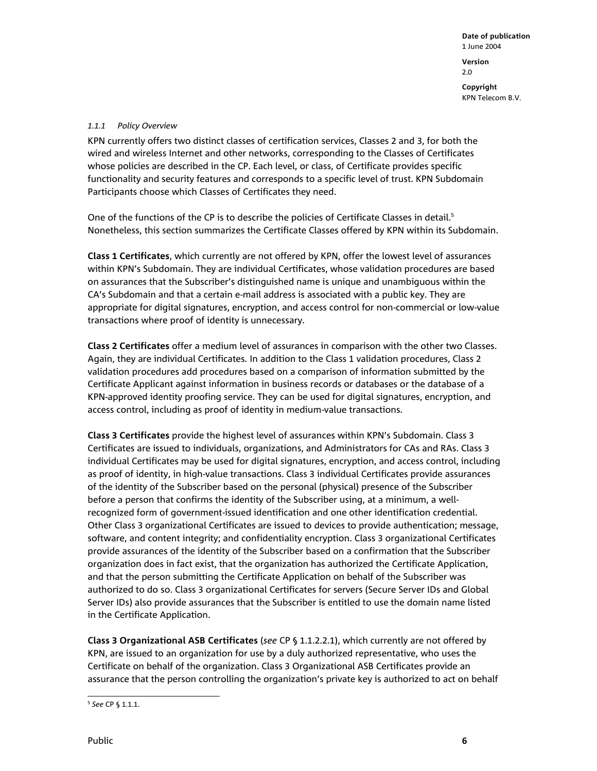#### *1.1.1 Policy Overview*

KPN currently offers two distinct classes of certification services, Classes 2 and 3, for both the wired and wireless Internet and other networks, corresponding to the Classes of Certificates whose policies are described in the CP. Each level, or class, of Certificate provides specific functionality and security features and corresponds to a specific level of trust. KPN Subdomain Participants choose which Classes of Certificates they need.

One of the functions of the CP is to describe the policies of Certificate Classes in detail.<sup>5</sup> Nonetheless, this section summarizes the Certificate Classes offered by KPN within its Subdomain.

**Class 1 Certificates**, which currently are not offered by KPN, offer the lowest level of assurances within KPN's Subdomain. They are individual Certificates, whose validation procedures are based on assurances that the Subscriber's distinguished name is unique and unambiguous within the CA's Subdomain and that a certain e-mail address is associated with a public key. They are appropriate for digital signatures, encryption, and access control for non-commercial or low-value transactions where proof of identity is unnecessary.

**Class 2 Certificates** offer a medium level of assurances in comparison with the other two Classes. Again, they are individual Certificates. In addition to the Class 1 validation procedures, Class 2 validation procedures add procedures based on a comparison of information submitted by the Certificate Applicant against information in business records or databases or the database of a KPN-approved identity proofing service. They can be used for digital signatures, encryption, and access control, including as proof of identity in medium-value transactions.

**Class 3 Certificates** provide the highest level of assurances within KPN's Subdomain. Class 3 Certificates are issued to individuals, organizations, and Administrators for CAs and RAs. Class 3 individual Certificates may be used for digital signatures, encryption, and access control, including as proof of identity, in high-value transactions. Class 3 individual Certificates provide assurances of the identity of the Subscriber based on the personal (physical) presence of the Subscriber before a person that confirms the identity of the Subscriber using, at a minimum, a wellrecognized form of government-issued identification and one other identification credential. Other Class 3 organizational Certificates are issued to devices to provide authentication; message, software, and content integrity; and confidentiality encryption. Class 3 organizational Certificates provide assurances of the identity of the Subscriber based on a confirmation that the Subscriber organization does in fact exist, that the organization has authorized the Certificate Application, and that the person submitting the Certificate Application on behalf of the Subscriber was authorized to do so. Class 3 organizational Certificates for servers (Secure Server IDs and Global Server IDs) also provide assurances that the Subscriber is entitled to use the domain name listed in the Certificate Application.

**Class 3 Organizational ASB Certificates** (*see* CP § 1.1.2.2.1), which currently are not offered by KPN, are issued to an organization for use by a duly authorized representative, who uses the Certificate on behalf of the organization. Class 3 Organizational ASB Certificates provide an assurance that the person controlling the organization's private key is authorized to act on behalf

 $\overline{a}$ <sup>5</sup> *See* CP § 1.1.1.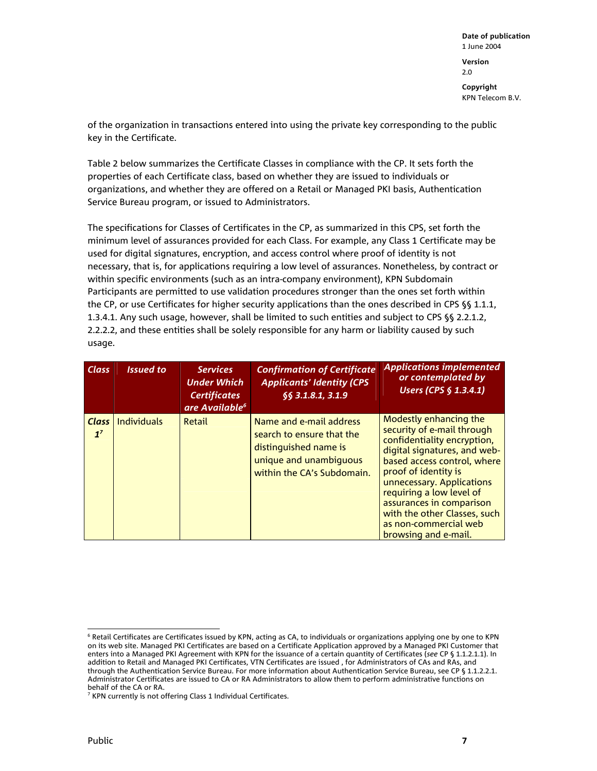of the organization in transactions entered into using the private key corresponding to the public key in the Certificate.

Table 2 below summarizes the Certificate Classes in compliance with the CP. It sets forth the properties of each Certificate class, based on whether they are issued to individuals or organizations, and whether they are offered on a Retail or Managed PKI basis, Authentication Service Bureau program, or issued to Administrators.

The specifications for Classes of Certificates in the CP, as summarized in this CPS, set forth the minimum level of assurances provided for each Class. For example, any Class 1 Certificate may be used for digital signatures, encryption, and access control where proof of identity is not necessary, that is, for applications requiring a low level of assurances. Nonetheless, by contract or within specific environments (such as an intra-company environment), KPN Subdomain Participants are permitted to use validation procedures stronger than the ones set forth within the CP, or use Certificates for higher security applications than the ones described in CPS §§ 1.1.1, 1.3.4.1. Any such usage, however, shall be limited to such entities and subject to CPS §§ 2.2.1.2, 2.2.2.2, and these entities shall be solely responsible for any harm or liability caused by such usage.

| <b>Class</b>                   | <b>Issued to</b> | <b>Services</b><br><b>Under Which</b><br><b>Certificates</b><br>are Available <sup>6</sup> | <b>Confirmation of Certificate</b><br><b>Applicants' Identity (CPS</b><br>\$§ 3.1.8.1, 3.1.9                                          | <b>Applications implemented</b><br>or contemplated by<br>Users (CPS § 1.3.4.1)                                                                                                                                                                                                                                                                   |
|--------------------------------|------------------|--------------------------------------------------------------------------------------------|---------------------------------------------------------------------------------------------------------------------------------------|--------------------------------------------------------------------------------------------------------------------------------------------------------------------------------------------------------------------------------------------------------------------------------------------------------------------------------------------------|
| <b>Class</b><br>1 <sup>7</sup> | Individuals      | Retail                                                                                     | Name and e-mail address<br>search to ensure that the<br>distinguished name is<br>unique and unambiquous<br>within the CA's Subdomain. | Modestly enhancing the<br>security of e-mail through<br>confidentiality encryption,<br>digital signatures, and web-<br>based access control, where<br>proof of identity is<br>unnecessary. Applications<br>requiring a low level of<br>assurances in comparison<br>with the other Classes, such<br>as non-commercial web<br>browsing and e-mail. |

 $\overline{a}$ <sup>6</sup> Retail Certificates are Certificates issued by KPN, acting as CA, to individuals or organizations applying one by one to KPN on its web site. Managed PKI Certificates are based on a Certificate Application approved by a Managed PKI Customer that enters into a Managed PKI Agreement with KPN for the issuance of a certain quantity of Certificates (*see* CP § 1.1.2.1.1). In addition to Retail and Managed PKI Certificates, VTN Certificates are issued , for Administrators of CAs and RAs, and through the Authentication Service Bureau. For more information about Authentication Service Bureau, see CP § 1.1.2.2.1. Administrator Certificates are issued to CA or RA Administrators to allow them to perform administrative functions on behalf of the CA or RA.

<sup>&</sup>lt;sup>7</sup> KPN currently is not offering Class 1 Individual Certificates.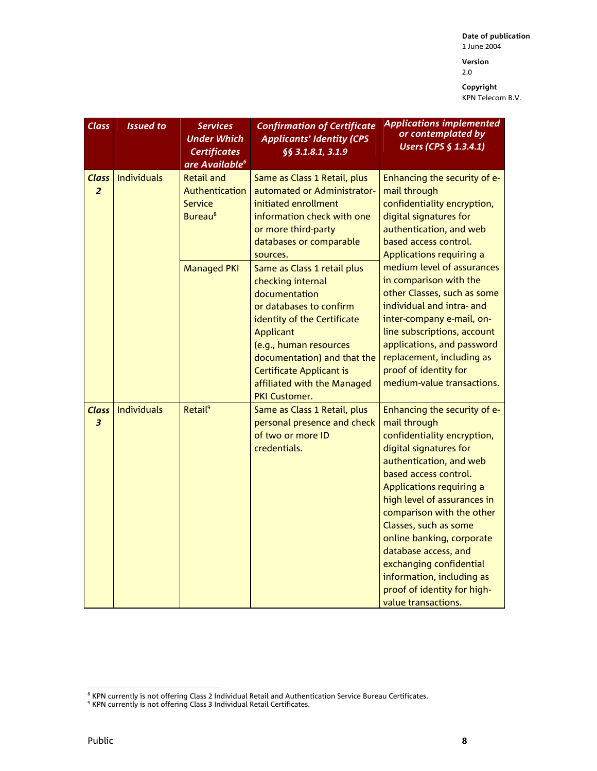**Date of publication**  1 June 2004 **Version** 

2.0

| <b>Class</b>                   | <b>Issued to</b>   | <b>Services</b><br><b>Under Which</b><br><b>Certificates</b><br>are Available <sup>6</sup> | <b>Confirmation of Certificate</b><br><b>Applicants' Identity (CPS</b><br>55 3.1.8.1, 3.1.9                                                                                                                                                                                                        | <b>Applications implemented</b><br>or contemplated by<br><b>Users (CPS § 1.3.4.1)</b>                                                                                                                                                                                                                                                                                                                                                         |
|--------------------------------|--------------------|--------------------------------------------------------------------------------------------|----------------------------------------------------------------------------------------------------------------------------------------------------------------------------------------------------------------------------------------------------------------------------------------------------|-----------------------------------------------------------------------------------------------------------------------------------------------------------------------------------------------------------------------------------------------------------------------------------------------------------------------------------------------------------------------------------------------------------------------------------------------|
| <b>Class</b><br>$\overline{2}$ | Individuals        | <b>Retail and</b><br><b>Authentication</b><br>Service<br><b>Bureau<sup>8</sup></b>         | Same as Class 1 Retail, plus<br>automated or Administrator-<br>initiated enrollment<br>information check with one<br>or more third-party<br>databases or comparable<br>sources.                                                                                                                    | Enhancing the security of e-<br>mail through<br>confidentiality encryption,<br>digital signatures for<br>authentication, and web<br>based access control.<br>Applications requiring a                                                                                                                                                                                                                                                         |
|                                |                    | <b>Managed PKI</b>                                                                         | Same as Class 1 retail plus<br>checking internal<br>documentation<br>or databases to confirm<br>identity of the Certificate<br><b>Applicant</b><br>(e.g., human resources<br>documentation) and that the<br><b>Certificate Applicant is</b><br>affiliated with the Managed<br><b>PKI Customer.</b> | medium level of assurances<br>in comparison with the<br>other Classes, such as some<br>individual and intra- and<br>inter-company e-mail, on-<br>line subscriptions, account<br>applications, and password<br>replacement, including as<br>proof of identity for<br>medium-value transactions.                                                                                                                                                |
| Class<br>$\overline{3}$        | <b>Individuals</b> | Retail <sup>9</sup>                                                                        | Same as Class 1 Retail, plus<br>personal presence and check<br>of two or more ID<br>credentials.                                                                                                                                                                                                   | Enhancing the security of e-<br>mail through<br>confidentiality encryption,<br>digital signatures for<br>authentication, and web<br>based access control.<br>Applications requiring a<br>high level of assurances in<br>comparison with the other<br>Classes, such as some<br>online banking, corporate<br>database access, and<br>exchanging confidential<br>information, including as<br>proof of identity for high-<br>value transactions. |

 8 KPN currently is not offering Class 2 Individual Retail and Authentication Service Bureau Certificates. 9 KPN currently is not offering Class 3 Individual Retail Certificates.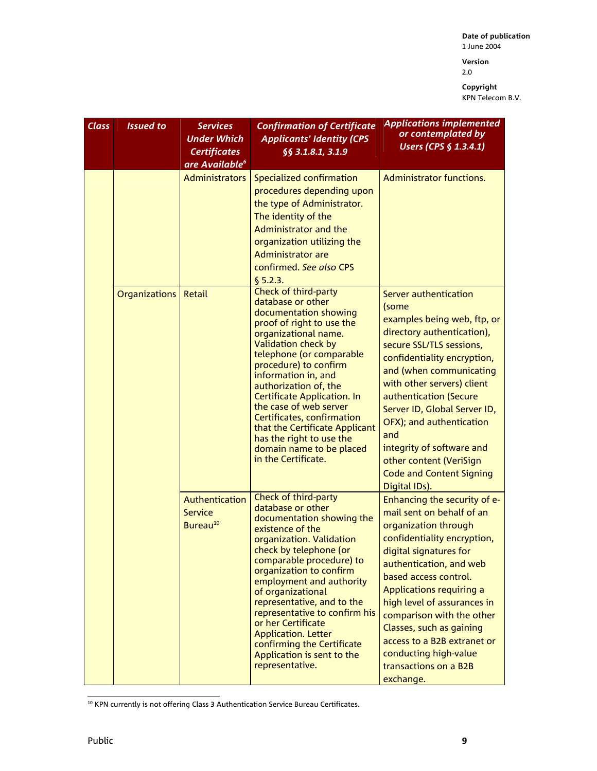**Version**  2.0

| <b>Class</b> | <b>Issued to</b>     | <b>Services</b><br><b>Under Which</b><br><b>Certificates</b><br>are Available <sup>6</sup> | <b>Confirmation of Certificate</b><br><b>Applicants' Identity (CPS</b><br>§§ 3.1.8.1, 3.1.9                                                                                                                                                                                                                                                                                                                                                                               | <b>Applications implemented</b><br>or contemplated by<br>Users (CPS § 1.3.4.1)                                                                                                                                                                                                                                                                                                                                           |
|--------------|----------------------|--------------------------------------------------------------------------------------------|---------------------------------------------------------------------------------------------------------------------------------------------------------------------------------------------------------------------------------------------------------------------------------------------------------------------------------------------------------------------------------------------------------------------------------------------------------------------------|--------------------------------------------------------------------------------------------------------------------------------------------------------------------------------------------------------------------------------------------------------------------------------------------------------------------------------------------------------------------------------------------------------------------------|
|              |                      | <b>Administrators</b>                                                                      | Specialized confirmation<br>procedures depending upon<br>the type of Administrator.<br>The identity of the<br><b>Administrator and the</b><br>organization utilizing the<br><b>Administrator are</b><br>confirmed. See also CPS<br>\$5.2.3.                                                                                                                                                                                                                               | Administrator functions.                                                                                                                                                                                                                                                                                                                                                                                                 |
|              | <b>Organizations</b> | Retail                                                                                     | Check of third-party<br>database or other<br>documentation showing<br>proof of right to use the<br>organizational name.<br><b>Validation check by</b><br>telephone (or comparable<br>procedure) to confirm<br>information in, and<br>authorization of, the<br><b>Certificate Application. In</b><br>the case of web server<br>Certificates, confirmation<br>that the Certificate Applicant<br>has the right to use the<br>domain name to be placed<br>in the Certificate. | Server authentication<br>(some<br>examples being web, ftp, or<br>directory authentication),<br>secure SSL/TLS sessions,<br>confidentiality encryption,<br>and (when communicating<br>with other servers) client<br>authentication (Secure<br>Server ID, Global Server ID,<br>OFX); and authentication<br>and<br>integrity of software and<br>other content (VeriSign<br><b>Code and Content Signing</b><br>Digital IDs). |
|              |                      | Authentication<br><b>Service</b><br>Bureau <sup>10</sup>                                   | Check of third-party<br>database or other<br>documentation showing the<br>existence of the<br>organization. Validation<br>check by telephone (or<br>comparable procedure) to<br>organization to confirm<br>employment and authority<br>of organizational<br>representative, and to the<br>representative to confirm his<br>or her Certificate<br><b>Application. Letter</b><br>confirming the Certificate<br>Application is sent to the<br>representative.                | Enhancing the security of e-<br>mail sent on behalf of an<br>organization through<br>confidentiality encryption,<br>digital signatures for<br>authentication, and web<br>based access control.<br>Applications requiring a<br>high level of assurances in<br>comparison with the other<br>Classes, such as gaining<br>access to a B2B extranet or<br>conducting high-value<br>transactions on a B2B<br>exchange.         |

 $\overline{a}$  $10$  KPN currently is not offering Class 3 Authentication Service Bureau Certificates.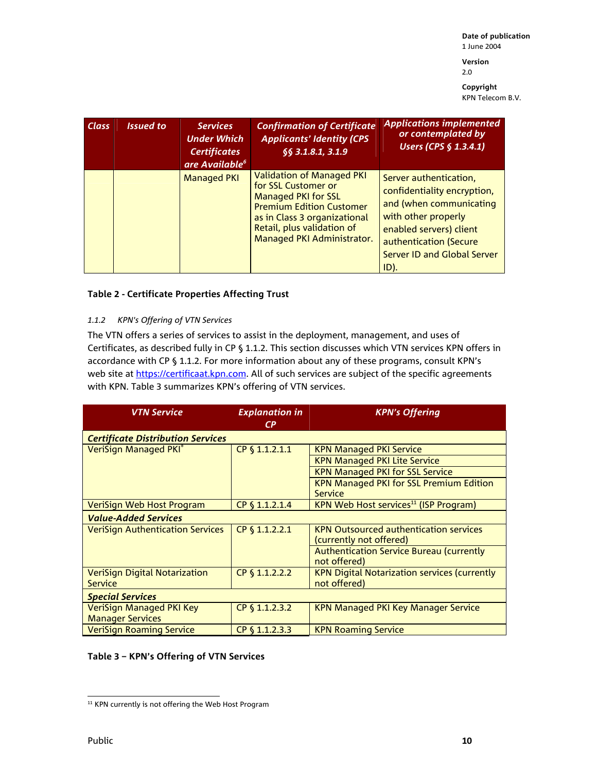**Date of publication**  1 June 2004 **Version** 

2.0

**Copyright**  KPN Telecom B.V.

| <b>Class</b> | <b>Issued to</b> | <b>Services</b><br><b>Under Which</b><br><b>Certificates</b><br>are Available <sup>6</sup> | <b>Confirmation of Certificate</b><br><b>Applicants' Identity (CPS)</b><br>66 3.1.8.1, 3.1.9                                                                                                                         | <b>Applications implemented</b><br>or contemplated by<br>Users (CPS § 1.3.4.1)                                                                                                                             |
|--------------|------------------|--------------------------------------------------------------------------------------------|----------------------------------------------------------------------------------------------------------------------------------------------------------------------------------------------------------------------|------------------------------------------------------------------------------------------------------------------------------------------------------------------------------------------------------------|
|              |                  | <b>Managed PKI</b>                                                                         | <b>Validation of Managed PKI</b><br>for SSL Customer or<br><b>Managed PKI for SSL</b><br><b>Premium Edition Customer</b><br>as in Class 3 organizational<br>Retail, plus validation of<br>Managed PKI Administrator. | Server authentication,<br>confidentiality encryption,<br>and (when communicating<br>with other properly<br>enabled servers) client<br>authentication (Secure<br><b>Server ID and Global Server</b><br>ID). |

#### **Table 2 - Certificate Properties Affecting Trust**

#### *1.1.2 KPN's Offering of VTN Services*

The VTN offers a series of services to assist in the deployment, management, and uses of Certificates, as described fully in CP § 1.1.2. This section discusses which VTN services KPN offers in accordance with CP § 1.1.2. For more information about any of these programs, consult KPN's web site at https://certificaat.kpn.com. All of such services are subject of the specific agreements with KPN. Table 3 summarizes KPN's offering of VTN services.

| <b>VTN Service</b>                       | <b>Explanation in</b><br>CР | <b>KPN's Offering</b>                               |
|------------------------------------------|-----------------------------|-----------------------------------------------------|
| <b>Certificate Distribution Services</b> |                             |                                                     |
| VeriSign Managed PKI®                    | CP § 1.1.2.1.1              | <b>KPN Managed PKI Service</b>                      |
|                                          |                             | <b>KPN Managed PKI Lite Service</b>                 |
|                                          |                             | <b>KPN Managed PKI for SSL Service</b>              |
|                                          |                             | <b>KPN Managed PKI for SSL Premium Edition</b>      |
|                                          |                             | Service                                             |
| VeriSign Web Host Program                | CP § 1.1.2.1.4              | KPN Web Host services <sup>11</sup> (ISP Program)   |
| <b>Value-Added Services</b>              |                             |                                                     |
| <b>VeriSign Authentication Services</b>  | CP § 1.1.2.2.1              | <b>KPN Outsourced authentication services</b>       |
|                                          |                             | (currently not offered)                             |
|                                          |                             | <b>Authentication Service Bureau (currently</b>     |
|                                          |                             | not offered)                                        |
| <b>VeriSign Digital Notarization</b>     | CP § 1.1.2.2.2              | <b>KPN Digital Notarization services (currently</b> |
| Service                                  |                             | not offered)                                        |
| <b>Special Services</b>                  |                             |                                                     |
| <b>VeriSign Managed PKI Key</b>          | CP § 1.1.2.3.2              | <b>KPN Managed PKI Key Manager Service</b>          |
| <b>Manager Services</b>                  |                             |                                                     |
| <b>VeriSign Roaming Service</b>          | CP § 1.1.2.3.3              | <b>KPN Roaming Service</b>                          |

#### **Table 3 – KPN's Offering of VTN Services**

l  $11$  KPN currently is not offering the Web Host Program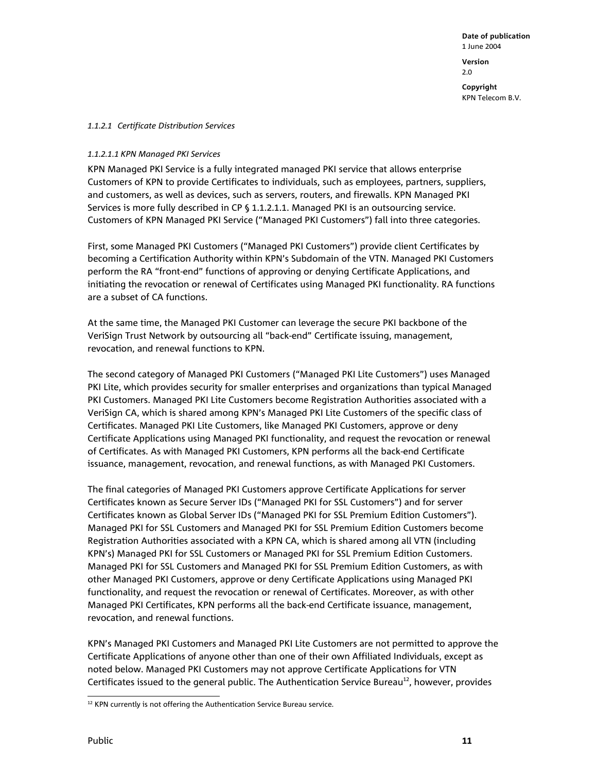#### *1.1.2.1 Certificate Distribution Services*

#### *1.1.2.1.1 KPN Managed PKI Services*

KPN Managed PKI Service is a fully integrated managed PKI service that allows enterprise Customers of KPN to provide Certificates to individuals, such as employees, partners, suppliers, and customers, as well as devices, such as servers, routers, and firewalls. KPN Managed PKI Services is more fully described in CP § 1.1.2.1.1. Managed PKI is an outsourcing service. Customers of KPN Managed PKI Service ("Managed PKI Customers") fall into three categories.

First, some Managed PKI Customers ("Managed PKI Customers") provide client Certificates by becoming a Certification Authority within KPN's Subdomain of the VTN. Managed PKI Customers perform the RA "front-end" functions of approving or denying Certificate Applications, and initiating the revocation or renewal of Certificates using Managed PKI functionality. RA functions are a subset of CA functions.

At the same time, the Managed PKI Customer can leverage the secure PKI backbone of the VeriSign Trust Network by outsourcing all "back-end" Certificate issuing, management, revocation, and renewal functions to KPN.

The second category of Managed PKI Customers ("Managed PKI Lite Customers") uses Managed PKI Lite, which provides security for smaller enterprises and organizations than typical Managed PKI Customers. Managed PKI Lite Customers become Registration Authorities associated with a VeriSign CA, which is shared among KPN's Managed PKI Lite Customers of the specific class of Certificates. Managed PKI Lite Customers, like Managed PKI Customers, approve or deny Certificate Applications using Managed PKI functionality, and request the revocation or renewal of Certificates. As with Managed PKI Customers, KPN performs all the back-end Certificate issuance, management, revocation, and renewal functions, as with Managed PKI Customers.

The final categories of Managed PKI Customers approve Certificate Applications for server Certificates known as Secure Server IDs ("Managed PKI for SSL Customers") and for server Certificates known as Global Server IDs ("Managed PKI for SSL Premium Edition Customers"). Managed PKI for SSL Customers and Managed PKI for SSL Premium Edition Customers become Registration Authorities associated with a KPN CA, which is shared among all VTN (including KPN's) Managed PKI for SSL Customers or Managed PKI for SSL Premium Edition Customers. Managed PKI for SSL Customers and Managed PKI for SSL Premium Edition Customers, as with other Managed PKI Customers, approve or deny Certificate Applications using Managed PKI functionality, and request the revocation or renewal of Certificates. Moreover, as with other Managed PKI Certificates, KPN performs all the back-end Certificate issuance, management, revocation, and renewal functions.

KPN's Managed PKI Customers and Managed PKI Lite Customers are not permitted to approve the Certificate Applications of anyone other than one of their own Affiliated Individuals, except as noted below. Managed PKI Customers may not approve Certificate Applications for VTN Certificates issued to the general public. The Authentication Service Bureau $^{12}$ , however, provides

l

 $12$  KPN currently is not offering the Authentication Service Bureau service.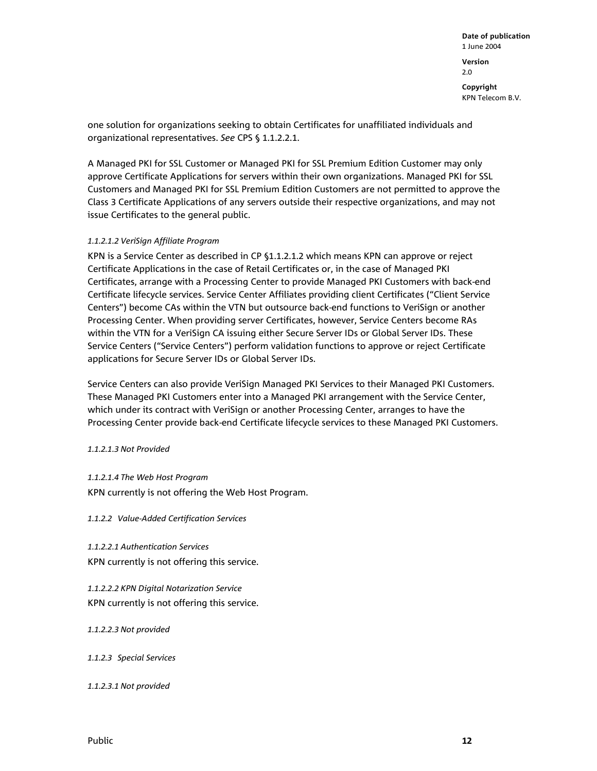one solution for organizations seeking to obtain Certificates for unaffiliated individuals and organizational representatives. *See* CPS § 1.1.2.2.1.

A Managed PKI for SSL Customer or Managed PKI for SSL Premium Edition Customer may only approve Certificate Applications for servers within their own organizations. Managed PKI for SSL Customers and Managed PKI for SSL Premium Edition Customers are not permitted to approve the Class 3 Certificate Applications of any servers outside their respective organizations, and may not issue Certificates to the general public.

#### *1.1.2.1.2 VeriSign Affiliate Program*

KPN is a Service Center as described in CP §1.1.2.1.2 which means KPN can approve or reject Certificate Applications in the case of Retail Certificates or, in the case of Managed PKI Certificates, arrange with a Processing Center to provide Managed PKI Customers with back-end Certificate lifecycle services. Service Center Affiliates providing client Certificates ("Client Service Centers") become CAs within the VTN but outsource back-end functions to VeriSign or another Processing Center. When providing server Certificates, however, Service Centers become RAs within the VTN for a VeriSign CA issuing either Secure Server IDs or Global Server IDs. These Service Centers ("Service Centers") perform validation functions to approve or reject Certificate applications for Secure Server IDs or Global Server IDs.

Service Centers can also provide VeriSign Managed PKI Services to their Managed PKI Customers. These Managed PKI Customers enter into a Managed PKI arrangement with the Service Center, which under its contract with VeriSign or another Processing Center, arranges to have the Processing Center provide back-end Certificate lifecycle services to these Managed PKI Customers.

*1.1.2.1.3 Not Provided* 

*1.1.2.1.4 The Web Host Program*  KPN currently is not offering the Web Host Program.

*1.1.2.2 Value-Added Certification Services* 

*1.1.2.2.1 Authentication Services*  KPN currently is not offering this service.

*1.1.2.2.2 KPN Digital Notarization Service*  KPN currently is not offering this service.

*1.1.2.2.3 Not provided* 

*1.1.2.3 Special Services* 

*1.1.2.3.1 Not provided*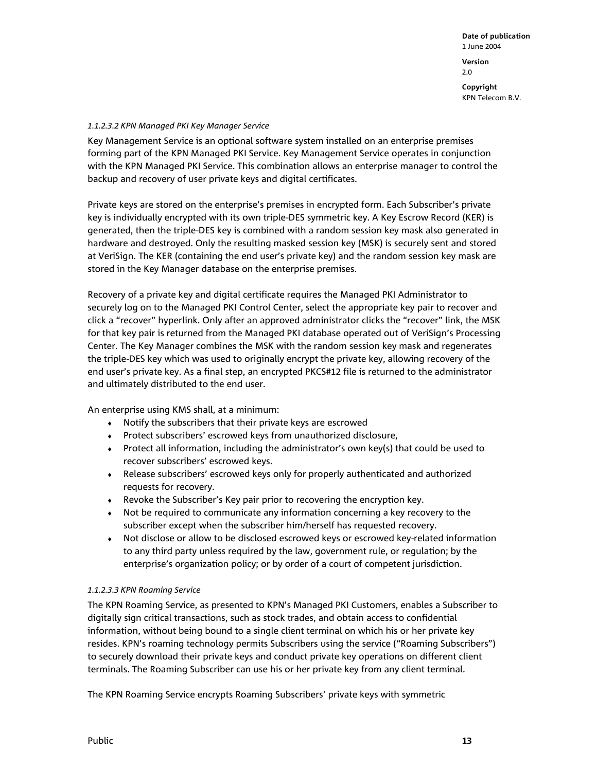#### *1.1.2.3.2 KPN Managed PKI Key Manager Service*

Key Management Service is an optional software system installed on an enterprise premises forming part of the KPN Managed PKI Service. Key Management Service operates in conjunction with the KPN Managed PKI Service. This combination allows an enterprise manager to control the backup and recovery of user private keys and digital certificates.

Private keys are stored on the enterprise's premises in encrypted form. Each Subscriber's private key is individually encrypted with its own triple-DES symmetric key. A Key Escrow Record (KER) is generated, then the triple-DES key is combined with a random session key mask also generated in hardware and destroyed. Only the resulting masked session key (MSK) is securely sent and stored at VeriSign. The KER (containing the end user's private key) and the random session key mask are stored in the Key Manager database on the enterprise premises.

Recovery of a private key and digital certificate requires the Managed PKI Administrator to securely log on to the Managed PKI Control Center, select the appropriate key pair to recover and click a "recover" hyperlink. Only after an approved administrator clicks the "recover" link, the MSK for that key pair is returned from the Managed PKI database operated out of VeriSign's Processing Center. The Key Manager combines the MSK with the random session key mask and regenerates the triple-DES key which was used to originally encrypt the private key, allowing recovery of the end user's private key. As a final step, an encrypted PKCS#12 file is returned to the administrator and ultimately distributed to the end user.

An enterprise using KMS shall, at a minimum:

- ♦ Notify the subscribers that their private keys are escrowed
- ♦ Protect subscribers' escrowed keys from unauthorized disclosure,
- ♦ Protect all information, including the administrator's own key(s) that could be used to recover subscribers' escrowed keys.
- ♦ Release subscribers' escrowed keys only for properly authenticated and authorized requests for recovery.
- ♦ Revoke the Subscriber's Key pair prior to recovering the encryption key.
- ♦ Not be required to communicate any information concerning a key recovery to the subscriber except when the subscriber him/herself has requested recovery.
- ♦ Not disclose or allow to be disclosed escrowed keys or escrowed key-related information to any third party unless required by the law, government rule, or regulation; by the enterprise's organization policy; or by order of a court of competent jurisdiction.

#### *1.1.2.3.3 KPN Roaming Service*

The KPN Roaming Service, as presented to KPN's Managed PKI Customers, enables a Subscriber to digitally sign critical transactions, such as stock trades, and obtain access to confidential information, without being bound to a single client terminal on which his or her private key resides. KPN's roaming technology permits Subscribers using the service ("Roaming Subscribers") to securely download their private keys and conduct private key operations on different client terminals. The Roaming Subscriber can use his or her private key from any client terminal.

The KPN Roaming Service encrypts Roaming Subscribers' private keys with symmetric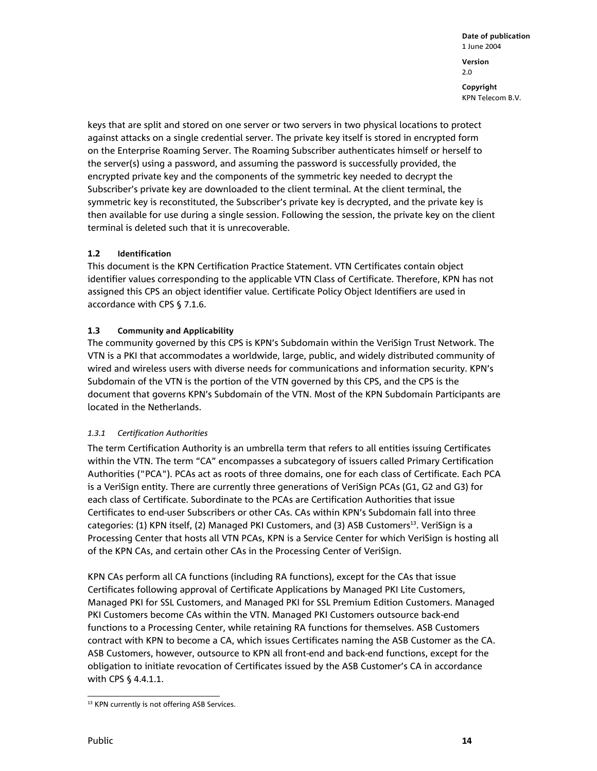keys that are split and stored on one server or two servers in two physical locations to protect against attacks on a single credential server. The private key itself is stored in encrypted form on the Enterprise Roaming Server. The Roaming Subscriber authenticates himself or herself to the server(s) using a password, and assuming the password is successfully provided, the encrypted private key and the components of the symmetric key needed to decrypt the Subscriber's private key are downloaded to the client terminal. At the client terminal, the symmetric key is reconstituted, the Subscriber's private key is decrypted, and the private key is then available for use during a single session. Following the session, the private key on the client terminal is deleted such that it is unrecoverable.

#### **1.2 Identification**

This document is the KPN Certification Practice Statement. VTN Certificates contain object identifier values corresponding to the applicable VTN Class of Certificate. Therefore, KPN has not assigned this CPS an object identifier value. Certificate Policy Object Identifiers are used in accordance with CPS § 7.1.6.

#### **1.3 Community and Applicability**

The community governed by this CPS is KPN's Subdomain within the VeriSign Trust Network. The VTN is a PKI that accommodates a worldwide, large, public, and widely distributed community of wired and wireless users with diverse needs for communications and information security. KPN's Subdomain of the VTN is the portion of the VTN governed by this CPS, and the CPS is the document that governs KPN's Subdomain of the VTN. Most of the KPN Subdomain Participants are located in the Netherlands.

#### *1.3.1 Certification Authorities*

The term Certification Authority is an umbrella term that refers to all entities issuing Certificates within the VTN. The term "CA" encompasses a subcategory of issuers called Primary Certification Authorities ("PCA"). PCAs act as roots of three domains, one for each class of Certificate. Each PCA is a VeriSign entity. There are currently three generations of VeriSign PCAs (G1, G2 and G3) for each class of Certificate. Subordinate to the PCAs are Certification Authorities that issue Certificates to end-user Subscribers or other CAs. CAs within KPN's Subdomain fall into three categories: (1) KPN itself, (2) Managed PKI Customers, and (3) ASB Customers<sup>13</sup>. VeriSign is a Processing Center that hosts all VTN PCAs, KPN is a Service Center for which VeriSign is hosting all of the KPN CAs, and certain other CAs in the Processing Center of VeriSign.

KPN CAs perform all CA functions (including RA functions), except for the CAs that issue Certificates following approval of Certificate Applications by Managed PKI Lite Customers, Managed PKI for SSL Customers, and Managed PKI for SSL Premium Edition Customers. Managed PKI Customers become CAs within the VTN. Managed PKI Customers outsource back-end functions to a Processing Center, while retaining RA functions for themselves. ASB Customers contract with KPN to become a CA, which issues Certificates naming the ASB Customer as the CA. ASB Customers, however, outsource to KPN all front-end and back-end functions, except for the obligation to initiate revocation of Certificates issued by the ASB Customer's CA in accordance with CPS § 4.4.1.1.

l <sup>13</sup> KPN currently is not offering ASB Services.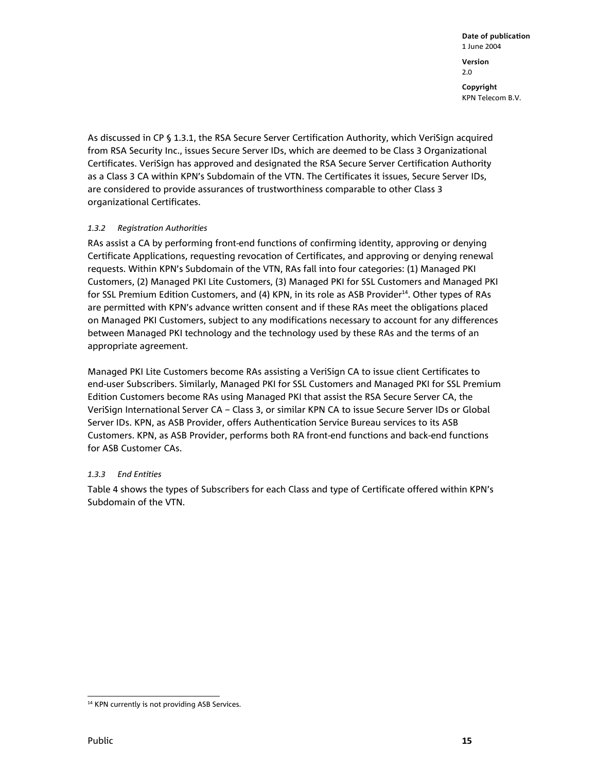As discussed in CP § 1.3.1, the RSA Secure Server Certification Authority, which VeriSign acquired from RSA Security Inc., issues Secure Server IDs, which are deemed to be Class 3 Organizational Certificates. VeriSign has approved and designated the RSA Secure Server Certification Authority as a Class 3 CA within KPN's Subdomain of the VTN. The Certificates it issues, Secure Server IDs, are considered to provide assurances of trustworthiness comparable to other Class 3 organizational Certificates.

#### *1.3.2 Registration Authorities*

RAs assist a CA by performing front-end functions of confirming identity, approving or denying Certificate Applications, requesting revocation of Certificates, and approving or denying renewal requests. Within KPN's Subdomain of the VTN, RAs fall into four categories: (1) Managed PKI Customers, (2) Managed PKI Lite Customers, (3) Managed PKI for SSL Customers and Managed PKI for SSL Premium Edition Customers, and (4) KPN, in its role as ASB Provider<sup>14</sup>. Other types of RAs are permitted with KPN's advance written consent and if these RAs meet the obligations placed on Managed PKI Customers, subject to any modifications necessary to account for any differences between Managed PKI technology and the technology used by these RAs and the terms of an appropriate agreement.

Managed PKI Lite Customers become RAs assisting a VeriSign CA to issue client Certificates to end-user Subscribers. Similarly, Managed PKI for SSL Customers and Managed PKI for SSL Premium Edition Customers become RAs using Managed PKI that assist the RSA Secure Server CA, the VeriSign International Server CA – Class 3, or similar KPN CA to issue Secure Server IDs or Global Server IDs. KPN, as ASB Provider, offers Authentication Service Bureau services to its ASB Customers. KPN, as ASB Provider, performs both RA front-end functions and back-end functions for ASB Customer CAs.

#### *1.3.3 End Entities*

Table 4 shows the types of Subscribers for each Class and type of Certificate offered within KPN's Subdomain of the VTN.

l <sup>14</sup> KPN currently is not providing ASB Services.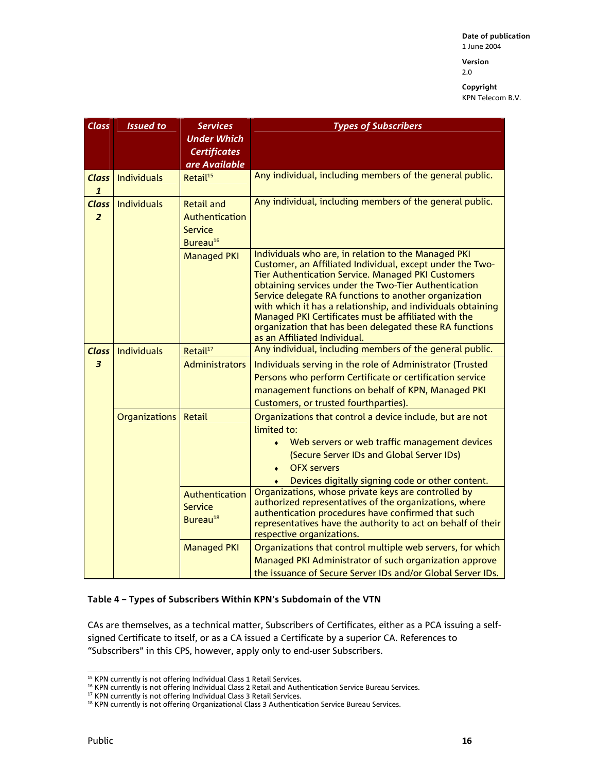**Version**  2.0

**Copyright**  KPN Telecom B.V.

| <b>Class</b>                   | <b>Issued to</b>     | <b>Services</b><br><b>Under Which</b><br><b>Certificates</b><br>are Available | <b>Types of Subscribers</b>                                                                                                                                                                                                                                                                                                                                                                                                                                                                                      |
|--------------------------------|----------------------|-------------------------------------------------------------------------------|------------------------------------------------------------------------------------------------------------------------------------------------------------------------------------------------------------------------------------------------------------------------------------------------------------------------------------------------------------------------------------------------------------------------------------------------------------------------------------------------------------------|
| <b>Class</b><br>$\mathbf{1}$   | Individuals          | Retail <sup>15</sup>                                                          | Any individual, including members of the general public.                                                                                                                                                                                                                                                                                                                                                                                                                                                         |
| <b>Class</b><br>$\overline{2}$ | <b>Individuals</b>   | <b>Retail and</b><br>Authentication<br><b>Service</b><br>Bureau <sup>16</sup> | Any individual, including members of the general public.                                                                                                                                                                                                                                                                                                                                                                                                                                                         |
|                                |                      | <b>Managed PKI</b>                                                            | Individuals who are, in relation to the Managed PKI<br>Customer, an Affiliated Individual, except under the Two-<br><b>Tier Authentication Service. Managed PKI Customers</b><br>obtaining services under the Two-Tier Authentication<br>Service delegate RA functions to another organization<br>with which it has a relationship, and individuals obtaining<br>Managed PKI Certificates must be affiliated with the<br>organization that has been delegated these RA functions<br>as an Affiliated Individual. |
| <b>Class</b>                   | <b>Individuals</b>   | Retail <sup>17</sup>                                                          | Any individual, including members of the general public.                                                                                                                                                                                                                                                                                                                                                                                                                                                         |
| $\overline{\mathbf{3}}$        |                      | <b>Administrators</b>                                                         | Individuals serving in the role of Administrator (Trusted<br>Persons who perform Certificate or certification service<br>management functions on behalf of KPN, Managed PKI<br>Customers, or trusted fourthparties).                                                                                                                                                                                                                                                                                             |
|                                | <b>Organizations</b> | Retail                                                                        | Organizations that control a device include, but are not<br>limited to:<br>Web servers or web traffic management devices<br>(Secure Server IDs and Global Server IDs)<br><b>OFX servers</b><br>Devices digitally signing code or other content.                                                                                                                                                                                                                                                                  |
|                                |                      | Authentication<br>Service<br>Bureau <sup>18</sup>                             | Organizations, whose private keys are controlled by<br>authorized representatives of the organizations, where<br>authentication procedures have confirmed that such<br>representatives have the authority to act on behalf of their<br>respective organizations.                                                                                                                                                                                                                                                 |
|                                |                      | <b>Managed PKI</b>                                                            | Organizations that control multiple web servers, for which<br>Managed PKI Administrator of such organization approve<br>the issuance of Secure Server IDs and/or Global Server IDs.                                                                                                                                                                                                                                                                                                                              |

#### **Table 4 – Types of Subscribers Within KPN's Subdomain of the VTN**

CAs are themselves, as a technical matter, Subscribers of Certificates, either as a PCA issuing a selfsigned Certificate to itself, or as a CA issued a Certificate by a superior CA. References to "Subscribers" in this CPS, however, apply only to end-user Subscribers.

l

 $<sup>15</sup>$  KPN currently is not offering Individual Class 1 Retail Services.</sup>

 $^{16}$  KPN currently is not offering Individual Class 2 Retail and Authentication Service Bureau Services.

<sup>&</sup>lt;sup>17</sup> KPN currently is not offering Individual Class 3 Retail Services.

<sup>&</sup>lt;sup>18</sup> KPN currently is not offering Organizational Class 3 Authentication Service Bureau Services.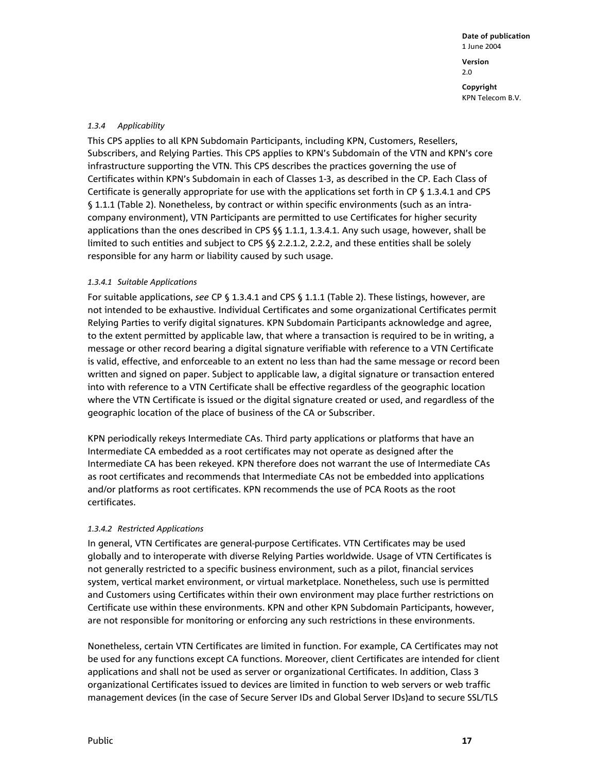#### *1.3.4 Applicability*

This CPS applies to all KPN Subdomain Participants, including KPN, Customers, Resellers, Subscribers, and Relying Parties. This CPS applies to KPN's Subdomain of the VTN and KPN's core infrastructure supporting the VTN. This CPS describes the practices governing the use of Certificates within KPN's Subdomain in each of Classes 1-3, as described in the CP. Each Class of Certificate is generally appropriate for use with the applications set forth in CP § 1.3.4.1 and CPS § 1.1.1 (Table 2). Nonetheless, by contract or within specific environments (such as an intracompany environment), VTN Participants are permitted to use Certificates for higher security applications than the ones described in CPS §§ 1.1.1, 1.3.4.1. Any such usage, however, shall be limited to such entities and subject to CPS §§ 2.2.1.2, 2.2.2, and these entities shall be solely responsible for any harm or liability caused by such usage.

#### *1.3.4.1 Suitable Applications*

For suitable applications, *see* CP § 1.3.4.1 and CPS § 1.1.1 (Table 2). These listings, however, are not intended to be exhaustive. Individual Certificates and some organizational Certificates permit Relying Parties to verify digital signatures. KPN Subdomain Participants acknowledge and agree, to the extent permitted by applicable law, that where a transaction is required to be in writing, a message or other record bearing a digital signature verifiable with reference to a VTN Certificate is valid, effective, and enforceable to an extent no less than had the same message or record been written and signed on paper. Subject to applicable law, a digital signature or transaction entered into with reference to a VTN Certificate shall be effective regardless of the geographic location where the VTN Certificate is issued or the digital signature created or used, and regardless of the geographic location of the place of business of the CA or Subscriber.

KPN periodically rekeys Intermediate CAs. Third party applications or platforms that have an Intermediate CA embedded as a root certificates may not operate as designed after the Intermediate CA has been rekeyed. KPN therefore does not warrant the use of Intermediate CAs as root certificates and recommends that Intermediate CAs not be embedded into applications and/or platforms as root certificates. KPN recommends the use of PCA Roots as the root certificates.

#### *1.3.4.2 Restricted Applications*

In general, VTN Certificates are general-purpose Certificates. VTN Certificates may be used globally and to interoperate with diverse Relying Parties worldwide. Usage of VTN Certificates is not generally restricted to a specific business environment, such as a pilot, financial services system, vertical market environment, or virtual marketplace. Nonetheless, such use is permitted and Customers using Certificates within their own environment may place further restrictions on Certificate use within these environments. KPN and other KPN Subdomain Participants, however, are not responsible for monitoring or enforcing any such restrictions in these environments.

Nonetheless, certain VTN Certificates are limited in function. For example, CA Certificates may not be used for any functions except CA functions. Moreover, client Certificates are intended for client applications and shall not be used as server or organizational Certificates. In addition, Class 3 organizational Certificates issued to devices are limited in function to web servers or web traffic management devices (in the case of Secure Server IDs and Global Server IDs)and to secure SSL/TLS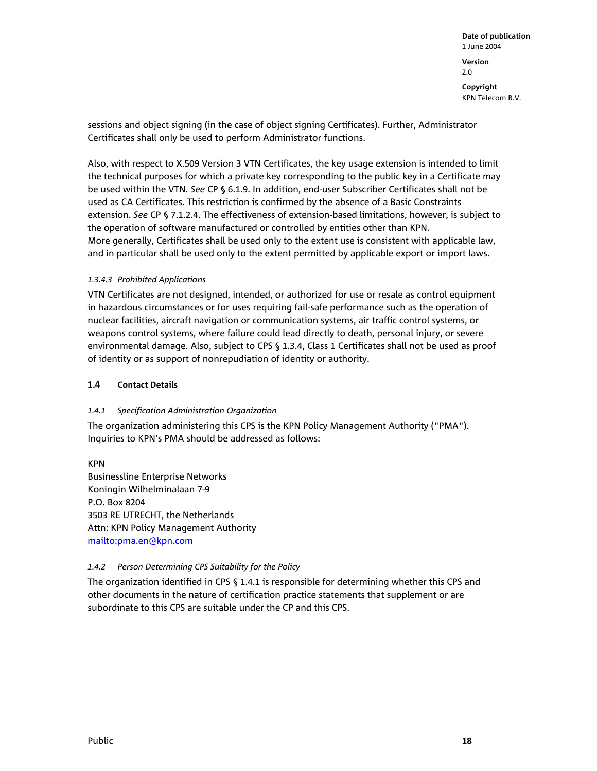sessions and object signing (in the case of object signing Certificates). Further, Administrator Certificates shall only be used to perform Administrator functions.

Also, with respect to X.509 Version 3 VTN Certificates, the key usage extension is intended to limit the technical purposes for which a private key corresponding to the public key in a Certificate may be used within the VTN. *See* CP § 6.1.9. In addition, end-user Subscriber Certificates shall not be used as CA Certificates. This restriction is confirmed by the absence of a Basic Constraints extension. *See* CP § 7.1.2.4. The effectiveness of extension-based limitations, however, is subject to the operation of software manufactured or controlled by entities other than KPN. More generally, Certificates shall be used only to the extent use is consistent with applicable law, and in particular shall be used only to the extent permitted by applicable export or import laws.

#### *1.3.4.3 Prohibited Applications*

VTN Certificates are not designed, intended, or authorized for use or resale as control equipment in hazardous circumstances or for uses requiring fail-safe performance such as the operation of nuclear facilities, aircraft navigation or communication systems, air traffic control systems, or weapons control systems, where failure could lead directly to death, personal injury, or severe environmental damage. Also, subject to CPS § 1.3.4, Class 1 Certificates shall not be used as proof of identity or as support of nonrepudiation of identity or authority.

#### **1.4 Contact Details**

#### *1.4.1 Specification Administration Organization*

The organization administering this CPS is the KPN Policy Management Authority ("PMA"). Inquiries to KPN's PMA should be addressed as follows:

KPN Businessline Enterprise Networks Koningin Wilhelminalaan 7-9 P.O. Box 8204 3503 RE UTRECHT, the Netherlands Attn: KPN Policy Management Authority mailto:pma.en@kpn.com

#### *1.4.2 Person Determining CPS Suitability for the Policy*

The organization identified in CPS § 1.4.1 is responsible for determining whether this CPS and other documents in the nature of certification practice statements that supplement or are subordinate to this CPS are suitable under the CP and this CPS.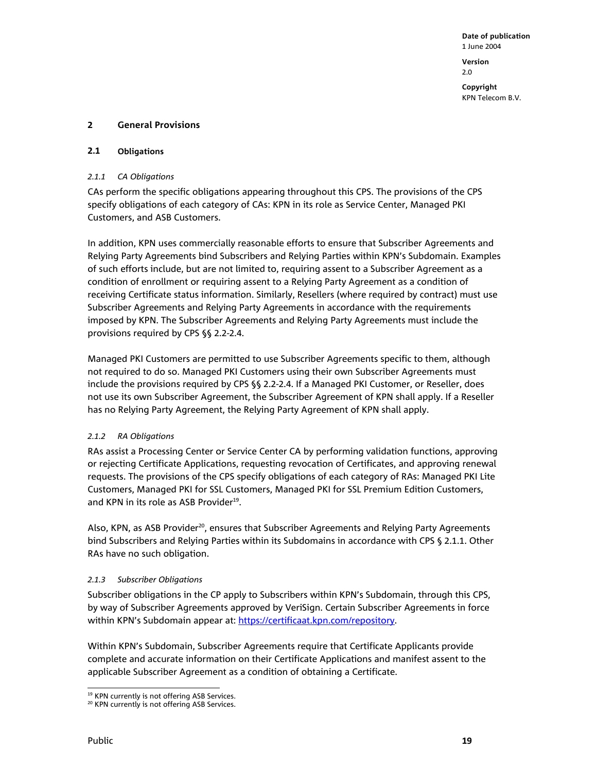**Date of publication**  1 June 2004 **Version**  2.0

**Copyright**  KPN Telecom B.V.

#### **2 General Provisions**

#### **2.1 Obligations**

#### *2.1.1 CA Obligations*

CAs perform the specific obligations appearing throughout this CPS. The provisions of the CPS specify obligations of each category of CAs: KPN in its role as Service Center, Managed PKI Customers, and ASB Customers.

In addition, KPN uses commercially reasonable efforts to ensure that Subscriber Agreements and Relying Party Agreements bind Subscribers and Relying Parties within KPN's Subdomain. Examples of such efforts include, but are not limited to, requiring assent to a Subscriber Agreement as a condition of enrollment or requiring assent to a Relying Party Agreement as a condition of receiving Certificate status information. Similarly, Resellers (where required by contract) must use Subscriber Agreements and Relying Party Agreements in accordance with the requirements imposed by KPN. The Subscriber Agreements and Relying Party Agreements must include the provisions required by CPS §§ 2.2-2.4.

Managed PKI Customers are permitted to use Subscriber Agreements specific to them, although not required to do so. Managed PKI Customers using their own Subscriber Agreements must include the provisions required by CPS §§ 2.2-2.4. If a Managed PKI Customer, or Reseller, does not use its own Subscriber Agreement, the Subscriber Agreement of KPN shall apply. If a Reseller has no Relying Party Agreement, the Relying Party Agreement of KPN shall apply.

#### *2.1.2 RA Obligations*

RAs assist a Processing Center or Service Center CA by performing validation functions, approving or rejecting Certificate Applications, requesting revocation of Certificates, and approving renewal requests. The provisions of the CPS specify obligations of each category of RAs: Managed PKI Lite Customers, Managed PKI for SSL Customers, Managed PKI for SSL Premium Edition Customers, and KPN in its role as ASB Provider<sup>19</sup>.

Also, KPN, as ASB Provider<sup>20</sup>, ensures that Subscriber Agreements and Relying Party Agreements bind Subscribers and Relying Parties within its Subdomains in accordance with CPS § 2.1.1. Other RAs have no such obligation.

#### *2.1.3 Subscriber Obligations*

Subscriber obligations in the CP apply to Subscribers within KPN's Subdomain, through this CPS, by way of Subscriber Agreements approved by VeriSign. Certain Subscriber Agreements in force within KPN's Subdomain appear at: https://certificaat.kpn.com/repository.

Within KPN's Subdomain, Subscriber Agreements require that Certificate Applicants provide complete and accurate information on their Certificate Applications and manifest assent to the applicable Subscriber Agreement as a condition of obtaining a Certificate.

l <sup>19</sup> KPN currently is not offering ASB Services.

<sup>&</sup>lt;sup>20</sup> KPN currently is not offering ASB Services.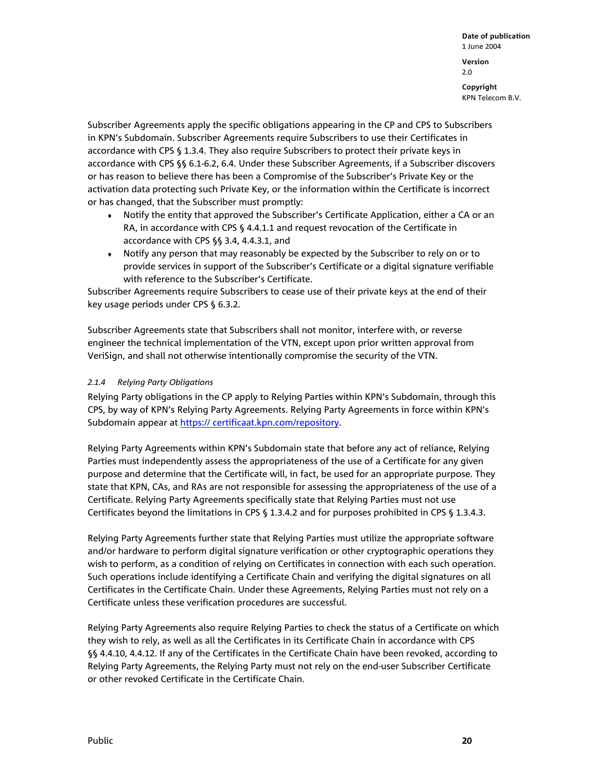**Date of publication**  1 June 2004 **Version**  2.0 **Copyright** 

KPN Telecom B.V.

Subscriber Agreements apply the specific obligations appearing in the CP and CPS to Subscribers in KPN's Subdomain. Subscriber Agreements require Subscribers to use their Certificates in accordance with CPS § 1.3.4. They also require Subscribers to protect their private keys in accordance with CPS §§ 6.1-6.2, 6.4. Under these Subscriber Agreements, if a Subscriber discovers or has reason to believe there has been a Compromise of the Subscriber's Private Key or the activation data protecting such Private Key, or the information within the Certificate is incorrect or has changed, that the Subscriber must promptly:

- ♦ Notify the entity that approved the Subscriber's Certificate Application, either a CA or an RA, in accordance with CPS § 4.4.1.1 and request revocation of the Certificate in accordance with CPS §§ 3.4, 4.4.3.1, and
- ♦ Notify any person that may reasonably be expected by the Subscriber to rely on or to provide services in support of the Subscriber's Certificate or a digital signature verifiable with reference to the Subscriber's Certificate.

Subscriber Agreements require Subscribers to cease use of their private keys at the end of their key usage periods under CPS § 6.3.2.

Subscriber Agreements state that Subscribers shall not monitor, interfere with, or reverse engineer the technical implementation of the VTN, except upon prior written approval from VeriSign, and shall not otherwise intentionally compromise the security of the VTN.

#### *2.1.4 Relying Party Obligations*

Relying Party obligations in the CP apply to Relying Parties within KPN's Subdomain, through this CPS, by way of KPN's Relying Party Agreements. Relying Party Agreements in force within KPN's Subdomain appear at https:// certificaat.kpn.com/repository.

Relying Party Agreements within KPN's Subdomain state that before any act of reliance, Relying Parties must independently assess the appropriateness of the use of a Certificate for any given purpose and determine that the Certificate will, in fact, be used for an appropriate purpose. They state that KPN, CAs, and RAs are not responsible for assessing the appropriateness of the use of a Certificate. Relying Party Agreements specifically state that Relying Parties must not use Certificates beyond the limitations in CPS § 1.3.4.2 and for purposes prohibited in CPS § 1.3.4.3.

Relying Party Agreements further state that Relying Parties must utilize the appropriate software and/or hardware to perform digital signature verification or other cryptographic operations they wish to perform, as a condition of relying on Certificates in connection with each such operation. Such operations include identifying a Certificate Chain and verifying the digital signatures on all Certificates in the Certificate Chain. Under these Agreements, Relying Parties must not rely on a Certificate unless these verification procedures are successful.

Relying Party Agreements also require Relying Parties to check the status of a Certificate on which they wish to rely, as well as all the Certificates in its Certificate Chain in accordance with CPS §§ 4.4.10, 4.4.12. If any of the Certificates in the Certificate Chain have been revoked, according to Relying Party Agreements, the Relying Party must not rely on the end-user Subscriber Certificate or other revoked Certificate in the Certificate Chain.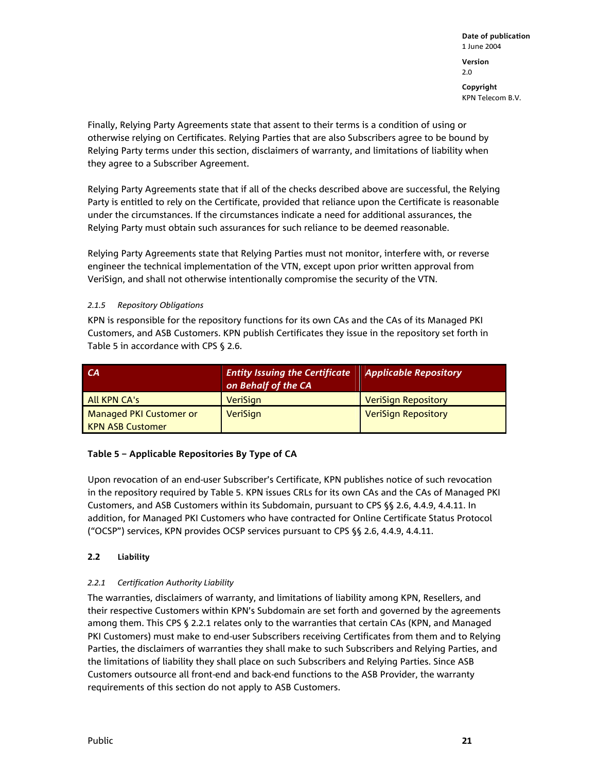Finally, Relying Party Agreements state that assent to their terms is a condition of using or otherwise relying on Certificates. Relying Parties that are also Subscribers agree to be bound by Relying Party terms under this section, disclaimers of warranty, and limitations of liability when they agree to a Subscriber Agreement.

Relying Party Agreements state that if all of the checks described above are successful, the Relying Party is entitled to rely on the Certificate, provided that reliance upon the Certificate is reasonable under the circumstances. If the circumstances indicate a need for additional assurances, the Relying Party must obtain such assurances for such reliance to be deemed reasonable.

Relying Party Agreements state that Relying Parties must not monitor, interfere with, or reverse engineer the technical implementation of the VTN, except upon prior written approval from VeriSign, and shall not otherwise intentionally compromise the security of the VTN.

#### *2.1.5 Repository Obligations*

KPN is responsible for the repository functions for its own CAs and the CAs of its Managed PKI Customers, and ASB Customers. KPN publish Certificates they issue in the repository set forth in Table 5 in accordance with CPS § 2.6.

| СA                             | <b>Entity Issuing the Certificate</b><br>on Behalf of the CA | <b>Applicable Repository</b> |
|--------------------------------|--------------------------------------------------------------|------------------------------|
| All KPN CA's                   | <b>VeriSign</b>                                              | <b>VeriSign Repository</b>   |
| <b>Managed PKI Customer or</b> | <b>VeriSign</b>                                              | <b>VeriSign Repository</b>   |
| <b>KPN ASB Customer</b>        |                                                              |                              |

#### **Table 5 – Applicable Repositories By Type of CA**

Upon revocation of an end-user Subscriber's Certificate, KPN publishes notice of such revocation in the repository required by Table 5. KPN issues CRLs for its own CAs and the CAs of Managed PKI Customers, and ASB Customers within its Subdomain, pursuant to CPS §§ 2.6, 4.4.9, 4.4.11. In addition, for Managed PKI Customers who have contracted for Online Certificate Status Protocol ("OCSP") services, KPN provides OCSP services pursuant to CPS §§ 2.6, 4.4.9, 4.4.11.

#### **2.2 Liability**

#### *2.2.1 Certification Authority Liability*

The warranties, disclaimers of warranty, and limitations of liability among KPN, Resellers, and their respective Customers within KPN's Subdomain are set forth and governed by the agreements among them. This CPS § 2.2.1 relates only to the warranties that certain CAs (KPN, and Managed PKI Customers) must make to end-user Subscribers receiving Certificates from them and to Relying Parties, the disclaimers of warranties they shall make to such Subscribers and Relying Parties, and the limitations of liability they shall place on such Subscribers and Relying Parties. Since ASB Customers outsource all front-end and back-end functions to the ASB Provider, the warranty requirements of this section do not apply to ASB Customers.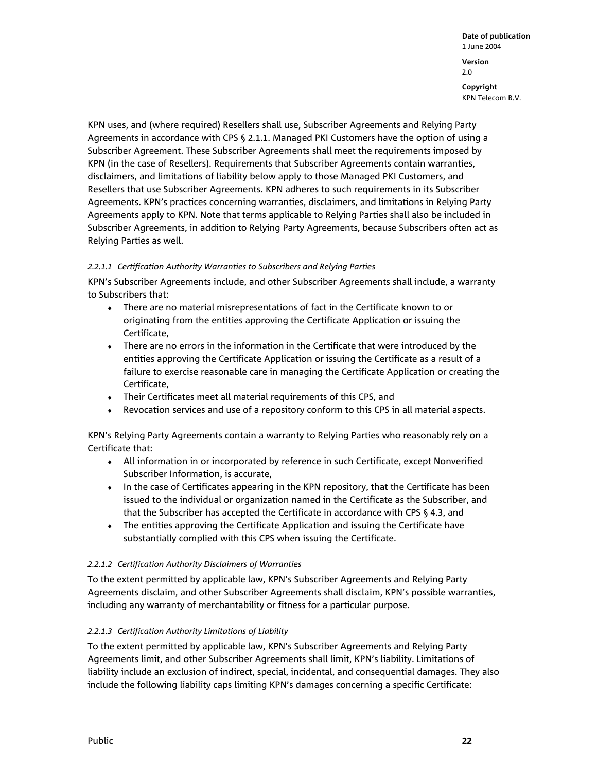KPN uses, and (where required) Resellers shall use, Subscriber Agreements and Relying Party Agreements in accordance with CPS § 2.1.1. Managed PKI Customers have the option of using a Subscriber Agreement. These Subscriber Agreements shall meet the requirements imposed by KPN (in the case of Resellers). Requirements that Subscriber Agreements contain warranties, disclaimers, and limitations of liability below apply to those Managed PKI Customers, and Resellers that use Subscriber Agreements. KPN adheres to such requirements in its Subscriber Agreements. KPN's practices concerning warranties, disclaimers, and limitations in Relying Party Agreements apply to KPN. Note that terms applicable to Relying Parties shall also be included in Subscriber Agreements, in addition to Relying Party Agreements, because Subscribers often act as Relying Parties as well.

#### *2.2.1.1 Certification Authority Warranties to Subscribers and Relying Parties*

KPN's Subscriber Agreements include, and other Subscriber Agreements shall include, a warranty to Subscribers that:

- ♦ There are no material misrepresentations of fact in the Certificate known to or originating from the entities approving the Certificate Application or issuing the Certificate,
- ♦ There are no errors in the information in the Certificate that were introduced by the entities approving the Certificate Application or issuing the Certificate as a result of a failure to exercise reasonable care in managing the Certificate Application or creating the Certificate,
- ♦ Their Certificates meet all material requirements of this CPS, and
- ♦ Revocation services and use of a repository conform to this CPS in all material aspects.

KPN's Relying Party Agreements contain a warranty to Relying Parties who reasonably rely on a Certificate that:

- ♦ All information in or incorporated by reference in such Certificate, except Nonverified Subscriber Information, is accurate,
- ♦ In the case of Certificates appearing in the KPN repository, that the Certificate has been issued to the individual or organization named in the Certificate as the Subscriber, and that the Subscriber has accepted the Certificate in accordance with CPS § 4.3, and
- ♦ The entities approving the Certificate Application and issuing the Certificate have substantially complied with this CPS when issuing the Certificate.

#### *2.2.1.2 Certification Authority Disclaimers of Warranties*

To the extent permitted by applicable law, KPN's Subscriber Agreements and Relying Party Agreements disclaim, and other Subscriber Agreements shall disclaim, KPN's possible warranties, including any warranty of merchantability or fitness for a particular purpose.

#### *2.2.1.3 Certification Authority Limitations of Liability*

To the extent permitted by applicable law, KPN's Subscriber Agreements and Relying Party Agreements limit, and other Subscriber Agreements shall limit, KPN's liability. Limitations of liability include an exclusion of indirect, special, incidental, and consequential damages. They also include the following liability caps limiting KPN's damages concerning a specific Certificate: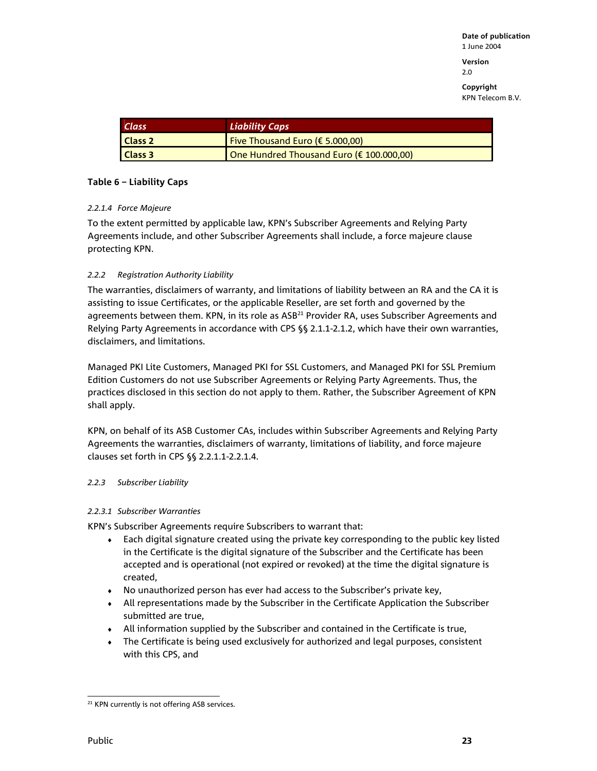**Version**  2.0

**Copyright**  KPN Telecom B.V.

| <b>Class</b>       | <b>Liability Caps</b>                     |
|--------------------|-------------------------------------------|
| Class <sub>2</sub> | Five Thousand Euro ( $\epsilon$ 5.000,00) |
| Class 3            | One Hundred Thousand Euro (€ 100.000,00)  |

#### **Table 6 – Liability Caps**

#### *2.2.1.4 Force Majeure*

To the extent permitted by applicable law, KPN's Subscriber Agreements and Relying Party Agreements include, and other Subscriber Agreements shall include, a force majeure clause protecting KPN.

#### *2.2.2 Registration Authority Liability*

The warranties, disclaimers of warranty, and limitations of liability between an RA and the CA it is assisting to issue Certificates, or the applicable Reseller, are set forth and governed by the agreements between them. KPN, in its role as ASB<sup>21</sup> Provider RA, uses Subscriber Agreements and Relying Party Agreements in accordance with CPS §§ 2.1.1-2.1.2, which have their own warranties, disclaimers, and limitations.

Managed PKI Lite Customers, Managed PKI for SSL Customers, and Managed PKI for SSL Premium Edition Customers do not use Subscriber Agreements or Relying Party Agreements. Thus, the practices disclosed in this section do not apply to them. Rather, the Subscriber Agreement of KPN shall apply.

KPN, on behalf of its ASB Customer CAs, includes within Subscriber Agreements and Relying Party Agreements the warranties, disclaimers of warranty, limitations of liability, and force majeure clauses set forth in CPS §§ 2.2.1.1-2.2.1.4.

#### *2.2.3 Subscriber Liability*

#### *2.2.3.1 Subscriber Warranties*

KPN's Subscriber Agreements require Subscribers to warrant that:

- $\bullet$  Each digital signature created using the private key corresponding to the public key listed in the Certificate is the digital signature of the Subscriber and the Certificate has been accepted and is operational (not expired or revoked) at the time the digital signature is created,
- ♦ No unauthorized person has ever had access to the Subscriber's private key,
- ♦ All representations made by the Subscriber in the Certificate Application the Subscriber submitted are true,
- $\bullet$  All information supplied by the Subscriber and contained in the Certificate is true,
- ♦ The Certificate is being used exclusively for authorized and legal purposes, consistent with this CPS, and

l <sup>21</sup> KPN currently is not offering ASB services.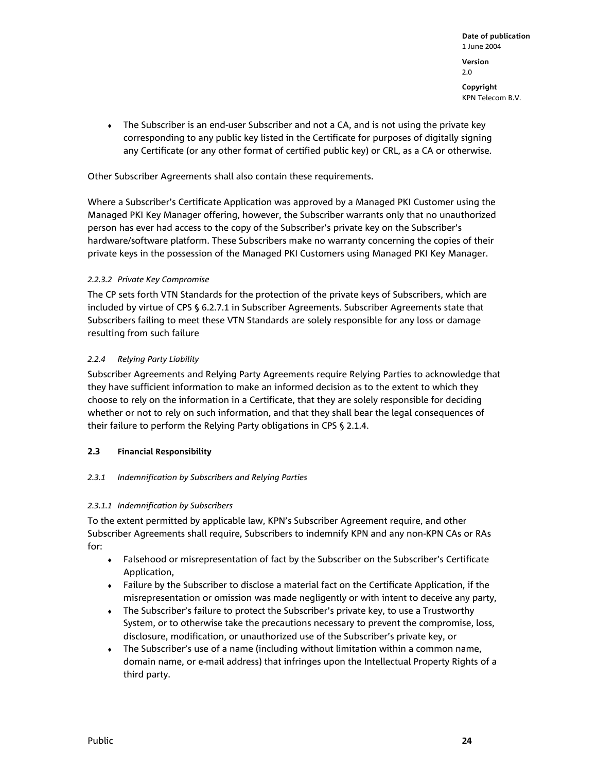• The Subscriber is an end-user Subscriber and not a CA, and is not using the private key corresponding to any public key listed in the Certificate for purposes of digitally signing any Certificate (or any other format of certified public key) or CRL, as a CA or otherwise.

Other Subscriber Agreements shall also contain these requirements.

Where a Subscriber's Certificate Application was approved by a Managed PKI Customer using the Managed PKI Key Manager offering, however, the Subscriber warrants only that no unauthorized person has ever had access to the copy of the Subscriber's private key on the Subscriber's hardware/software platform. These Subscribers make no warranty concerning the copies of their private keys in the possession of the Managed PKI Customers using Managed PKI Key Manager.

#### *2.2.3.2 Private Key Compromise*

The CP sets forth VTN Standards for the protection of the private keys of Subscribers, which are included by virtue of CPS § 6.2.7.1 in Subscriber Agreements. Subscriber Agreements state that Subscribers failing to meet these VTN Standards are solely responsible for any loss or damage resulting from such failure

#### *2.2.4 Relying Party Liability*

Subscriber Agreements and Relying Party Agreements require Relying Parties to acknowledge that they have sufficient information to make an informed decision as to the extent to which they choose to rely on the information in a Certificate, that they are solely responsible for deciding whether or not to rely on such information, and that they shall bear the legal consequences of their failure to perform the Relying Party obligations in CPS § 2.1.4.

#### **2.3 Financial Responsibility**

#### *2.3.1 Indemnification by Subscribers and Relying Parties*

#### *2.3.1.1 Indemnification by Subscribers*

To the extent permitted by applicable law, KPN's Subscriber Agreement require, and other Subscriber Agreements shall require, Subscribers to indemnify KPN and any non-KPN CAs or RAs for:

- ♦ Falsehood or misrepresentation of fact by the Subscriber on the Subscriber's Certificate Application,
- ♦ Failure by the Subscriber to disclose a material fact on the Certificate Application, if the misrepresentation or omission was made negligently or with intent to deceive any party,
- ♦ The Subscriber's failure to protect the Subscriber's private key, to use a Trustworthy System, or to otherwise take the precautions necessary to prevent the compromise, loss, disclosure, modification, or unauthorized use of the Subscriber's private key, or
- $\bullet$  The Subscriber's use of a name (including without limitation within a common name, domain name, or e-mail address) that infringes upon the Intellectual Property Rights of a third party.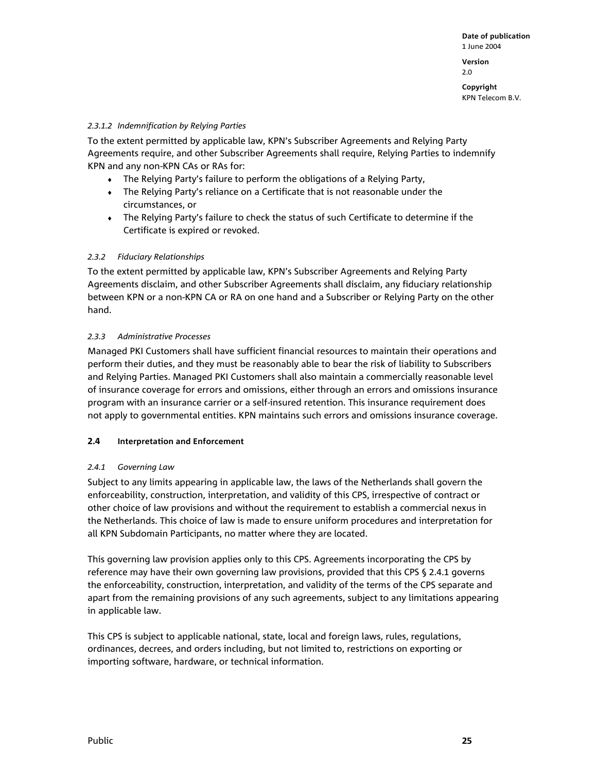**Version**  2.0

**Copyright**  KPN Telecom B.V.

#### *2.3.1.2 Indemnification by Relying Parties*

To the extent permitted by applicable law, KPN's Subscriber Agreements and Relying Party Agreements require, and other Subscriber Agreements shall require, Relying Parties to indemnify KPN and any non-KPN CAs or RAs for:

- ♦ The Relying Party's failure to perform the obligations of a Relying Party,
- ♦ The Relying Party's reliance on a Certificate that is not reasonable under the circumstances, or
- ♦ The Relying Party's failure to check the status of such Certificate to determine if the Certificate is expired or revoked.

#### *2.3.2 Fiduciary Relationships*

To the extent permitted by applicable law, KPN's Subscriber Agreements and Relying Party Agreements disclaim, and other Subscriber Agreements shall disclaim, any fiduciary relationship between KPN or a non-KPN CA or RA on one hand and a Subscriber or Relying Party on the other hand.

#### *2.3.3 Administrative Processes*

Managed PKI Customers shall have sufficient financial resources to maintain their operations and perform their duties, and they must be reasonably able to bear the risk of liability to Subscribers and Relying Parties. Managed PKI Customers shall also maintain a commercially reasonable level of insurance coverage for errors and omissions, either through an errors and omissions insurance program with an insurance carrier or a self-insured retention. This insurance requirement does not apply to governmental entities. KPN maintains such errors and omissions insurance coverage.

#### **2.4 Interpretation and Enforcement**

#### *2.4.1 Governing Law*

Subject to any limits appearing in applicable law, the laws of the Netherlands shall govern the enforceability, construction, interpretation, and validity of this CPS, irrespective of contract or other choice of law provisions and without the requirement to establish a commercial nexus in the Netherlands. This choice of law is made to ensure uniform procedures and interpretation for all KPN Subdomain Participants, no matter where they are located.

This governing law provision applies only to this CPS. Agreements incorporating the CPS by reference may have their own governing law provisions, provided that this CPS § 2.4.1 governs the enforceability, construction, interpretation, and validity of the terms of the CPS separate and apart from the remaining provisions of any such agreements, subject to any limitations appearing in applicable law.

This CPS is subject to applicable national, state, local and foreign laws, rules, regulations, ordinances, decrees, and orders including, but not limited to, restrictions on exporting or importing software, hardware, or technical information.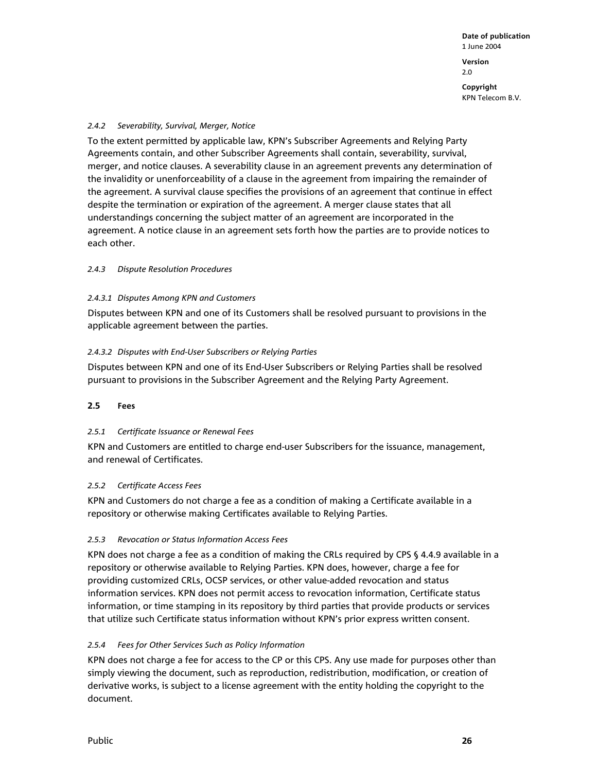#### *2.4.2 Severability, Survival, Merger, Notice*

To the extent permitted by applicable law, KPN's Subscriber Agreements and Relying Party Agreements contain, and other Subscriber Agreements shall contain, severability, survival, merger, and notice clauses. A severability clause in an agreement prevents any determination of the invalidity or unenforceability of a clause in the agreement from impairing the remainder of the agreement. A survival clause specifies the provisions of an agreement that continue in effect despite the termination or expiration of the agreement. A merger clause states that all understandings concerning the subject matter of an agreement are incorporated in the agreement. A notice clause in an agreement sets forth how the parties are to provide notices to each other.

#### *2.4.3 Dispute Resolution Procedures*

#### *2.4.3.1 Disputes Among KPN and Customers*

Disputes between KPN and one of its Customers shall be resolved pursuant to provisions in the applicable agreement between the parties.

#### *2.4.3.2 Disputes with End-User Subscribers or Relying Parties*

Disputes between KPN and one of its End-User Subscribers or Relying Parties shall be resolved pursuant to provisions in the Subscriber Agreement and the Relying Party Agreement.

#### **2.5 Fees**

#### *2.5.1 Certificate Issuance or Renewal Fees*

KPN and Customers are entitled to charge end-user Subscribers for the issuance, management, and renewal of Certificates.

#### *2.5.2 Certificate Access Fees*

KPN and Customers do not charge a fee as a condition of making a Certificate available in a repository or otherwise making Certificates available to Relying Parties.

#### *2.5.3 Revocation or Status Information Access Fees*

KPN does not charge a fee as a condition of making the CRLs required by CPS § 4.4.9 available in a repository or otherwise available to Relying Parties. KPN does, however, charge a fee for providing customized CRLs, OCSP services, or other value-added revocation and status information services. KPN does not permit access to revocation information, Certificate status information, or time stamping in its repository by third parties that provide products or services that utilize such Certificate status information without KPN's prior express written consent.

#### *2.5.4 Fees for Other Services Such as Policy Information*

KPN does not charge a fee for access to the CP or this CPS. Any use made for purposes other than simply viewing the document, such as reproduction, redistribution, modification, or creation of derivative works, is subject to a license agreement with the entity holding the copyright to the document.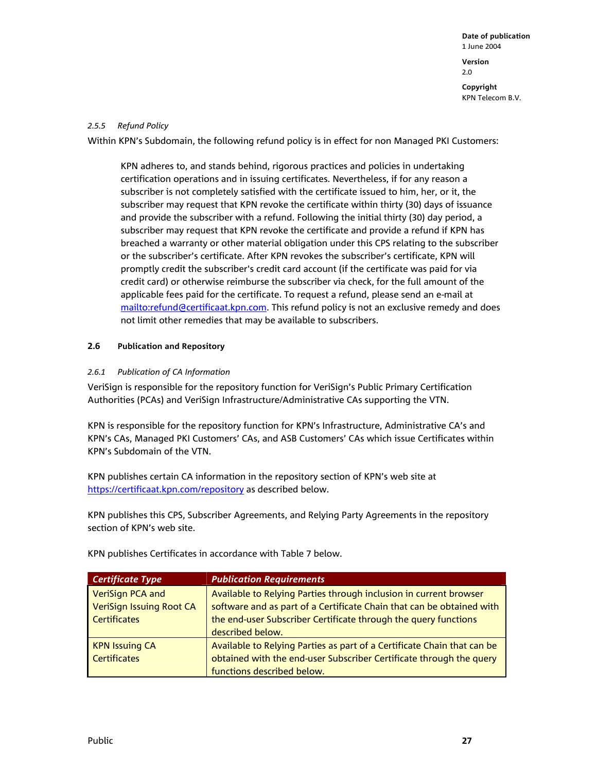#### *2.5.5 Refund Policy*

Within KPN's Subdomain, the following refund policy is in effect for non Managed PKI Customers:

KPN adheres to, and stands behind, rigorous practices and policies in undertaking certification operations and in issuing certificates. Nevertheless, if for any reason a subscriber is not completely satisfied with the certificate issued to him, her, or it, the subscriber may request that KPN revoke the certificate within thirty (30) days of issuance and provide the subscriber with a refund. Following the initial thirty (30) day period, a subscriber may request that KPN revoke the certificate and provide a refund if KPN has breached a warranty or other material obligation under this CPS relating to the subscriber or the subscriber's certificate. After KPN revokes the subscriber's certificate, KPN will promptly credit the subscriber's credit card account (if the certificate was paid for via credit card) or otherwise reimburse the subscriber via check, for the full amount of the applicable fees paid for the certificate. To request a refund, please send an e-mail at mailto:refund@certificaat.kpn.com. This refund policy is not an exclusive remedy and does not limit other remedies that may be available to subscribers.

#### **2.6 Publication and Repository**

#### *2.6.1 Publication of CA Information*

VeriSign is responsible for the repository function for VeriSign's Public Primary Certification Authorities (PCAs) and VeriSign Infrastructure/Administrative CAs supporting the VTN.

KPN is responsible for the repository function for KPN's Infrastructure, Administrative CA's and KPN's CAs, Managed PKI Customers' CAs, and ASB Customers' CAs which issue Certificates within KPN's Subdomain of the VTN.

KPN publishes certain CA information in the repository section of KPN's web site at https://certificaat.kpn.com/repository as described below.

KPN publishes this CPS, Subscriber Agreements, and Relying Party Agreements in the repository section of KPN's web site.

| <b>Certificate Type</b>         | <b>Publication Requirements</b>                                         |
|---------------------------------|-------------------------------------------------------------------------|
| <b>VeriSign PCA and</b>         | Available to Relying Parties through inclusion in current browser       |
| <b>VeriSign Issuing Root CA</b> | software and as part of a Certificate Chain that can be obtained with   |
| <b>Certificates</b>             | the end-user Subscriber Certificate through the query functions         |
|                                 | described below.                                                        |
| <b>KPN Issuing CA</b>           | Available to Relying Parties as part of a Certificate Chain that can be |
| <b>Certificates</b>             | obtained with the end-user Subscriber Certificate through the query     |
|                                 | functions described below.                                              |

KPN publishes Certificates in accordance with Table 7 below.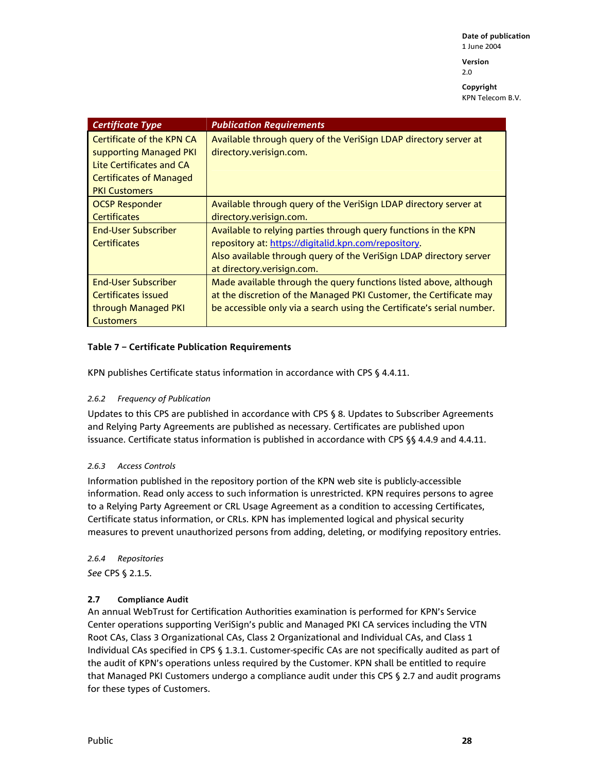**Version**  2.0

**Copyright**  KPN Telecom B.V.

| <b>Certificate Type</b>          | <b>Publication Requirements</b>                                        |
|----------------------------------|------------------------------------------------------------------------|
| <b>Certificate of the KPN CA</b> | Available through query of the VeriSign LDAP directory server at       |
| supporting Managed PKI           | directory.verisign.com.                                                |
| <b>Lite Certificates and CA</b>  |                                                                        |
| <b>Certificates of Managed</b>   |                                                                        |
| <b>PKI Customers</b>             |                                                                        |
| <b>OCSP Responder</b>            | Available through query of the VeriSign LDAP directory server at       |
| <b>Certificates</b>              | directory.verisign.com.                                                |
| <b>Fnd-User Subscriber</b>       | Available to relying parties through query functions in the KPN        |
| <b>Certificates</b>              | repository at: https://digitalid.kpn.com/repository.                   |
|                                  | Also available through query of the VeriSign LDAP directory server     |
|                                  | at directory.verisign.com.                                             |
| <b>End-User Subscriber</b>       | Made available through the query functions listed above, although      |
| Certificates issued              | at the discretion of the Managed PKI Customer, the Certificate may     |
| through Managed PKI              | be accessible only via a search using the Certificate's serial number. |
| <b>Customers</b>                 |                                                                        |

#### **Table 7 – Certificate Publication Requirements**

KPN publishes Certificate status information in accordance with CPS § 4.4.11.

#### *2.6.2 Frequency of Publication*

Updates to this CPS are published in accordance with CPS § 8. Updates to Subscriber Agreements and Relying Party Agreements are published as necessary. Certificates are published upon issuance. Certificate status information is published in accordance with CPS §§ 4.4.9 and 4.4.11.

#### *2.6.3 Access Controls*

Information published in the repository portion of the KPN web site is publicly-accessible information. Read only access to such information is unrestricted. KPN requires persons to agree to a Relying Party Agreement or CRL Usage Agreement as a condition to accessing Certificates, Certificate status information, or CRLs. KPN has implemented logical and physical security measures to prevent unauthorized persons from adding, deleting, or modifying repository entries.

*2.6.4 Repositories See* CPS § 2.1.5.

#### **2.7 Compliance Audit**

An annual WebTrust for Certification Authorities examination is performed for KPN's Service Center operations supporting VeriSign's public and Managed PKI CA services including the VTN Root CAs, Class 3 Organizational CAs, Class 2 Organizational and Individual CAs, and Class 1 Individual CAs specified in CPS § 1.3.1. Customer-specific CAs are not specifically audited as part of the audit of KPN's operations unless required by the Customer. KPN shall be entitled to require that Managed PKI Customers undergo a compliance audit under this CPS § 2.7 and audit programs for these types of Customers.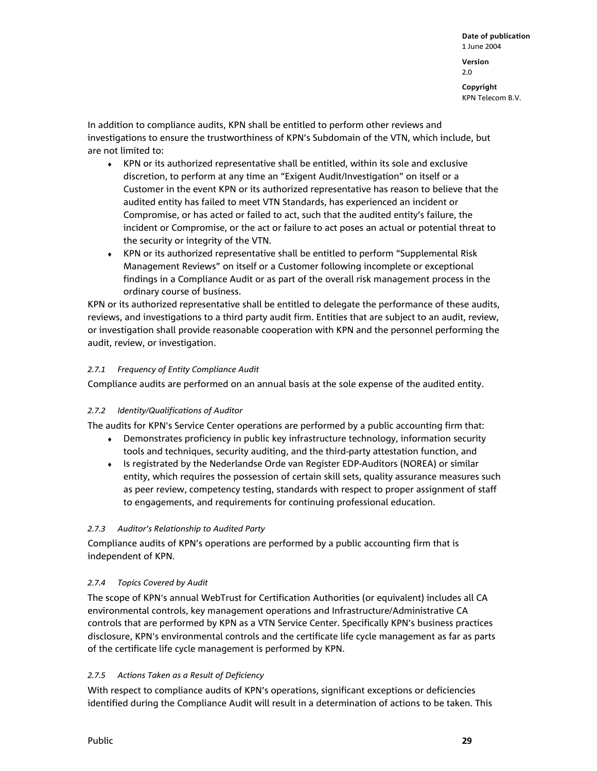**Date of publication**  1 June 2004 **Version**  2.0

**Copyright**  KPN Telecom B.V.

In addition to compliance audits, KPN shall be entitled to perform other reviews and investigations to ensure the trustworthiness of KPN's Subdomain of the VTN, which include, but are not limited to:

- ♦ KPN or its authorized representative shall be entitled, within its sole and exclusive discretion, to perform at any time an "Exigent Audit/Investigation" on itself or a Customer in the event KPN or its authorized representative has reason to believe that the audited entity has failed to meet VTN Standards, has experienced an incident or Compromise, or has acted or failed to act, such that the audited entity's failure, the incident or Compromise, or the act or failure to act poses an actual or potential threat to the security or integrity of the VTN.
- ♦ KPN or its authorized representative shall be entitled to perform "Supplemental Risk Management Reviews" on itself or a Customer following incomplete or exceptional findings in a Compliance Audit or as part of the overall risk management process in the ordinary course of business.

KPN or its authorized representative shall be entitled to delegate the performance of these audits, reviews, and investigations to a third party audit firm. Entities that are subject to an audit, review, or investigation shall provide reasonable cooperation with KPN and the personnel performing the audit, review, or investigation.

#### *2.7.1 Frequency of Entity Compliance Audit*

Compliance audits are performed on an annual basis at the sole expense of the audited entity.

#### *2.7.2 Identity/Qualifications of Auditor*

The audits for KPN's Service Center operations are performed by a public accounting firm that:

- ♦ Demonstrates proficiency in public key infrastructure technology, information security tools and techniques, security auditing, and the third-party attestation function, and
- ♦ Is registrated by the Nederlandse Orde van Register EDP-Auditors (NOREA) or similar entity, which requires the possession of certain skill sets, quality assurance measures such as peer review, competency testing, standards with respect to proper assignment of staff to engagements, and requirements for continuing professional education.

#### *2.7.3 Auditor's Relationship to Audited Party*

Compliance audits of KPN's operations are performed by a public accounting firm that is independent of KPN.

#### *2.7.4 Topics Covered by Audit*

The scope of KPN's annual WebTrust for Certification Authorities (or equivalent) includes all CA environmental controls, key management operations and Infrastructure/Administrative CA controls that are performed by KPN as a VTN Service Center. Specifically KPN's business practices disclosure, KPN's environmental controls and the certificate life cycle management as far as parts of the certificate life cycle management is performed by KPN.

#### *2.7.5 Actions Taken as a Result of Deficiency*

With respect to compliance audits of KPN's operations, significant exceptions or deficiencies identified during the Compliance Audit will result in a determination of actions to be taken. This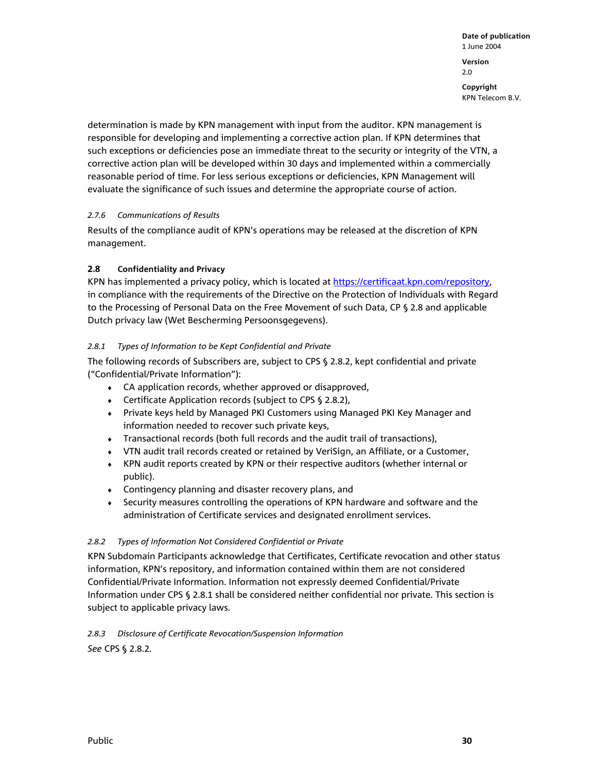determination is made by KPN management with input from the auditor. KPN management is responsible for developing and implementing a corrective action plan. If KPN determines that such exceptions or deficiencies pose an immediate threat to the security or integrity of the VTN, a corrective action plan will be developed within 30 days and implemented within a commercially reasonable period of time. For less serious exceptions or deficiencies, KPN Management will evaluate the significance of such issues and determine the appropriate course of action.

# *2.7.6 Communications of Results*

Results of the compliance audit of KPN's operations may be released at the discretion of KPN management.

# **2.8 Confidentiality and Privacy**

KPN has implemented a privacy policy, which is located at https://certificaat.kpn.com/repository, in compliance with the requirements of the Directive on the Protection of Individuals with Regard to the Processing of Personal Data on the Free Movement of such Data, CP § 2.8 and applicable Dutch privacy law (Wet Bescherming Persoonsgegevens).

# *2.8.1 Types of Information to be Kept Confidential and Private*

The following records of Subscribers are, subject to CPS § 2.8.2, kept confidential and private ("Confidential/Private Information"):

- ♦ CA application records, whether approved or disapproved,
- ♦ Certificate Application records (subject to CPS § 2.8.2),
- ♦ Private keys held by Managed PKI Customers using Managed PKI Key Manager and information needed to recover such private keys,
- ♦ Transactional records (both full records and the audit trail of transactions),
- ♦ VTN audit trail records created or retained by VeriSign, an Affiliate, or a Customer,
- ♦ KPN audit reports created by KPN or their respective auditors (whether internal or public).
- ♦ Contingency planning and disaster recovery plans, and
- ♦ Security measures controlling the operations of KPN hardware and software and the administration of Certificate services and designated enrollment services.

# *2.8.2 Types of Information Not Considered Confidential or Private*

KPN Subdomain Participants acknowledge that Certificates, Certificate revocation and other status information, KPN's repository, and information contained within them are not considered Confidential/Private Information. Information not expressly deemed Confidential/Private Information under CPS § 2.8.1 shall be considered neither confidential nor private. This section is subject to applicable privacy laws.

# *2.8.3 Disclosure of Certificate Revocation/Suspension Information*

*See* CPS § 2.8.2.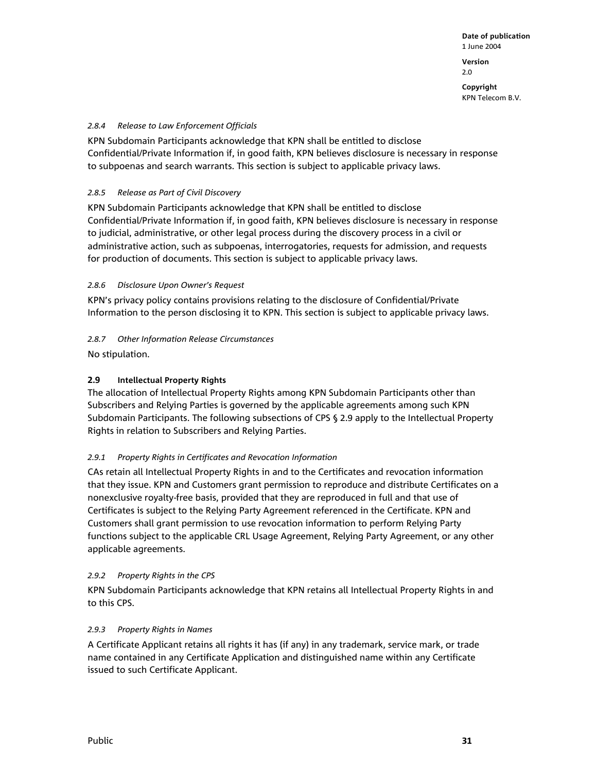**Version**  2.0

**Copyright**  KPN Telecom B.V.

## *2.8.4 Release to Law Enforcement Officials*

KPN Subdomain Participants acknowledge that KPN shall be entitled to disclose Confidential/Private Information if, in good faith, KPN believes disclosure is necessary in response to subpoenas and search warrants. This section is subject to applicable privacy laws.

# *2.8.5 Release as Part of Civil Discovery*

KPN Subdomain Participants acknowledge that KPN shall be entitled to disclose Confidential/Private Information if, in good faith, KPN believes disclosure is necessary in response to judicial, administrative, or other legal process during the discovery process in a civil or administrative action, such as subpoenas, interrogatories, requests for admission, and requests for production of documents. This section is subject to applicable privacy laws.

# *2.8.6 Disclosure Upon Owner's Request*

KPN's privacy policy contains provisions relating to the disclosure of Confidential/Private Information to the person disclosing it to KPN. This section is subject to applicable privacy laws.

# *2.8.7 Other Information Release Circumstances*

No stipulation.

# **2.9 Intellectual Property Rights**

The allocation of Intellectual Property Rights among KPN Subdomain Participants other than Subscribers and Relying Parties is governed by the applicable agreements among such KPN Subdomain Participants. The following subsections of CPS § 2.9 apply to the Intellectual Property Rights in relation to Subscribers and Relying Parties.

# *2.9.1 Property Rights in Certificates and Revocation Information*

CAs retain all Intellectual Property Rights in and to the Certificates and revocation information that they issue. KPN and Customers grant permission to reproduce and distribute Certificates on a nonexclusive royalty-free basis, provided that they are reproduced in full and that use of Certificates is subject to the Relying Party Agreement referenced in the Certificate. KPN and Customers shall grant permission to use revocation information to perform Relying Party functions subject to the applicable CRL Usage Agreement, Relying Party Agreement, or any other applicable agreements.

### *2.9.2 Property Rights in the CPS*

KPN Subdomain Participants acknowledge that KPN retains all Intellectual Property Rights in and to this CPS.

# *2.9.3 Property Rights in Names*

A Certificate Applicant retains all rights it has (if any) in any trademark, service mark, or trade name contained in any Certificate Application and distinguished name within any Certificate issued to such Certificate Applicant.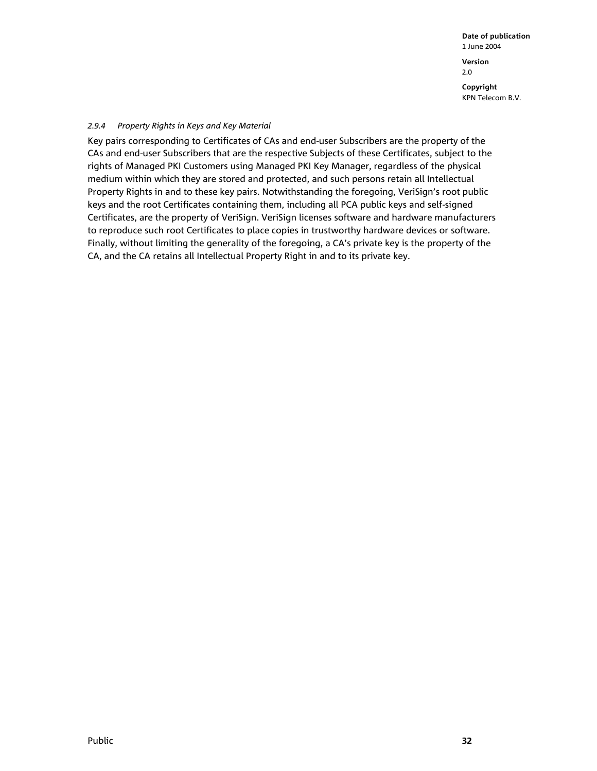**Date of publication**  1 June 2004 **Version**  2.0 **Copyright** 

KPN Telecom B.V.

#### *2.9.4 Property Rights in Keys and Key Material*

Key pairs corresponding to Certificates of CAs and end-user Subscribers are the property of the CAs and end-user Subscribers that are the respective Subjects of these Certificates, subject to the rights of Managed PKI Customers using Managed PKI Key Manager, regardless of the physical medium within which they are stored and protected, and such persons retain all Intellectual Property Rights in and to these key pairs. Notwithstanding the foregoing, VeriSign's root public keys and the root Certificates containing them, including all PCA public keys and self-signed Certificates, are the property of VeriSign. VeriSign licenses software and hardware manufacturers to reproduce such root Certificates to place copies in trustworthy hardware devices or software. Finally, without limiting the generality of the foregoing, a CA's private key is the property of the CA, and the CA retains all Intellectual Property Right in and to its private key.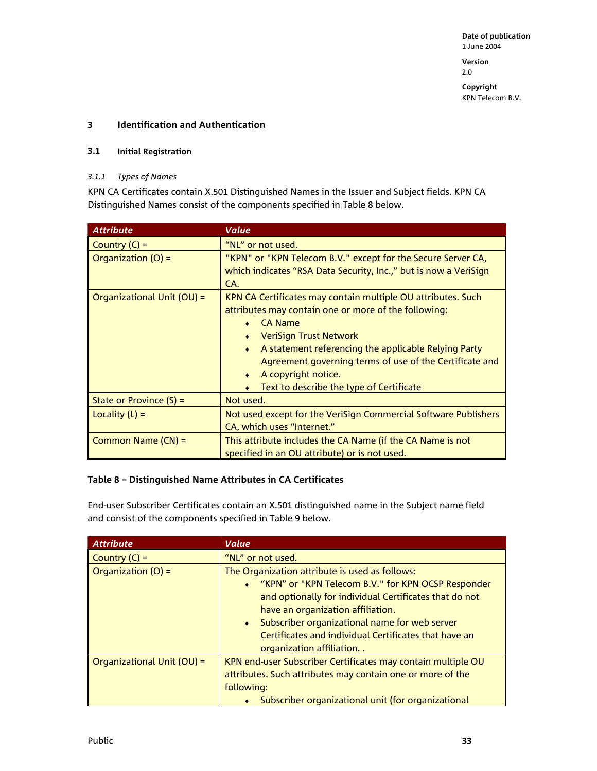2.0

**Copyright**  KPN Telecom B.V.

# **3 Identification and Authentication**

## **3.1 Initial Registration**

## *3.1.1 Types of Names*

KPN CA Certificates contain X.501 Distinguished Names in the Issuer and Subject fields. KPN CA Distinguished Names consist of the components specified in Table 8 below.

| <b>Attribute</b>           | Value                                                                                                                                                                                                                                                                                                                                                                                        |  |
|----------------------------|----------------------------------------------------------------------------------------------------------------------------------------------------------------------------------------------------------------------------------------------------------------------------------------------------------------------------------------------------------------------------------------------|--|
| Country $(C) =$            | "NL" or not used.                                                                                                                                                                                                                                                                                                                                                                            |  |
| Organization (O) =         | "KPN" or "KPN Telecom B.V." except for the Secure Server CA,<br>which indicates "RSA Data Security, Inc.," but is now a VeriSign<br>CA.                                                                                                                                                                                                                                                      |  |
| Organizational Unit (OU) = | KPN CA Certificates may contain multiple OU attributes. Such<br>attributes may contain one or more of the following:<br><b>CA Name</b><br><b>VeriSign Trust Network</b><br>A statement referencing the applicable Relying Party<br>$\bullet$<br>Agreement governing terms of use of the Certificate and<br>A copyright notice.<br>۰<br>Text to describe the type of Certificate<br>$\bullet$ |  |
| State or Province $(S)$ =  | Not used.                                                                                                                                                                                                                                                                                                                                                                                    |  |
| Locality $(L)$ =           | Not used except for the VeriSign Commercial Software Publishers<br>CA, which uses "Internet."                                                                                                                                                                                                                                                                                                |  |
| Common Name (CN) =         | This attribute includes the CA Name (if the CA Name is not<br>specified in an OU attribute) or is not used.                                                                                                                                                                                                                                                                                  |  |

# **Table 8 – Distinguished Name Attributes in CA Certificates**

End-user Subscriber Certificates contain an X.501 distinguished name in the Subject name field and consist of the components specified in Table 9 below.

| <b>Attribute</b>           | <b>Value</b>                                                                                                                                                                                                                                                                                                                                             |  |
|----------------------------|----------------------------------------------------------------------------------------------------------------------------------------------------------------------------------------------------------------------------------------------------------------------------------------------------------------------------------------------------------|--|
| Country $(C)$ =            | "NL" or not used.                                                                                                                                                                                                                                                                                                                                        |  |
| Organization (O) =         | The Organization attribute is used as follows:<br>• "KPN" or "KPN Telecom B.V." for KPN OCSP Responder<br>and optionally for individual Certificates that do not<br>have an organization affiliation.<br>Subscriber organizational name for web server<br>$\bullet$<br>Certificates and individual Certificates that have an<br>organization affiliation |  |
| Organizational Unit (OU) = | KPN end-user Subscriber Certificates may contain multiple OU<br>attributes. Such attributes may contain one or more of the<br>following:<br>Subscriber organizational unit (for organizational                                                                                                                                                           |  |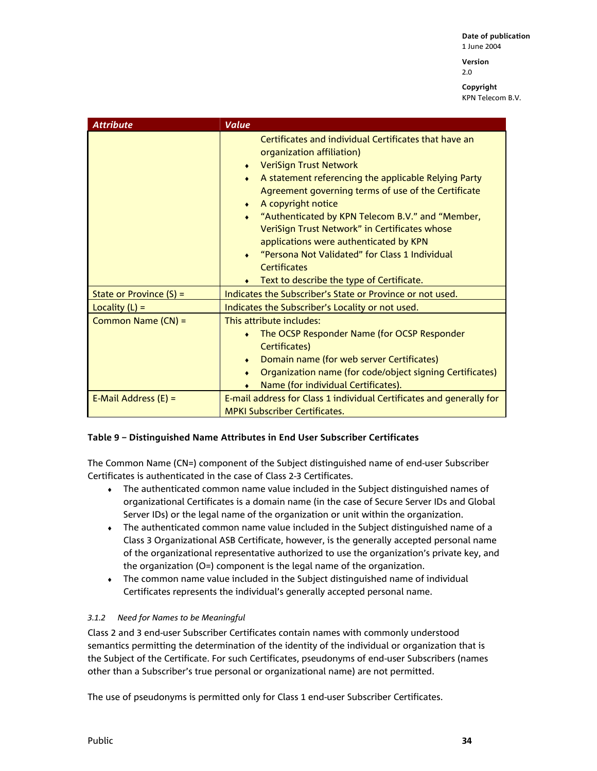**Version**  2.0

**Copyright**  KPN Telecom B.V.

| <b>Attribute</b>          | <b>Value</b>                                                                                                                                                                                                                                                                                                                                                                                                                                                                                                                                                 |  |
|---------------------------|--------------------------------------------------------------------------------------------------------------------------------------------------------------------------------------------------------------------------------------------------------------------------------------------------------------------------------------------------------------------------------------------------------------------------------------------------------------------------------------------------------------------------------------------------------------|--|
|                           | Certificates and individual Certificates that have an<br>organization affiliation)<br><b>VeriSign Trust Network</b><br>$\bullet$<br>A statement referencing the applicable Relying Party<br>Agreement governing terms of use of the Certificate<br>A copyright notice<br>۰<br>"Authenticated by KPN Telecom B.V." and "Member,<br>$\bullet$<br>VeriSign Trust Network" in Certificates whose<br>applications were authenticated by KPN<br>"Persona Not Validated" for Class 1 Individual<br><b>Certificates</b><br>Text to describe the type of Certificate. |  |
| State or Province $(S)$ = | Indicates the Subscriber's State or Province or not used.                                                                                                                                                                                                                                                                                                                                                                                                                                                                                                    |  |
| Locality $(L)$ =          | Indicates the Subscriber's Locality or not used.                                                                                                                                                                                                                                                                                                                                                                                                                                                                                                             |  |
| Common Name (CN) =        | This attribute includes:<br>The OCSP Responder Name (for OCSP Responder<br>۰<br>Certificates)<br>Domain name (for web server Certificates)<br>Organization name (for code/object signing Certificates)<br>Name (for individual Certificates).                                                                                                                                                                                                                                                                                                                |  |
| E-Mail Address $(E)$ =    | E-mail address for Class 1 individual Certificates and generally for<br><b>MPKI Subscriber Certificates.</b>                                                                                                                                                                                                                                                                                                                                                                                                                                                 |  |

# **Table 9 – Distinguished Name Attributes in End User Subscriber Certificates**

The Common Name (CN=) component of the Subject distinguished name of end-user Subscriber Certificates is authenticated in the case of Class 2-3 Certificates.

- ♦ The authenticated common name value included in the Subject distinguished names of organizational Certificates is a domain name (in the case of Secure Server IDs and Global Server IDs) or the legal name of the organization or unit within the organization.
- $\bullet$  The authenticated common name value included in the Subject distinguished name of a Class 3 Organizational ASB Certificate, however, is the generally accepted personal name of the organizational representative authorized to use the organization's private key, and the organization (O=) component is the legal name of the organization.
- ♦ The common name value included in the Subject distinguished name of individual Certificates represents the individual's generally accepted personal name.

### *3.1.2 Need for Names to be Meaningful*

Class 2 and 3 end-user Subscriber Certificates contain names with commonly understood semantics permitting the determination of the identity of the individual or organization that is the Subject of the Certificate. For such Certificates, pseudonyms of end-user Subscribers (names other than a Subscriber's true personal or organizational name) are not permitted.

The use of pseudonyms is permitted only for Class 1 end-user Subscriber Certificates.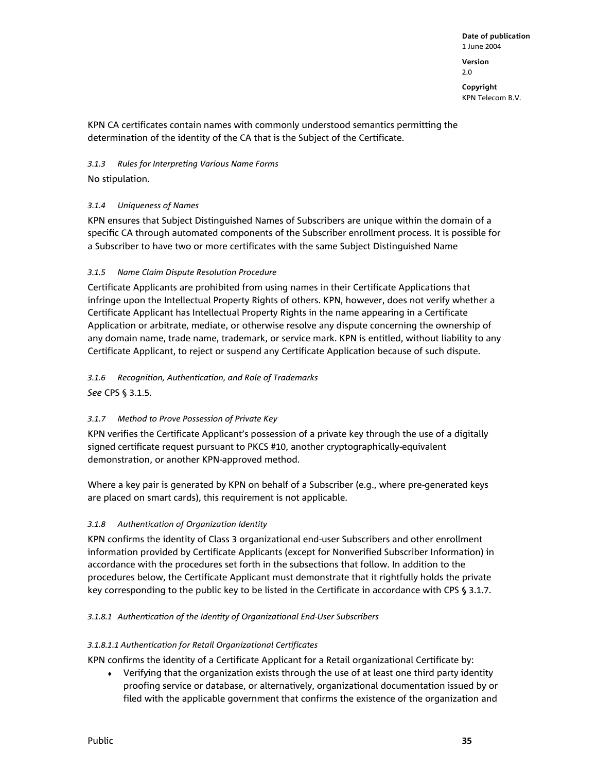**Version**  2.0

**Copyright**  KPN Telecom B.V.

KPN CA certificates contain names with commonly understood semantics permitting the determination of the identity of the CA that is the Subject of the Certificate.

*3.1.3 Rules for Interpreting Various Name Forms* 

No stipulation.

# *3.1.4 Uniqueness of Names*

KPN ensures that Subject Distinguished Names of Subscribers are unique within the domain of a specific CA through automated components of the Subscriber enrollment process. It is possible for a Subscriber to have two or more certificates with the same Subject Distinguished Name

# *3.1.5 Name Claim Dispute Resolution Procedure*

Certificate Applicants are prohibited from using names in their Certificate Applications that infringe upon the Intellectual Property Rights of others. KPN, however, does not verify whether a Certificate Applicant has Intellectual Property Rights in the name appearing in a Certificate Application or arbitrate, mediate, or otherwise resolve any dispute concerning the ownership of any domain name, trade name, trademark, or service mark. KPN is entitled, without liability to any Certificate Applicant, to reject or suspend any Certificate Application because of such dispute.

*3.1.6 Recognition, Authentication, and Role of Trademarks See* CPS § 3.1.5.

# *3.1.7 Method to Prove Possession of Private Key*

KPN verifies the Certificate Applicant's possession of a private key through the use of a digitally signed certificate request pursuant to PKCS #10, another cryptographically-equivalent demonstration, or another KPN-approved method.

Where a key pair is generated by KPN on behalf of a Subscriber (e.g., where pre-generated keys are placed on smart cards), this requirement is not applicable.

# *3.1.8 Authentication of Organization Identity*

KPN confirms the identity of Class 3 organizational end-user Subscribers and other enrollment information provided by Certificate Applicants (except for Nonverified Subscriber Information) in accordance with the procedures set forth in the subsections that follow. In addition to the procedures below, the Certificate Applicant must demonstrate that it rightfully holds the private key corresponding to the public key to be listed in the Certificate in accordance with CPS § 3.1.7.

### *3.1.8.1 Authen*t*ication of the Identity of Organizational End-User Subscribers*

### *3.1.8.1.1 Authentication for Retail Organizational Certificates*

KPN confirms the identity of a Certificate Applicant for a Retail organizational Certificate by:

♦ Verifying that the organization exists through the use of at least one third party identity proofing service or database, or alternatively, organizational documentation issued by or filed with the applicable government that confirms the existence of the organization and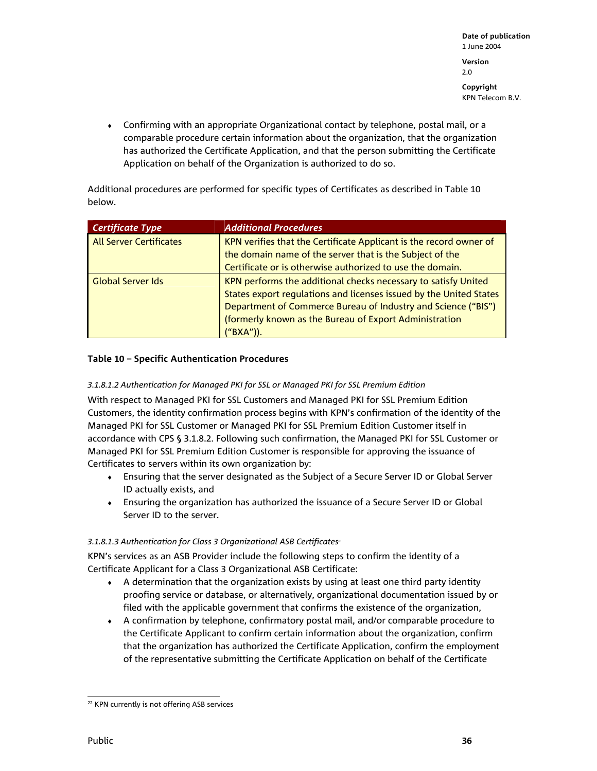**Date of publication**  1 June 2004 **Version**  2.0 **Copyright** 

KPN Telecom B.V.

♦ Confirming with an appropriate Organizational contact by telephone, postal mail, or a comparable procedure certain information about the organization, that the organization has authorized the Certificate Application, and that the person submitting the Certificate Application on behalf of the Organization is authorized to do so.

Additional procedures are performed for specific types of Certificates as described in Table 10 below.

| Certificate Type               | <b>Additional Procedures</b>                                       |  |
|--------------------------------|--------------------------------------------------------------------|--|
| <b>All Server Certificates</b> | KPN verifies that the Certificate Applicant is the record owner of |  |
|                                | the domain name of the server that is the Subject of the           |  |
|                                | Certificate or is otherwise authorized to use the domain.          |  |
| Global Server Ids              | KPN performs the additional checks necessary to satisfy United     |  |
|                                | States export regulations and licenses issued by the United States |  |
|                                | Department of Commerce Bureau of Industry and Science ("BIS")      |  |
|                                | (formerly known as the Bureau of Export Administration             |  |
|                                | ("BXA")).                                                          |  |

# **Table 10 – Specific Authentication Procedures**

## *3.1.8.1.2 Authentication for Managed PKI for SSL or Managed PKI for SSL Premium Edition*

With respect to Managed PKI for SSL Customers and Managed PKI for SSL Premium Edition Customers, the identity confirmation process begins with KPN's confirmation of the identity of the Managed PKI for SSL Customer or Managed PKI for SSL Premium Edition Customer itself in accordance with CPS § 3.1.8.2. Following such confirmation, the Managed PKI for SSL Customer or Managed PKI for SSL Premium Edition Customer is responsible for approving the issuance of Certificates to servers within its own organization by:

- ♦ Ensuring that the server designated as the Subject of a Secure Server ID or Global Server ID actually exists, and
- ♦ Ensuring the organization has authorized the issuance of a Secure Server ID or Global Server ID to the server.

### 3.1.8.1.3 Authentication for Class 3 Organizational ASB Certificates<sup>®</sup>

KPN's services as an ASB Provider include the following steps to confirm the identity of a Certificate Applicant for a Class 3 Organizational ASB Certificate:

- ♦ A determination that the organization exists by using at least one third party identity proofing service or database, or alternatively, organizational documentation issued by or filed with the applicable government that confirms the existence of the organization,
- ♦ A confirmation by telephone, confirmatory postal mail, and/or comparable procedure to the Certificate Applicant to confirm certain information about the organization, confirm that the organization has authorized the Certificate Application, confirm the employment of the representative submitting the Certificate Application on behalf of the Certificate

l <sup>22</sup> KPN currently is not offering ASB services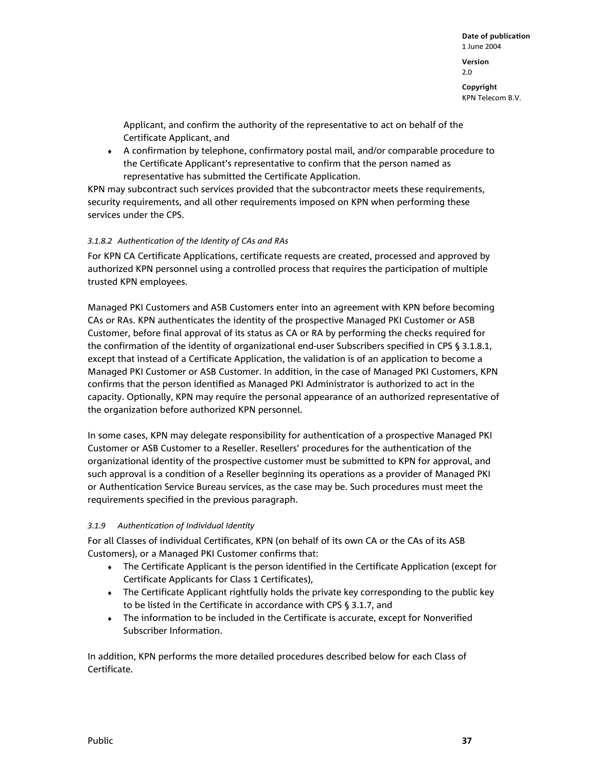2.0

**Copyright**  KPN Telecom B.V.

Applicant, and confirm the authority of the representative to act on behalf of the Certificate Applicant, and

♦ A confirmation by telephone, confirmatory postal mail, and/or comparable procedure to the Certificate Applicant's representative to confirm that the person named as representative has submitted the Certificate Application.

KPN may subcontract such services provided that the subcontractor meets these requirements, security requirements, and all other requirements imposed on KPN when performing these services under the CPS.

# *3.1.8.2 Authentication of the Identity of CAs and RAs*

For KPN CA Certificate Applications, certificate requests are created, processed and approved by authorized KPN personnel using a controlled process that requires the participation of multiple trusted KPN employees.

Managed PKI Customers and ASB Customers enter into an agreement with KPN before becoming CAs or RAs. KPN authenticates the identity of the prospective Managed PKI Customer or ASB Customer, before final approval of its status as CA or RA by performing the checks required for the confirmation of the identity of organizational end-user Subscribers specified in CPS § 3.1.8.1, except that instead of a Certificate Application, the validation is of an application to become a Managed PKI Customer or ASB Customer. In addition, in the case of Managed PKI Customers, KPN confirms that the person identified as Managed PKI Administrator is authorized to act in the capacity. Optionally, KPN may require the personal appearance of an authorized representative of the organization before authorized KPN personnel.

In some cases, KPN may delegate responsibility for authentication of a prospective Managed PKI Customer or ASB Customer to a Reseller. Resellers' procedures for the authentication of the organizational identity of the prospective customer must be submitted to KPN for approval, and such approval is a condition of a Reseller beginning its operations as a provider of Managed PKI or Authentication Service Bureau services, as the case may be. Such procedures must meet the requirements specified in the previous paragraph.

### *3.1.9 Authentication of Individual Identity*

For all Classes of individual Certificates, KPN (on behalf of its own CA or the CAs of its ASB Customers), or a Managed PKI Customer confirms that:

- ♦ The Certificate Applicant is the person identified in the Certificate Application (except for Certificate Applicants for Class 1 Certificates),
- The Certificate Applicant rightfully holds the private key corresponding to the public key to be listed in the Certificate in accordance with CPS § 3.1.7, and
- The information to be included in the Certificate is accurate, except for Nonverified Subscriber Information.

In addition, KPN performs the more detailed procedures described below for each Class of Certificate.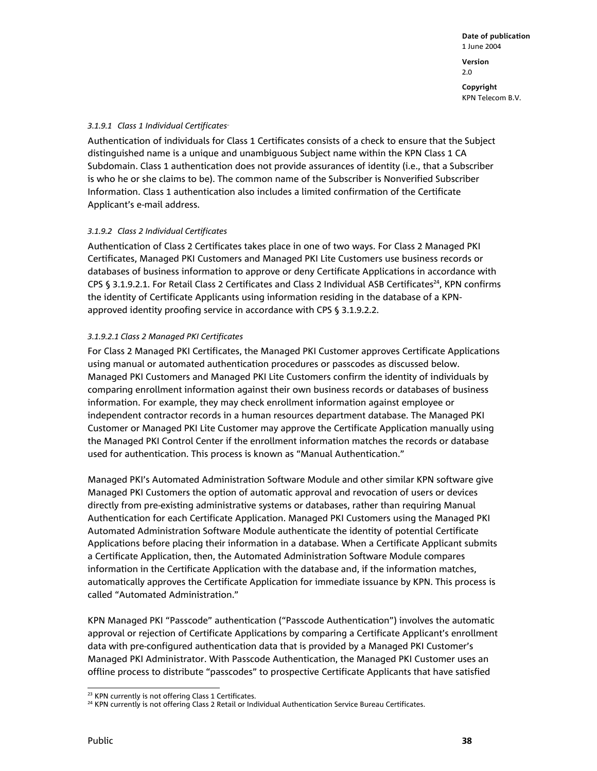**Copyright**  KPN Telecom B.V.

#### 3.1.9.1 Class 1 Individual Certificates<sup>®</sup>

Authentication of individuals for Class 1 Certificates consists of a check to ensure that the Subject distinguished name is a unique and unambiguous Subject name within the KPN Class 1 CA Subdomain. Class 1 authentication does not provide assurances of identity (i.e., that a Subscriber is who he or she claims to be). The common name of the Subscriber is Nonverified Subscriber Information. Class 1 authentication also includes a limited confirmation of the Certificate Applicant's e-mail address.

### *3.1.9.2 Class 2 Individual Certificates*

Authentication of Class 2 Certificates takes place in one of two ways. For Class 2 Managed PKI Certificates, Managed PKI Customers and Managed PKI Lite Customers use business records or databases of business information to approve or deny Certificate Applications in accordance with CPS § 3.1.9.2.1. For Retail Class 2 Certificates and Class 2 Individual ASB Certificates<sup>24</sup>, KPN confirms the identity of Certificate Applicants using information residing in the database of a KPNapproved identity proofing service in accordance with CPS § 3.1.9.2.2.

#### *3.1.9.2.1 Class 2 Managed PKI Certificates*

For Class 2 Managed PKI Certificates, the Managed PKI Customer approves Certificate Applications using manual or automated authentication procedures or passcodes as discussed below. Managed PKI Customers and Managed PKI Lite Customers confirm the identity of individuals by comparing enrollment information against their own business records or databases of business information. For example, they may check enrollment information against employee or independent contractor records in a human resources department database. The Managed PKI Customer or Managed PKI Lite Customer may approve the Certificate Application manually using the Managed PKI Control Center if the enrollment information matches the records or database used for authentication. This process is known as "Manual Authentication."

Managed PKI's Automated Administration Software Module and other similar KPN software give Managed PKI Customers the option of automatic approval and revocation of users or devices directly from pre-existing administrative systems or databases, rather than requiring Manual Authentication for each Certificate Application. Managed PKI Customers using the Managed PKI Automated Administration Software Module authenticate the identity of potential Certificate Applications before placing their information in a database. When a Certificate Applicant submits a Certificate Application, then, the Automated Administration Software Module compares information in the Certificate Application with the database and, if the information matches, automatically approves the Certificate Application for immediate issuance by KPN. This process is called "Automated Administration."

KPN Managed PKI "Passcode" authentication ("Passcode Authentication") involves the automatic approval or rejection of Certificate Applications by comparing a Certificate Applicant's enrollment data with pre-configured authentication data that is provided by a Managed PKI Customer's Managed PKI Administrator. With Passcode Authentication, the Managed PKI Customer uses an offline process to distribute "passcodes" to prospective Certificate Applicants that have satisfied

l <sup>23</sup> KPN currently is not offering Class 1 Certificates.

<sup>&</sup>lt;sup>24</sup> KPN currently is not offering Class 2 Retail or Individual Authentication Service Bureau Certificates.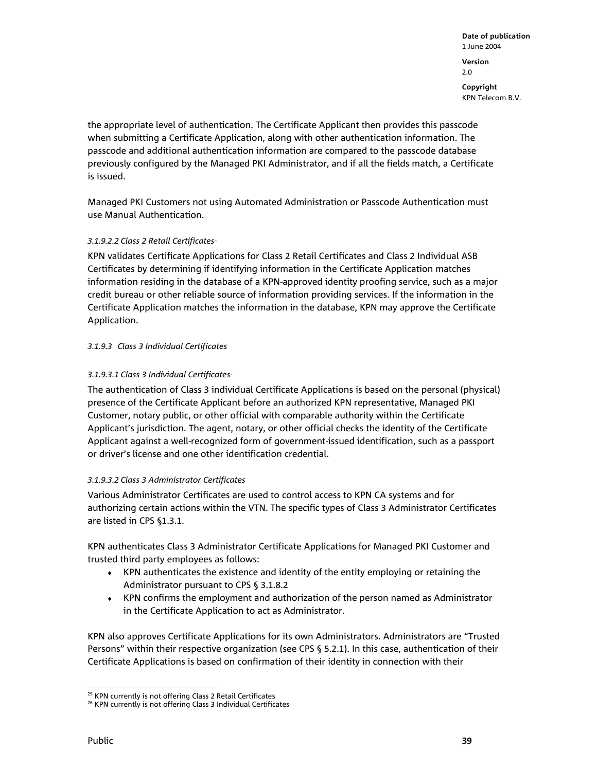the appropriate level of authentication. The Certificate Applicant then provides this passcode when submitting a Certificate Application, along with other authentication information. The passcode and additional authentication information are compared to the passcode database previously configured by the Managed PKI Administrator, and if all the fields match, a Certificate is issued.

Managed PKI Customers not using Automated Administration or Passcode Authentication must use Manual Authentication.

# 3.1.9.2.2 Class 2 Retail Certificates<sup>®</sup>

KPN validates Certificate Applications for Class 2 Retail Certificates and Class 2 Individual ASB Certificates by determining if identifying information in the Certificate Application matches information residing in the database of a KPN-approved identity proofing service, such as a major credit bureau or other reliable source of information providing services. If the information in the Certificate Application matches the information in the database, KPN may approve the Certificate Application.

### *3.1.9.3 Class 3 Individual Certificates*

# 3.1.9.3.1 Class 3 Individual Certificates<sup>®</sup>

The authentication of Class 3 individual Certificate Applications is based on the personal (physical) presence of the Certificate Applicant before an authorized KPN representative, Managed PKI Customer, notary public, or other official with comparable authority within the Certificate Applicant's jurisdiction. The agent, notary, or other official checks the identity of the Certificate Applicant against a well-recognized form of government-issued identification, such as a passport or driver's license and one other identification credential.

### *3.1.9.3.2 Class 3 Administrator Certificates*

Various Administrator Certificates are used to control access to KPN CA systems and for authorizing certain actions within the VTN. The specific types of Class 3 Administrator Certificates are listed in CPS §1.3.1.

KPN authenticates Class 3 Administrator Certificate Applications for Managed PKI Customer and trusted third party employees as follows:

- ♦ KPN authenticates the existence and identity of the entity employing or retaining the Administrator pursuant to CPS § 3.1.8.2
- ♦ KPN confirms the employment and authorization of the person named as Administrator in the Certificate Application to act as Administrator.

KPN also approves Certificate Applications for its own Administrators. Administrators are "Trusted Persons" within their respective organization (see CPS § 5.2.1). In this case, authentication of their Certificate Applications is based on confirmation of their identity in connection with their

l <sup>25</sup> KPN currently is not offering Class 2 Retail Certificates

<sup>&</sup>lt;sup>26</sup> KPN currently is not offering Class 3 Individual Certificates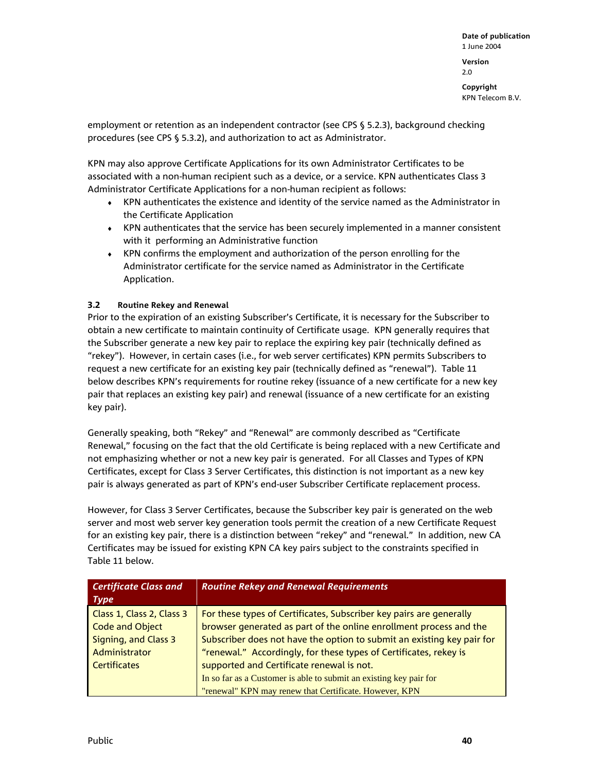**Copyright**  KPN Telecom B.V.

employment or retention as an independent contractor (see CPS § 5.2.3), background checking procedures (see CPS § 5.3.2), and authorization to act as Administrator.

KPN may also approve Certificate Applications for its own Administrator Certificates to be associated with a non-human recipient such as a device, or a service. KPN authenticates Class 3 Administrator Certificate Applications for a non-human recipient as follows:

- ♦ KPN authenticates the existence and identity of the service named as the Administrator in the Certificate Application
- ♦ KPN authenticates that the service has been securely implemented in a manner consistent with it performing an Administrative function
- ♦ KPN confirms the employment and authorization of the person enrolling for the Administrator certificate for the service named as Administrator in the Certificate Application.

# **3.2 Routine Rekey and Renewal**

Prior to the expiration of an existing Subscriber's Certificate, it is necessary for the Subscriber to obtain a new certificate to maintain continuity of Certificate usage. KPN generally requires that the Subscriber generate a new key pair to replace the expiring key pair (technically defined as "rekey"). However, in certain cases (i.e., for web server certificates) KPN permits Subscribers to request a new certificate for an existing key pair (technically defined as "renewal"). Table 11 below describes KPN's requirements for routine rekey (issuance of a new certificate for a new key pair that replaces an existing key pair) and renewal (issuance of a new certificate for an existing key pair).

Generally speaking, both "Rekey" and "Renewal" are commonly described as "Certificate Renewal," focusing on the fact that the old Certificate is being replaced with a new Certificate and not emphasizing whether or not a new key pair is generated. For all Classes and Types of KPN Certificates, except for Class 3 Server Certificates, this distinction is not important as a new key pair is always generated as part of KPN's end-user Subscriber Certificate replacement process.

However, for Class 3 Server Certificates, because the Subscriber key pair is generated on the web server and most web server key generation tools permit the creation of a new Certificate Request for an existing key pair, there is a distinction between "rekey" and "renewal." In addition, new CA Certificates may be issued for existing KPN CA key pairs subject to the constraints specified in Table 11 below.

| <b>Certificate Class and</b><br><b>Type</b> | <b>Routine Rekey and Renewal Requirements</b>                          |
|---------------------------------------------|------------------------------------------------------------------------|
| Class 1, Class 2, Class 3                   | For these types of Certificates, Subscriber key pairs are generally    |
| <b>Code and Object</b>                      | browser generated as part of the online enrollment process and the     |
| Signing, and Class 3                        | Subscriber does not have the option to submit an existing key pair for |
| Administrator                               | "renewal." Accordingly, for these types of Certificates, rekey is      |
| <b>Certificates</b>                         | supported and Certificate renewal is not.                              |
|                                             | In so far as a Customer is able to submit an existing key pair for     |
|                                             | "renewal" KPN may renew that Certificate. However, KPN                 |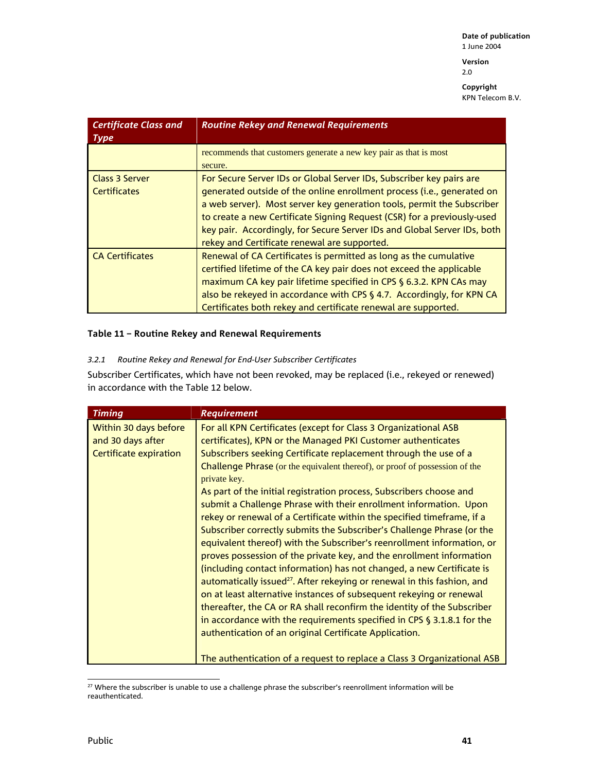**Version**  2.0

**Copyright**  KPN Telecom B.V.

| <b>Certificate Class and</b><br><b>Type</b> | <b>Routine Rekey and Renewal Requirements</b>                                                                                                                                                                                                                                                                                                                                                                                   |  |
|---------------------------------------------|---------------------------------------------------------------------------------------------------------------------------------------------------------------------------------------------------------------------------------------------------------------------------------------------------------------------------------------------------------------------------------------------------------------------------------|--|
|                                             | recommends that customers generate a new key pair as that is most<br>secure.                                                                                                                                                                                                                                                                                                                                                    |  |
| Class 3 Server<br><b>Certificates</b>       | For Secure Server IDs or Global Server IDs, Subscriber key pairs are<br>generated outside of the online enrollment process (i.e., generated on<br>a web server). Most server key generation tools, permit the Subscriber<br>to create a new Certificate Signing Request (CSR) for a previously-used<br>key pair. Accordingly, for Secure Server IDs and Global Server IDs, both<br>rekey and Certificate renewal are supported. |  |
| <b>CA Certificates</b>                      | Renewal of CA Certificates is permitted as long as the cumulative<br>certified lifetime of the CA key pair does not exceed the applicable<br>maximum CA key pair lifetime specified in CPS § 6.3.2. KPN CAs may<br>also be rekeyed in accordance with CPS § 4.7. Accordingly, for KPN CA<br>Certificates both rekey and certificate renewal are supported.                                                                      |  |

# **Table 11 – Routine Rekey and Renewal Requirements**

# *3.2.1 Routine Rekey and Renewal for End-User Subscriber Certificates*

Subscriber Certificates, which have not been revoked, may be replaced (i.e., rekeyed or renewed) in accordance with the Table 12 below.

| Timing                                                               | <b>Requirement</b>                                                                                                                                                                                                                                                                                                                                                                                                                                                                                                                                                                                                                                                                                                                                                                                                                                                                                                                                                                                                                                                                                                                                                                                                                                                                           |
|----------------------------------------------------------------------|----------------------------------------------------------------------------------------------------------------------------------------------------------------------------------------------------------------------------------------------------------------------------------------------------------------------------------------------------------------------------------------------------------------------------------------------------------------------------------------------------------------------------------------------------------------------------------------------------------------------------------------------------------------------------------------------------------------------------------------------------------------------------------------------------------------------------------------------------------------------------------------------------------------------------------------------------------------------------------------------------------------------------------------------------------------------------------------------------------------------------------------------------------------------------------------------------------------------------------------------------------------------------------------------|
| Within 30 days before<br>and 30 days after<br>Certificate expiration | For all KPN Certificates (except for Class 3 Organizational ASB<br>certificates), KPN or the Managed PKI Customer authenticates<br>Subscribers seeking Certificate replacement through the use of a<br><b>Challenge Phrase</b> (or the equivalent thereof), or proof of possession of the<br>private key.<br>As part of the initial registration process, Subscribers choose and<br>submit a Challenge Phrase with their enrollment information. Upon<br>rekey or renewal of a Certificate within the specified timeframe, if a<br>Subscriber correctly submits the Subscriber's Challenge Phrase (or the<br>equivalent thereof) with the Subscriber's reenrollment information, or<br>proves possession of the private key, and the enrollment information<br>(including contact information) has not changed, a new Certificate is<br>automatically issued <sup>27</sup> . After rekeying or renewal in this fashion, and<br>on at least alternative instances of subsequent rekeying or renewal<br>thereafter, the CA or RA shall reconfirm the identity of the Subscriber<br>in accordance with the requirements specified in CPS § 3.1.8.1 for the<br>authentication of an original Certificate Application.<br>The authentication of a request to replace a Class 3 Organizational ASB |

l  $^{27}$  Where the subscriber is unable to use a challenge phrase the subscriber's reenrollment information will be reauthenticated.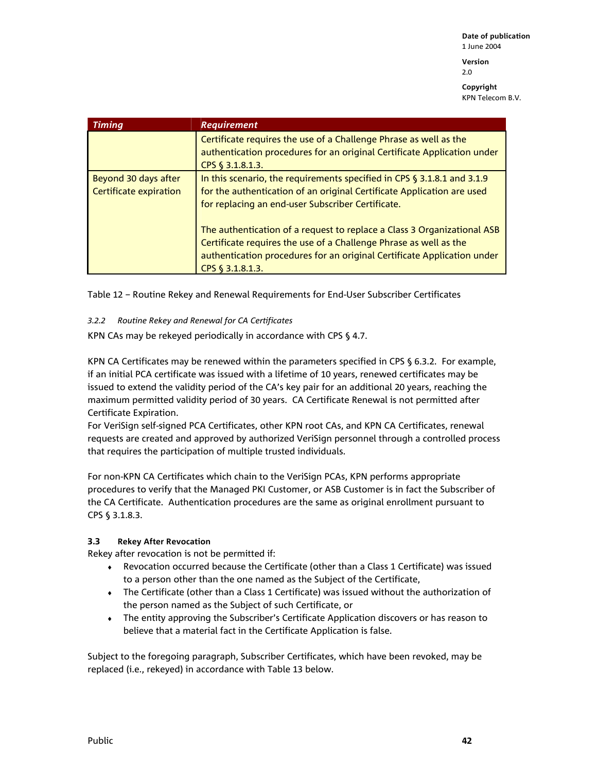**Version**  2.0

**Copyright**  KPN Telecom B.V.

| Timing                                         | <b>Requirement</b>                                                                                                                                                                                                                          |
|------------------------------------------------|---------------------------------------------------------------------------------------------------------------------------------------------------------------------------------------------------------------------------------------------|
|                                                | Certificate requires the use of a Challenge Phrase as well as the<br>authentication procedures for an original Certificate Application under<br>CPS § 3.1.8.1.3.                                                                            |
| Beyond 30 days after<br>Certificate expiration | In this scenario, the requirements specified in CPS § 3.1.8.1 and 3.1.9<br>for the authentication of an original Certificate Application are used<br>for replacing an end-user Subscriber Certificate.                                      |
|                                                | The authentication of a request to replace a Class 3 Organizational ASB<br>Certificate requires the use of a Challenge Phrase as well as the<br>authentication procedures for an original Certificate Application under<br>CPS § 3.1.8.1.3. |

Table 12 – Routine Rekey and Renewal Requirements for End-User Subscriber Certificates

### *3.2.2 Routine Rekey and Renewal for CA Certificates*

KPN CAs may be rekeyed periodically in accordance with CPS § 4.7.

KPN CA Certificates may be renewed within the parameters specified in CPS § 6.3.2. For example, if an initial PCA certificate was issued with a lifetime of 10 years, renewed certificates may be issued to extend the validity period of the CA's key pair for an additional 20 years, reaching the maximum permitted validity period of 30 years. CA Certificate Renewal is not permitted after Certificate Expiration.

For VeriSign self-signed PCA Certificates, other KPN root CAs, and KPN CA Certificates, renewal requests are created and approved by authorized VeriSign personnel through a controlled process that requires the participation of multiple trusted individuals.

For non-KPN CA Certificates which chain to the VeriSign PCAs, KPN performs appropriate procedures to verify that the Managed PKI Customer, or ASB Customer is in fact the Subscriber of the CA Certificate. Authentication procedures are the same as original enrollment pursuant to CPS § 3.1.8.3.

### **3.3 Rekey After Revocation**

Rekey after revocation is not be permitted if:

- ♦ Revocation occurred because the Certificate (other than a Class 1 Certificate) was issued to a person other than the one named as the Subject of the Certificate,
- ♦ The Certificate (other than a Class 1 Certificate) was issued without the authorization of the person named as the Subject of such Certificate, or
- ♦ The entity approving the Subscriber's Certificate Application discovers or has reason to believe that a material fact in the Certificate Application is false.

Subject to the foregoing paragraph, Subscriber Certificates, which have been revoked, may be replaced (i.e., rekeyed) in accordance with Table 13 below.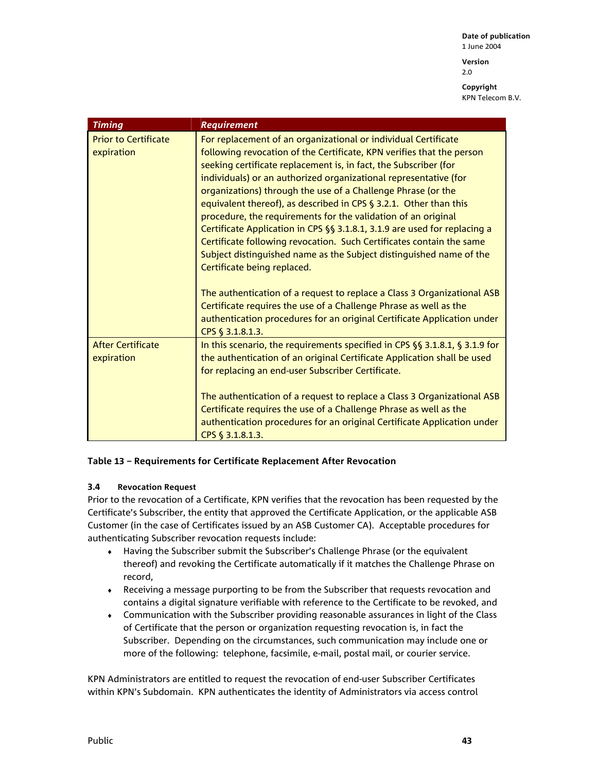2.0

**Copyright**  KPN Telecom B.V.

| <b>Timing</b>                             | <b>Requirement</b>                                                                                                                                                                                                                                                                                                                                                                                                                                                                                                                                                                                                                                                                                                                                  |
|-------------------------------------------|-----------------------------------------------------------------------------------------------------------------------------------------------------------------------------------------------------------------------------------------------------------------------------------------------------------------------------------------------------------------------------------------------------------------------------------------------------------------------------------------------------------------------------------------------------------------------------------------------------------------------------------------------------------------------------------------------------------------------------------------------------|
| <b>Prior to Certificate</b><br>expiration | For replacement of an organizational or individual Certificate<br>following revocation of the Certificate, KPN verifies that the person<br>seeking certificate replacement is, in fact, the Subscriber (for<br>individuals) or an authorized organizational representative (for<br>organizations) through the use of a Challenge Phrase (or the<br>equivalent thereof), as described in CPS $\S$ 3.2.1. Other than this<br>procedure, the requirements for the validation of an original<br>Certificate Application in CPS §§ 3.1.8.1, 3.1.9 are used for replacing a<br>Certificate following revocation. Such Certificates contain the same<br>Subject distinguished name as the Subject distinguished name of the<br>Certificate being replaced. |
|                                           | The authentication of a request to replace a Class 3 Organizational ASB<br>Certificate requires the use of a Challenge Phrase as well as the<br>authentication procedures for an original Certificate Application under<br>CPS § 3.1.8.1.3.                                                                                                                                                                                                                                                                                                                                                                                                                                                                                                         |
| <b>After Certificate</b><br>expiration    | In this scenario, the requirements specified in CPS $\S$ 3.1.8.1, $\S$ 3.1.9 for<br>the authentication of an original Certificate Application shall be used<br>for replacing an end-user Subscriber Certificate.                                                                                                                                                                                                                                                                                                                                                                                                                                                                                                                                    |
|                                           | The authentication of a request to replace a Class 3 Organizational ASB<br>Certificate requires the use of a Challenge Phrase as well as the<br>authentication procedures for an original Certificate Application under<br>CPS § 3.1.8.1.3.                                                                                                                                                                                                                                                                                                                                                                                                                                                                                                         |

### **Table 13 – Requirements for Certificate Replacement After Revocation**

### **3.4 Revocation Request**

Prior to the revocation of a Certificate, KPN verifies that the revocation has been requested by the Certificate's Subscriber, the entity that approved the Certificate Application, or the applicable ASB Customer (in the case of Certificates issued by an ASB Customer CA). Acceptable procedures for authenticating Subscriber revocation requests include:

- ♦ Having the Subscriber submit the Subscriber's Challenge Phrase (or the equivalent thereof) and revoking the Certificate automatically if it matches the Challenge Phrase on record,
- ♦ Receiving a message purporting to be from the Subscriber that requests revocation and contains a digital signature verifiable with reference to the Certificate to be revoked, and
- ♦ Communication with the Subscriber providing reasonable assurances in light of the Class of Certificate that the person or organization requesting revocation is, in fact the Subscriber. Depending on the circumstances, such communication may include one or more of the following: telephone, facsimile, e-mail, postal mail, or courier service.

KPN Administrators are entitled to request the revocation of end-user Subscriber Certificates within KPN's Subdomain. KPN authenticates the identity of Administrators via access control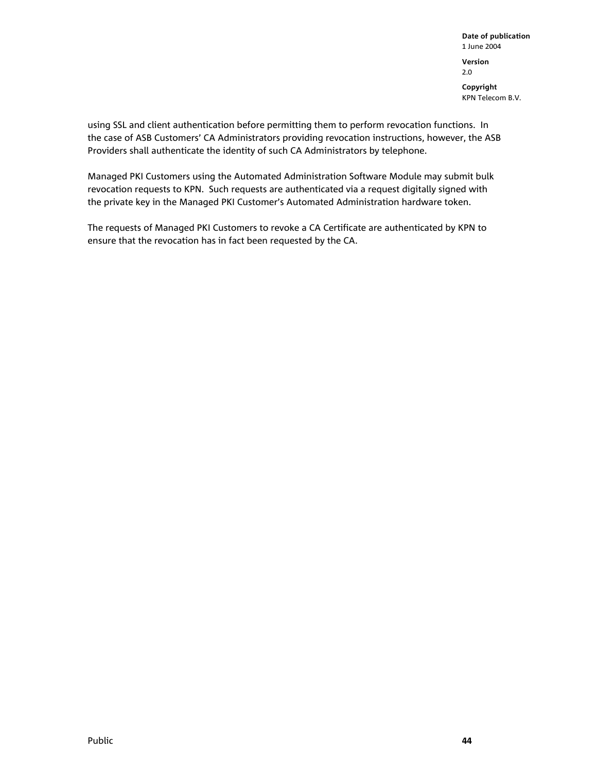using SSL and client authentication before permitting them to perform revocation functions. In the case of ASB Customers' CA Administrators providing revocation instructions, however, the ASB Providers shall authenticate the identity of such CA Administrators by telephone.

Managed PKI Customers using the Automated Administration Software Module may submit bulk revocation requests to KPN. Such requests are authenticated via a request digitally signed with the private key in the Managed PKI Customer's Automated Administration hardware token.

The requests of Managed PKI Customers to revoke a CA Certificate are authenticated by KPN to ensure that the revocation has in fact been requested by the CA.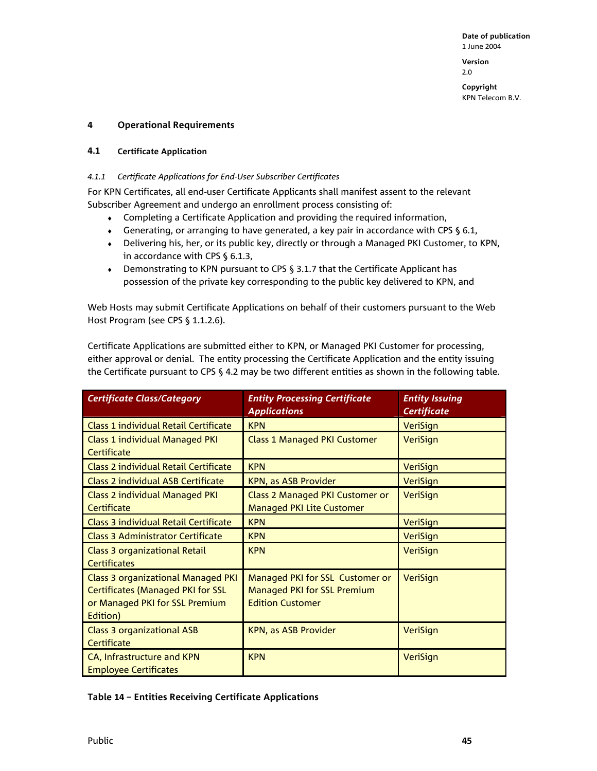2.0

**Copyright**  KPN Telecom B.V.

### **4 Operational Requirements**

### **4.1 Certificate Application**

# *4.1.1 Certificate Applications for End-User Subscriber Certificates*

For KPN Certificates, all end-user Certificate Applicants shall manifest assent to the relevant Subscriber Agreement and undergo an enrollment process consisting of:

- ♦ Completing a Certificate Application and providing the required information,
- ♦ Generating, or arranging to have generated, a key pair in accordance with CPS § 6.1,
- ♦ Delivering his, her, or its public key, directly or through a Managed PKI Customer, to KPN, in accordance with CPS § 6.1.3,
- ♦ Demonstrating to KPN pursuant to CPS § 3.1.7 that the Certificate Applicant has possession of the private key corresponding to the public key delivered to KPN, and

Web Hosts may submit Certificate Applications on behalf of their customers pursuant to the Web Host Program (see CPS § 1.1.2.6).

Certificate Applications are submitted either to KPN, or Managed PKI Customer for processing, either approval or denial. The entity processing the Certificate Application and the entity issuing the Certificate pursuant to CPS § 4.2 may be two different entities as shown in the following table.

| <b>Certificate Class/Category</b>                                                                                                   | <b>Entity Processing Certificate</b><br><b>Applications</b>                                      | <b>Entity Issuing</b><br><b>Certificate</b> |
|-------------------------------------------------------------------------------------------------------------------------------------|--------------------------------------------------------------------------------------------------|---------------------------------------------|
| <b>Class 1 individual Retail Certificate</b>                                                                                        | <b>KPN</b>                                                                                       | <b>VeriSign</b>                             |
| <b>Class 1 individual Managed PKI</b><br>Certificate                                                                                | <b>Class 1 Managed PKI Customer</b>                                                              | VeriSign                                    |
| <b>Class 2 individual Retail Certificate</b>                                                                                        | <b>KPN</b>                                                                                       | <b>VeriSign</b>                             |
| <b>Class 2 individual ASB Certificate</b>                                                                                           | <b>KPN, as ASB Provider</b>                                                                      | VeriSign                                    |
| <b>Class 2 individual Managed PKI</b><br>Certificate                                                                                | Class 2 Managed PKI Customer or<br><b>Managed PKI Lite Customer</b>                              | <b>VeriSign</b>                             |
| <b>Class 3 individual Retail Certificate</b>                                                                                        | <b>KPN</b>                                                                                       | <b>VeriSign</b>                             |
| <b>Class 3 Administrator Certificate</b>                                                                                            | <b>KPN</b>                                                                                       | <b>VeriSign</b>                             |
| <b>Class 3 organizational Retail</b><br><b>Certificates</b>                                                                         | <b>KPN</b>                                                                                       | <b>VeriSign</b>                             |
| <b>Class 3 organizational Managed PKI</b><br><b>Certificates (Managed PKI for SSL</b><br>or Managed PKI for SSL Premium<br>Edition) | Managed PKI for SSL Customer or<br><b>Managed PKI for SSL Premium</b><br><b>Edition Customer</b> | VeriSign                                    |
| <b>Class 3 organizational ASB</b><br>Certificate                                                                                    | <b>KPN, as ASB Provider</b>                                                                      | <b>VeriSign</b>                             |
| CA, Infrastructure and KPN<br><b>Employee Certificates</b>                                                                          | <b>KPN</b>                                                                                       | VeriSign                                    |

**Table 14 – Entities Receiving Certificate Applications**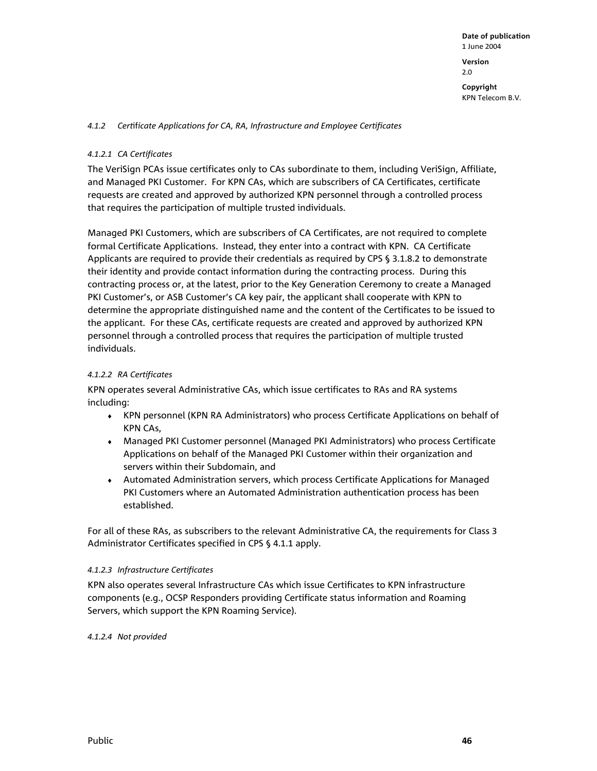#### *4.1.2 Cert*if*icate Applications for CA, RA, Infrastructure and Employee Certificates*

### *4.1.2.1 CA Certificates*

The VeriSign PCAs issue certificates only to CAs subordinate to them, including VeriSign, Affiliate, and Managed PKI Customer. For KPN CAs, which are subscribers of CA Certificates, certificate requests are created and approved by authorized KPN personnel through a controlled process that requires the participation of multiple trusted individuals.

Managed PKI Customers, which are subscribers of CA Certificates, are not required to complete formal Certificate Applications. Instead, they enter into a contract with KPN. CA Certificate Applicants are required to provide their credentials as required by CPS § 3.1.8.2 to demonstrate their identity and provide contact information during the contracting process. During this contracting process or, at the latest, prior to the Key Generation Ceremony to create a Managed PKI Customer's, or ASB Customer's CA key pair, the applicant shall cooperate with KPN to determine the appropriate distinguished name and the content of the Certificates to be issued to the applicant. For these CAs, certificate requests are created and approved by authorized KPN personnel through a controlled process that requires the participation of multiple trusted individuals.

#### *4.1.2.2 RA Certificates*

KPN operates several Administrative CAs, which issue certificates to RAs and RA systems including:

- ♦ KPN personnel (KPN RA Administrators) who process Certificate Applications on behalf of KPN CAs,
- ♦ Managed PKI Customer personnel (Managed PKI Administrators) who process Certificate Applications on behalf of the Managed PKI Customer within their organization and servers within their Subdomain, and
- ♦ Automated Administration servers, which process Certificate Applications for Managed PKI Customers where an Automated Administration authentication process has been established.

For all of these RAs, as subscribers to the relevant Administrative CA, the requirements for Class 3 Administrator Certificates specified in CPS § 4.1.1 apply.

#### *4.1.2.3 Infrastructure Certificates*

KPN also operates several Infrastructure CAs which issue Certificates to KPN infrastructure components (e.g., OCSP Responders providing Certificate status information and Roaming Servers, which support the KPN Roaming Service).

### *4.1.2.4 Not provided*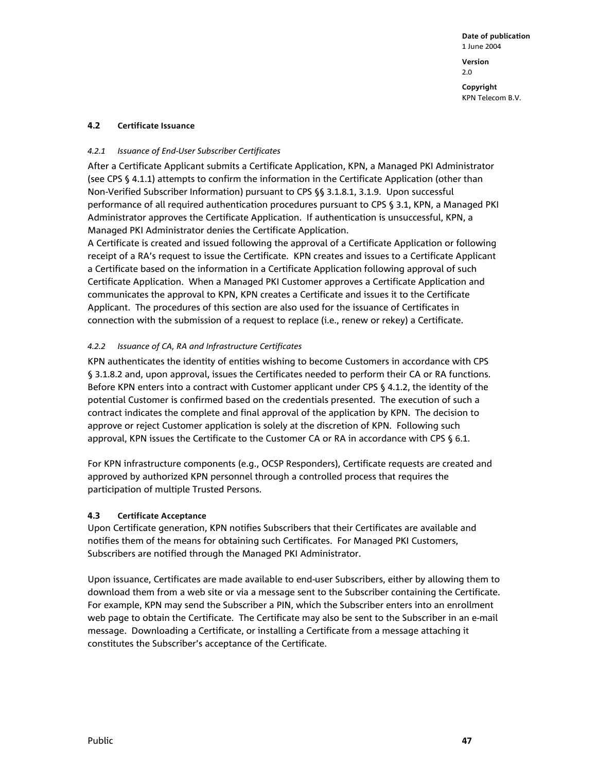**Copyright**  KPN Telecom B.V.

#### **4.2 Certificate Issuance**

#### *4.2.1 Issuance of End-User Subscriber Certificates*

After a Certificate Applicant submits a Certificate Application, KPN, a Managed PKI Administrator (see CPS § 4.1.1) attempts to confirm the information in the Certificate Application (other than Non-Verified Subscriber Information) pursuant to CPS §§ 3.1.8.1, 3.1.9. Upon successful performance of all required authentication procedures pursuant to CPS § 3.1, KPN, a Managed PKI Administrator approves the Certificate Application. If authentication is unsuccessful, KPN, a Managed PKI Administrator denies the Certificate Application.

A Certificate is created and issued following the approval of a Certificate Application or following receipt of a RA's request to issue the Certificate. KPN creates and issues to a Certificate Applicant a Certificate based on the information in a Certificate Application following approval of such Certificate Application. When a Managed PKI Customer approves a Certificate Application and communicates the approval to KPN, KPN creates a Certificate and issues it to the Certificate Applicant. The procedures of this section are also used for the issuance of Certificates in connection with the submission of a request to replace (i.e., renew or rekey) a Certificate.

#### *4.2.2 Issuance of CA, RA and Infrastructure Certificates*

KPN authenticates the identity of entities wishing to become Customers in accordance with CPS § 3.1.8.2 and, upon approval, issues the Certificates needed to perform their CA or RA functions. Before KPN enters into a contract with Customer applicant under CPS § 4.1.2, the identity of the potential Customer is confirmed based on the credentials presented. The execution of such a contract indicates the complete and final approval of the application by KPN. The decision to approve or reject Customer application is solely at the discretion of KPN. Following such approval, KPN issues the Certificate to the Customer CA or RA in accordance with CPS § 6.1.

For KPN infrastructure components (e.g., OCSP Responders), Certificate requests are created and approved by authorized KPN personnel through a controlled process that requires the participation of multiple Trusted Persons.

#### **4.3 Certificate Acceptance**

Upon Certificate generation, KPN notifies Subscribers that their Certificates are available and notifies them of the means for obtaining such Certificates. For Managed PKI Customers, Subscribers are notified through the Managed PKI Administrator.

Upon issuance, Certificates are made available to end-user Subscribers, either by allowing them to download them from a web site or via a message sent to the Subscriber containing the Certificate. For example, KPN may send the Subscriber a PIN, which the Subscriber enters into an enrollment web page to obtain the Certificate. The Certificate may also be sent to the Subscriber in an e-mail message. Downloading a Certificate, or installing a Certificate from a message attaching it constitutes the Subscriber's acceptance of the Certificate.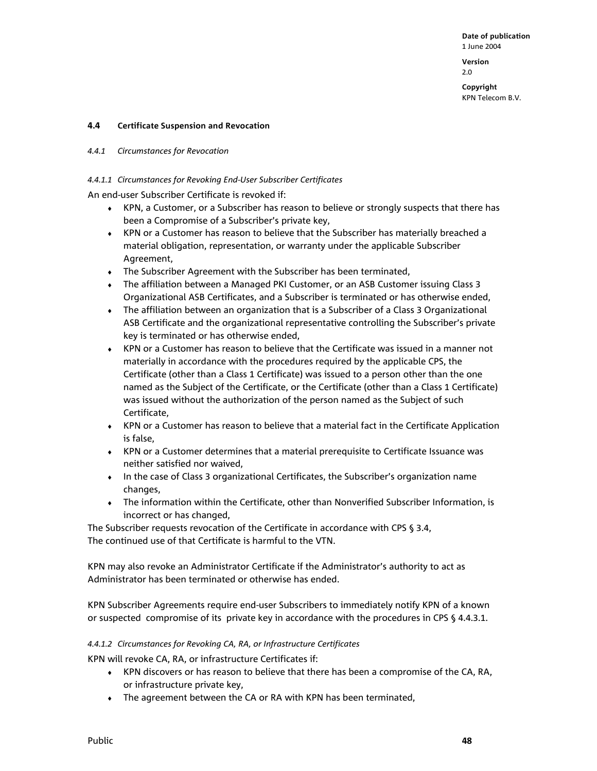**Version**  2.0

**Copyright**  KPN Telecom B.V.

#### **4.4 Certificate Suspension and Revocation**

#### *4.4.1 Circumstances for Revocation*

#### *4.4.1.1 Circumstances for Revoking End-User Subscriber Certificates*

An end-user Subscriber Certificate is revoked if:

- ♦ KPN, a Customer, or a Subscriber has reason to believe or strongly suspects that there has been a Compromise of a Subscriber's private key,
- ♦ KPN or a Customer has reason to believe that the Subscriber has materially breached a material obligation, representation, or warranty under the applicable Subscriber Agreement,
- ♦ The Subscriber Agreement with the Subscriber has been terminated,
- The affiliation between a Managed PKI Customer, or an ASB Customer issuing Class 3 Organizational ASB Certificates, and a Subscriber is terminated or has otherwise ended,
- ♦ The affiliation between an organization that is a Subscriber of a Class 3 Organizational ASB Certificate and the organizational representative controlling the Subscriber's private key is terminated or has otherwise ended,
- ♦ KPN or a Customer has reason to believe that the Certificate was issued in a manner not materially in accordance with the procedures required by the applicable CPS, the Certificate (other than a Class 1 Certificate) was issued to a person other than the one named as the Subject of the Certificate, or the Certificate (other than a Class 1 Certificate) was issued without the authorization of the person named as the Subject of such Certificate,
- ♦ KPN or a Customer has reason to believe that a material fact in the Certificate Application is false,
- ♦ KPN or a Customer determines that a material prerequisite to Certificate Issuance was neither satisfied nor waived,
- ♦ In the case of Class 3 organizational Certificates, the Subscriber's organization name changes,
- ♦ The information within the Certificate, other than Nonverified Subscriber Information, is incorrect or has changed,

The Subscriber requests revocation of the Certificate in accordance with CPS § 3.4, The continued use of that Certificate is harmful to the VTN.

KPN may also revoke an Administrator Certificate if the Administrator's authority to act as Administrator has been terminated or otherwise has ended.

KPN Subscriber Agreements require end-user Subscribers to immediately notify KPN of a known or suspected compromise of its private key in accordance with the procedures in CPS § 4.4.3.1.

#### *4.4.1.2 Circumstances for Revoking CA, RA, or Infrastructure Certificates*

KPN will revoke CA, RA, or infrastructure Certificates if:

- ♦ KPN discovers or has reason to believe that there has been a compromise of the CA, RA, or infrastructure private key,
- ♦ The agreement between the CA or RA with KPN has been terminated,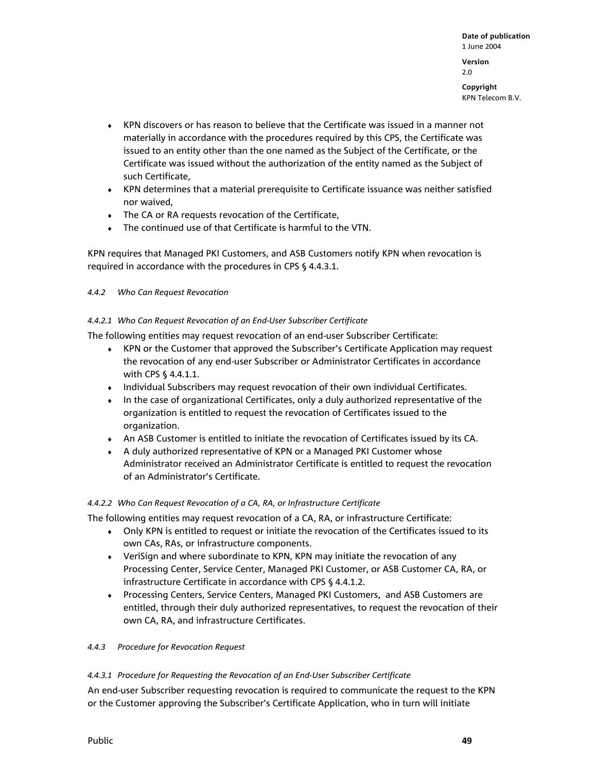- ♦ KPN discovers or has reason to believe that the Certificate was issued in a manner not materially in accordance with the procedures required by this CPS, the Certificate was issued to an entity other than the one named as the Subject of the Certificate, or the Certificate was issued without the authorization of the entity named as the Subject of such Certificate,
- ♦ KPN determines that a material prerequisite to Certificate issuance was neither satisfied nor waived,
- ♦ The CA or RA requests revocation of the Certificate,
- ♦ The continued use of that Certificate is harmful to the VTN.

KPN requires that Managed PKI Customers, and ASB Customers notify KPN when revocation is required in accordance with the procedures in CPS § 4.4.3.1.

*4.4.2 Who Can Request Revocation* 

#### *4.4.2.1 Who Can Request Revocation of an End-User Subscriber Certificate*

The following entities may request revocation of an end-user Subscriber Certificate:

- ♦ KPN or the Customer that approved the Subscriber's Certificate Application may request the revocation of any end-user Subscriber or Administrator Certificates in accordance with CPS § 4.4.1.1.
- ♦ Individual Subscribers may request revocation of their own individual Certificates.
- ♦ In the case of organizational Certificates, only a duly authorized representative of the organization is entitled to request the revocation of Certificates issued to the organization.
- ♦ An ASB Customer is entitled to initiate the revocation of Certificates issued by its CA.
- ♦ A duly authorized representative of KPN or a Managed PKI Customer whose Administrator received an Administrator Certificate is entitled to request the revocation of an Administrator's Certificate.

#### *4.4.2.2 Who Can Request Revocation of a CA, RA, or Infrastructure Certificate*

The following entities may request revocation of a CA, RA, or infrastructure Certificate:

- ♦ Only KPN is entitled to request or initiate the revocation of the Certificates issued to its own CAs, RAs, or infrastructure components.
- ♦ VeriSign and where subordinate to KPN, KPN may initiate the revocation of any Processing Center, Service Center, Managed PKI Customer, or ASB Customer CA, RA, or infrastructure Certificate in accordance with CPS § 4.4.1.2.
- ♦ Processing Centers, Service Centers, Managed PKI Customers, and ASB Customers are entitled, through their duly authorized representatives, to request the revocation of their own CA, RA, and infrastructure Certificates.

#### *4.4.3 Procedure for Revocation Request*

### *4.4.3.1 Procedure for Requesting the Revocation of an End-User Subscriber Certificate*

An end-user Subscriber requesting revocation is required to communicate the request to the KPN or the Customer approving the Subscriber's Certificate Application, who in turn will initiate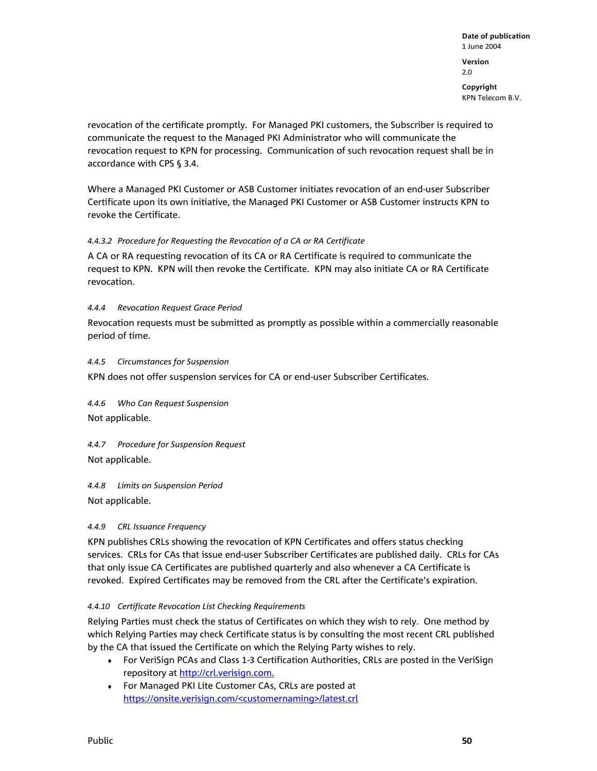2.0

**Copyright**  KPN Telecom B.V.

revocation of the certificate promptly. For Managed PKI customers, the Subscriber is required to communicate the request to the Managed PKI Administrator who will communicate the revocation request to KPN for processing. Communication of such revocation request shall be in accordance with CPS § 3.4.

Where a Managed PKI Customer or ASB Customer initiates revocation of an end-user Subscriber Certificate upon its own initiative, the Managed PKI Customer or ASB Customer instructs KPN to revoke the Certificate.

# *4.4.3.2 Procedure for Requesting the Revocation of a CA or RA Certificate*

A CA or RA requesting revocation of its CA or RA Certificate is required to communicate the request to KPN. KPN will then revoke the Certificate. KPN may also initiate CA or RA Certificate revocation.

# *4.4.4 Revocation Request Grace Period*

Revocation requests must be submitted as promptly as possible within a commercially reasonable period of time.

# *4.4.5 Circumstances for Suspension*

KPN does not offer suspension services for CA or end-user Subscriber Certificates.

*4.4.6 Who Can Request Suspension*  Not applicable.

*4.4.7 Procedure for Suspension Request*  Not applicable.

*4.4.8 Limits on Suspension Period*  Not applicable.

# *4.4.9 CRL Issuance Frequency*

KPN publishes CRLs showing the revocation of KPN Certificates and offers status checking services. CRLs for CAs that issue end-user Subscriber Certificates are published daily. CRLs for CAs that only issue CA Certificates are published quarterly and also whenever a CA Certificate is revoked. Expired Certificates may be removed from the CRL after the Certificate's expiration.

### *4.4.10 Certificate Revocation List Checking Requirements*

Relying Parties must check the status of Certificates on which they wish to rely. One method by which Relying Parties may check Certificate status is by consulting the most recent CRL published by the CA that issued the Certificate on which the Relying Party wishes to rely.

- ♦ For VeriSign PCAs and Class 1-3 Certification Authorities, CRLs are posted in the VeriSign repository at http://crl.verisign.com.
- ♦ For Managed PKI Lite Customer CAs, CRLs are posted at https://onsite.verisign.com/<customernaming>/latest.crl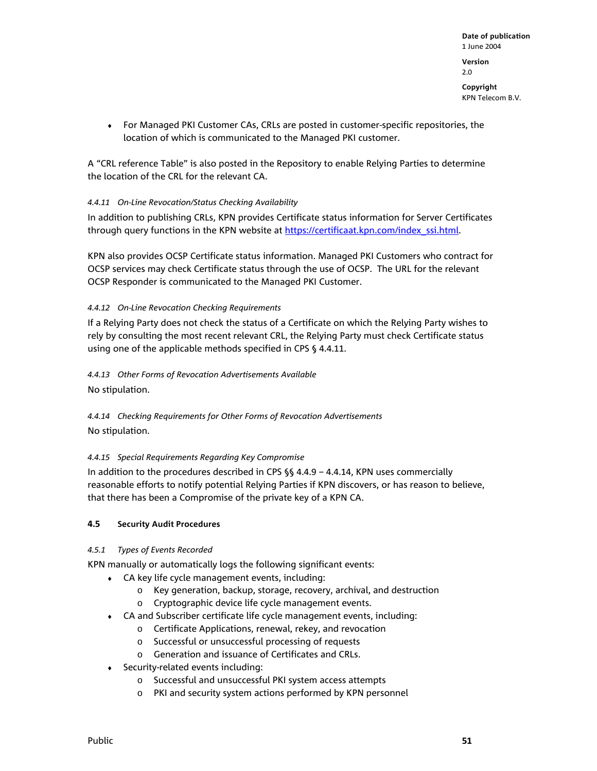**Version**  2.0

**Copyright**  KPN Telecom B.V.

♦ For Managed PKI Customer CAs, CRLs are posted in customer-specific repositories, the location of which is communicated to the Managed PKI customer.

A "CRL reference Table" is also posted in the Repository to enable Relying Parties to determine the location of the CRL for the relevant CA.

# *4.4.11 On-Line Revocation/Status Checking Availability*

In addition to publishing CRLs, KPN provides Certificate status information for Server Certificates through query functions in the KPN website at https://certificaat.kpn.com/index\_ssi.html.

KPN also provides OCSP Certificate status information. Managed PKI Customers who contract for OCSP services may check Certificate status through the use of OCSP. The URL for the relevant OCSP Responder is communicated to the Managed PKI Customer.

# *4.4.12 On-Line Revocation Checking Requirements*

If a Relying Party does not check the status of a Certificate on which the Relying Party wishes to rely by consulting the most recent relevant CRL, the Relying Party must check Certificate status using one of the applicable methods specified in CPS § 4.4.11.

*4.4.13 Other Forms of Revocation Advertisements Available*  No stipulation.

*4.4.14 Checking Requirements for Other Forms of Revocation Advertisements*  No stipulation.

# *4.4.15 Special Requirements Regarding Key Compromise*

In addition to the procedures described in CPS §§ 4.4.9 – 4.4.14, KPN uses commercially reasonable efforts to notify potential Relying Parties if KPN discovers, or has reason to believe, that there has been a Compromise of the private key of a KPN CA.

# **4.5 Security Audit Procedures**

# *4.5.1 Types of Events Recorded*

KPN manually or automatically logs the following significant events:

- $\bullet$  CA key life cycle management events, including:
	- o Key generation, backup, storage, recovery, archival, and destruction
	- o Cryptographic device life cycle management events.
- ♦ CA and Subscriber certificate life cycle management events, including:
	- o Certificate Applications, renewal, rekey, and revocation
	- o Successful or unsuccessful processing of requests
	- o Generation and issuance of Certificates and CRLs.
- ♦ Security-related events including:
	- o Successful and unsuccessful PKI system access attempts
	- o PKI and security system actions performed by KPN personnel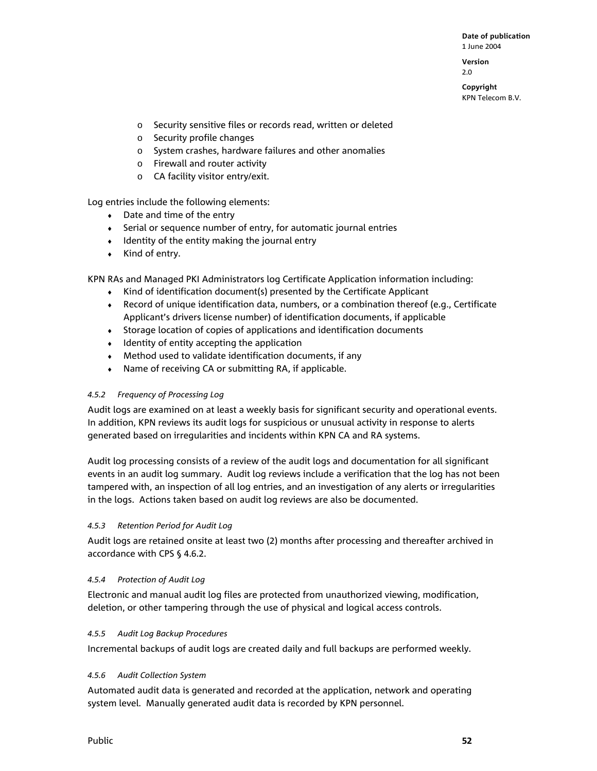**Version**  2.0

**Copyright**  KPN Telecom B.V.

- o Security sensitive files or records read, written or deleted
- o Security profile changes
- o System crashes, hardware failures and other anomalies
- o Firewall and router activity
- o CA facility visitor entry/exit.

Log entries include the following elements:

- $\bullet$  Date and time of the entry
- ♦ Serial or sequence number of entry, for automatic journal entries
- ♦ Identity of the entity making the journal entry
- $\bullet$  Kind of entry.

KPN RAs and Managed PKI Administrators log Certificate Application information including:

- ♦ Kind of identification document(s) presented by the Certificate Applicant
- ♦ Record of unique identification data, numbers, or a combination thereof (e.g., Certificate Applicant's drivers license number) of identification documents, if applicable
- ♦ Storage location of copies of applications and identification documents
- ♦ Identity of entity accepting the application
- $\bullet$  Method used to validate identification documents, if any
- ♦ Name of receiving CA or submitting RA, if applicable.

### *4.5.2 Frequency of Processing Log*

Audit logs are examined on at least a weekly basis for significant security and operational events. In addition, KPN reviews its audit logs for suspicious or unusual activity in response to alerts generated based on irregularities and incidents within KPN CA and RA systems.

Audit log processing consists of a review of the audit logs and documentation for all significant events in an audit log summary. Audit log reviews include a verification that the log has not been tampered with, an inspection of all log entries, and an investigation of any alerts or irregularities in the logs. Actions taken based on audit log reviews are also be documented.

### *4.5.3 Retention Period for Audit Log*

Audit logs are retained onsite at least two (2) months after processing and thereafter archived in accordance with CPS § 4.6.2.

### *4.5.4 Protection of Audit Log*

Electronic and manual audit log files are protected from unauthorized viewing, modification, deletion, or other tampering through the use of physical and logical access controls.

### *4.5.5 Audit Log Backup Procedures*

Incremental backups of audit logs are created daily and full backups are performed weekly.

### *4.5.6 Audit Collection System*

Automated audit data is generated and recorded at the application, network and operating system level. Manually generated audit data is recorded by KPN personnel.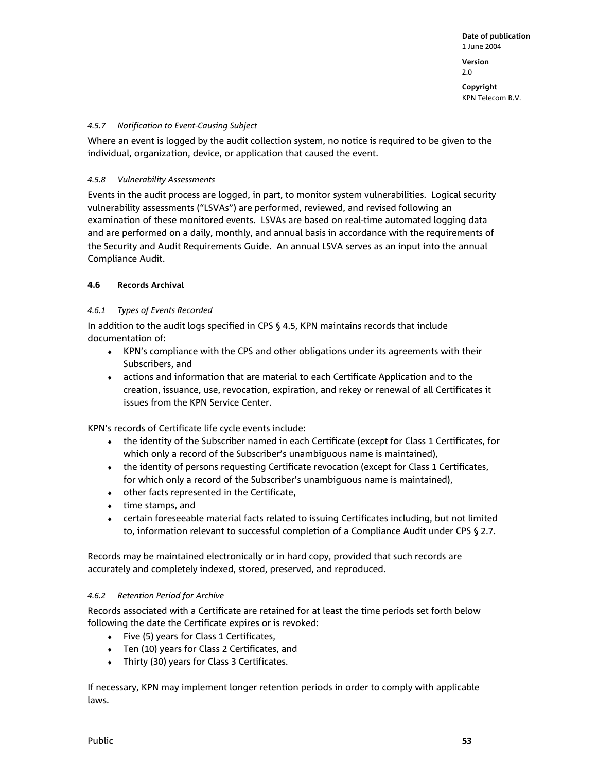2.0

**Copyright**  KPN Telecom B.V.

#### *4.5.7 Notification to Event-Causing Subject*

Where an event is logged by the audit collection system, no notice is required to be given to the individual, organization, device, or application that caused the event.

#### *4.5.8 Vulnerability Assessments*

Events in the audit process are logged, in part, to monitor system vulnerabilities. Logical security vulnerability assessments ("LSVAs") are performed, reviewed, and revised following an examination of these monitored events. LSVAs are based on real-time automated logging data and are performed on a daily, monthly, and annual basis in accordance with the requirements of the Security and Audit Requirements Guide. An annual LSVA serves as an input into the annual Compliance Audit.

### **4.6 Records Archival**

### *4.6.1 Types of Events Recorded*

In addition to the audit logs specified in CPS § 4.5, KPN maintains records that include documentation of:

- ♦ KPN's compliance with the CPS and other obligations under its agreements with their Subscribers, and
- actions and information that are material to each Certificate Application and to the creation, issuance, use, revocation, expiration, and rekey or renewal of all Certificates it issues from the KPN Service Center.

KPN's records of Certificate life cycle events include:

- ♦ the identity of the Subscriber named in each Certificate (except for Class 1 Certificates, for which only a record of the Subscriber's unambiguous name is maintained),
- the identity of persons requesting Certificate revocation (except for Class 1 Certificates, for which only a record of the Subscriber's unambiguous name is maintained),
- ♦ other facts represented in the Certificate,
- ♦ time stamps, and
- ♦ certain foreseeable material facts related to issuing Certificates including, but not limited to, information relevant to successful completion of a Compliance Audit under CPS § 2.7.

Records may be maintained electronically or in hard copy, provided that such records are accurately and completely indexed, stored, preserved, and reproduced.

### *4.6.2 Retention Period for Archive*

Records associated with a Certificate are retained for at least the time periods set forth below following the date the Certificate expires or is revoked:

- ♦ Five (5) years for Class 1 Certificates,
- ♦ Ten (10) years for Class 2 Certificates, and
- ♦ Thirty (30) years for Class 3 Certificates.

If necessary, KPN may implement longer retention periods in order to comply with applicable laws.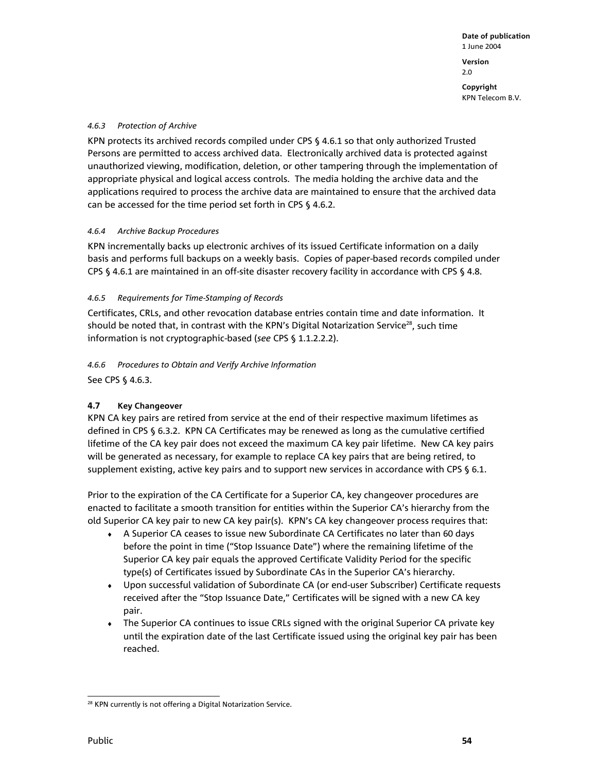### *4.6.3 Protection of Archive*

KPN protects its archived records compiled under CPS § 4.6.1 so that only authorized Trusted Persons are permitted to access archived data. Electronically archived data is protected against unauthorized viewing, modification, deletion, or other tampering through the implementation of appropriate physical and logical access controls. The media holding the archive data and the applications required to process the archive data are maintained to ensure that the archived data can be accessed for the time period set forth in CPS § 4.6.2.

# *4.6.4 Archive Backup Procedures*

KPN incrementally backs up electronic archives of its issued Certificate information on a daily basis and performs full backups on a weekly basis. Copies of paper-based records compiled under CPS § 4.6.1 are maintained in an off-site disaster recovery facility in accordance with CPS § 4.8.

# *4.6.5 Requirements for Time-Stamping of Records*

Certificates, CRLs, and other revocation database entries contain time and date information. It should be noted that, in contrast with the KPN's Digital Notarization Service<sup>28</sup>, such time information is not cryptographic-based (*see* CPS § 1.1.2.2.2).

# *4.6.6 Procedures to Obtain and Verify Archive Information*

See CPS § 4.6.3.

# **4.7 Key Changeover**

KPN CA key pairs are retired from service at the end of their respective maximum lifetimes as defined in CPS § 6.3.2. KPN CA Certificates may be renewed as long as the cumulative certified lifetime of the CA key pair does not exceed the maximum CA key pair lifetime. New CA key pairs will be generated as necessary, for example to replace CA key pairs that are being retired, to supplement existing, active key pairs and to support new services in accordance with CPS § 6.1.

Prior to the expiration of the CA Certificate for a Superior CA, key changeover procedures are enacted to facilitate a smooth transition for entities within the Superior CA's hierarchy from the old Superior CA key pair to new CA key pair(s). KPN's CA key changeover process requires that:

- ♦ A Superior CA ceases to issue new Subordinate CA Certificates no later than 60 days before the point in time ("Stop Issuance Date") where the remaining lifetime of the Superior CA key pair equals the approved Certificate Validity Period for the specific type(s) of Certificates issued by Subordinate CAs in the Superior CA's hierarchy.
- ♦ Upon successful validation of Subordinate CA (or end-user Subscriber) Certificate requests received after the "Stop Issuance Date," Certificates will be signed with a new CA key pair.
- The Superior CA continues to issue CRLs signed with the original Superior CA private key until the expiration date of the last Certificate issued using the original key pair has been reached.

l <sup>28</sup> KPN currently is not offering a Digital Notarization Service.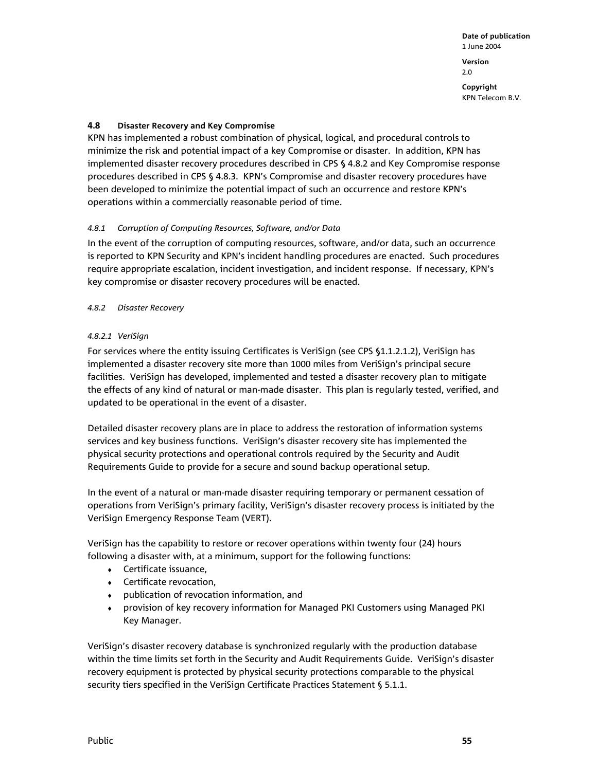2.0

**Copyright**  KPN Telecom B.V.

## **4.8 Disaster Recovery and Key Compromise**

KPN has implemented a robust combination of physical, logical, and procedural controls to minimize the risk and potential impact of a key Compromise or disaster. In addition, KPN has implemented disaster recovery procedures described in CPS § 4.8.2 and Key Compromise response procedures described in CPS § 4.8.3. KPN's Compromise and disaster recovery procedures have been developed to minimize the potential impact of such an occurrence and restore KPN's operations within a commercially reasonable period of time.

### *4.8.1 Corruption of Computing Resources, Software, and/or Data*

In the event of the corruption of computing resources, software, and/or data, such an occurrence is reported to KPN Security and KPN's incident handling procedures are enacted. Such procedures require appropriate escalation, incident investigation, and incident response. If necessary, KPN's key compromise or disaster recovery procedures will be enacted.

### *4.8.2 Disaster Recovery*

### *4.8.2.1 VeriSign*

For services where the entity issuing Certificates is VeriSign (see CPS §1.1.2.1.2), VeriSign has implemented a disaster recovery site more than 1000 miles from VeriSign's principal secure facilities. VeriSign has developed, implemented and tested a disaster recovery plan to mitigate the effects of any kind of natural or man-made disaster. This plan is regularly tested, verified, and updated to be operational in the event of a disaster.

Detailed disaster recovery plans are in place to address the restoration of information systems services and key business functions. VeriSign's disaster recovery site has implemented the physical security protections and operational controls required by the Security and Audit Requirements Guide to provide for a secure and sound backup operational setup.

In the event of a natural or man-made disaster requiring temporary or permanent cessation of operations from VeriSign's primary facility, VeriSign's disaster recovery process is initiated by the VeriSign Emergency Response Team (VERT).

VeriSign has the capability to restore or recover operations within twenty four (24) hours following a disaster with, at a minimum, support for the following functions:

- ♦ Certificate issuance,
- ♦ Certificate revocation,
- ♦ publication of revocation information, and
- provision of key recovery information for Managed PKI Customers using Managed PKI Key Manager.

VeriSign's disaster recovery database is synchronized regularly with the production database within the time limits set forth in the Security and Audit Requirements Guide. VeriSign's disaster recovery equipment is protected by physical security protections comparable to the physical security tiers specified in the VeriSign Certificate Practices Statement § 5.1.1.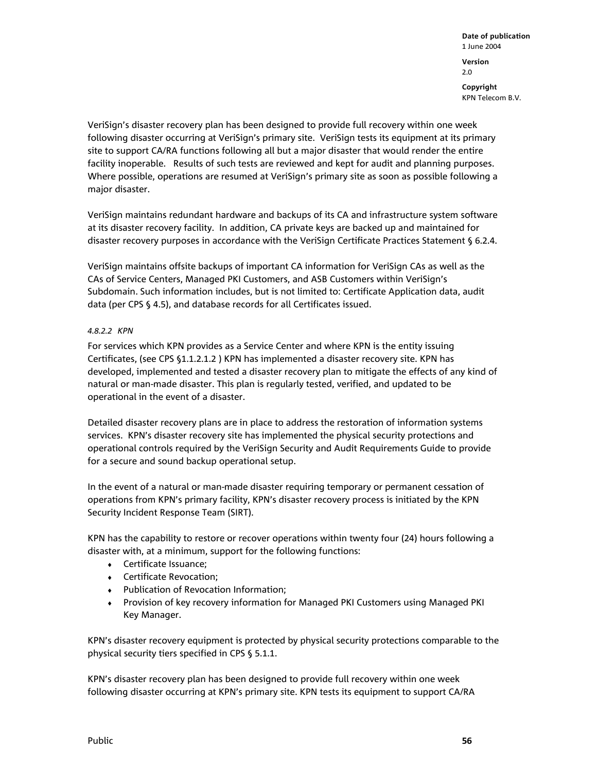VeriSign's disaster recovery plan has been designed to provide full recovery within one week following disaster occurring at VeriSign's primary site. VeriSign tests its equipment at its primary site to support CA/RA functions following all but a major disaster that would render the entire facility inoperable. Results of such tests are reviewed and kept for audit and planning purposes. Where possible, operations are resumed at VeriSign's primary site as soon as possible following a major disaster.

VeriSign maintains redundant hardware and backups of its CA and infrastructure system software at its disaster recovery facility. In addition, CA private keys are backed up and maintained for disaster recovery purposes in accordance with the VeriSign Certificate Practices Statement § 6.2.4.

VeriSign maintains offsite backups of important CA information for VeriSign CAs as well as the CAs of Service Centers, Managed PKI Customers, and ASB Customers within VeriSign's Subdomain. Such information includes, but is not limited to: Certificate Application data, audit data (per CPS § 4.5), and database records for all Certificates issued.

### *4.8.2.2 KPN*

For services which KPN provides as a Service Center and where KPN is the entity issuing Certificates, (see CPS §1.1.2.1.2 ) KPN has implemented a disaster recovery site. KPN has developed, implemented and tested a disaster recovery plan to mitigate the effects of any kind of natural or man-made disaster. This plan is regularly tested, verified, and updated to be operational in the event of a disaster.

Detailed disaster recovery plans are in place to address the restoration of information systems services. KPN's disaster recovery site has implemented the physical security protections and operational controls required by the VeriSign Security and Audit Requirements Guide to provide for a secure and sound backup operational setup.

In the event of a natural or man-made disaster requiring temporary or permanent cessation of operations from KPN's primary facility, KPN's disaster recovery process is initiated by the KPN Security Incident Response Team (SIRT).

KPN has the capability to restore or recover operations within twenty four (24) hours following a disaster with, at a minimum, support for the following functions:

- ♦ Certificate Issuance;
- ♦ Certificate Revocation;
- ♦ Publication of Revocation Information;
- ♦ Provision of key recovery information for Managed PKI Customers using Managed PKI Key Manager.

KPN's disaster recovery equipment is protected by physical security protections comparable to the physical security tiers specified in CPS § 5.1.1.

KPN's disaster recovery plan has been designed to provide full recovery within one week following disaster occurring at KPN's primary site. KPN tests its equipment to support CA/RA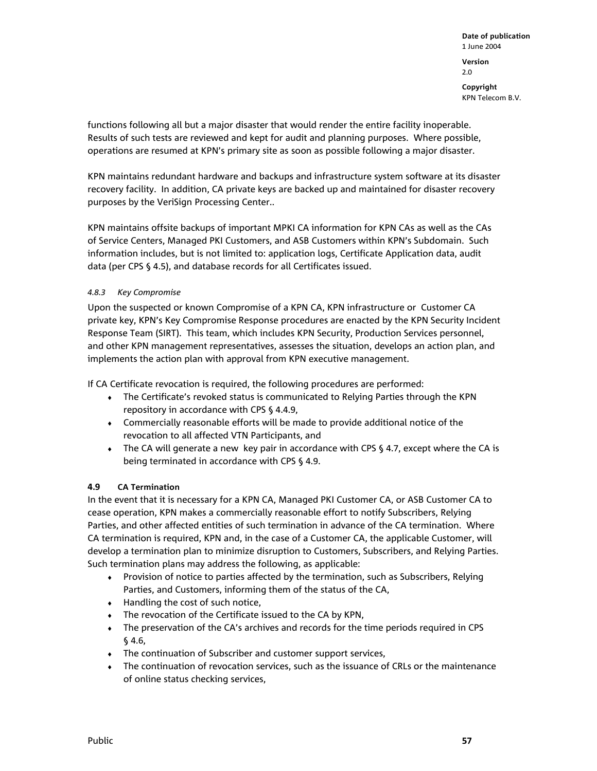functions following all but a major disaster that would render the entire facility inoperable. Results of such tests are reviewed and kept for audit and planning purposes. Where possible, operations are resumed at KPN's primary site as soon as possible following a major disaster.

KPN maintains redundant hardware and backups and infrastructure system software at its disaster recovery facility. In addition, CA private keys are backed up and maintained for disaster recovery purposes by the VeriSign Processing Center..

KPN maintains offsite backups of important MPKI CA information for KPN CAs as well as the CAs of Service Centers, Managed PKI Customers, and ASB Customers within KPN's Subdomain. Such information includes, but is not limited to: application logs, Certificate Application data, audit data (per CPS § 4.5), and database records for all Certificates issued.

# *4.8.3 Key Compromise*

Upon the suspected or known Compromise of a KPN CA, KPN infrastructure or Customer CA private key, KPN's Key Compromise Response procedures are enacted by the KPN Security Incident Response Team (SIRT). This team, which includes KPN Security, Production Services personnel, and other KPN management representatives, assesses the situation, develops an action plan, and implements the action plan with approval from KPN executive management.

If CA Certificate revocation is required, the following procedures are performed:

- The Certificate's revoked status is communicated to Relying Parties through the KPN repository in accordance with CPS § 4.4.9,
- ♦ Commercially reasonable efforts will be made to provide additional notice of the revocation to all affected VTN Participants, and
- The CA will generate a new key pair in accordance with CPS § 4.7, except where the CA is being terminated in accordance with CPS § 4.9.

### **4.9 CA Termination**

In the event that it is necessary for a KPN CA, Managed PKI Customer CA, or ASB Customer CA to cease operation, KPN makes a commercially reasonable effort to notify Subscribers, Relying Parties, and other affected entities of such termination in advance of the CA termination. Where CA termination is required, KPN and, in the case of a Customer CA, the applicable Customer, will develop a termination plan to minimize disruption to Customers, Subscribers, and Relying Parties. Such termination plans may address the following, as applicable:

- ♦ Provision of notice to parties affected by the termination, such as Subscribers, Relying Parties, and Customers, informing them of the status of the CA,
- $\bullet$  Handling the cost of such notice,
- ♦ The revocation of the Certificate issued to the CA by KPN,
- ♦ The preservation of the CA's archives and records for the time periods required in CPS § 4.6,
- ♦ The continuation of Subscriber and customer support services,
- ♦ The continuation of revocation services, such as the issuance of CRLs or the maintenance of online status checking services,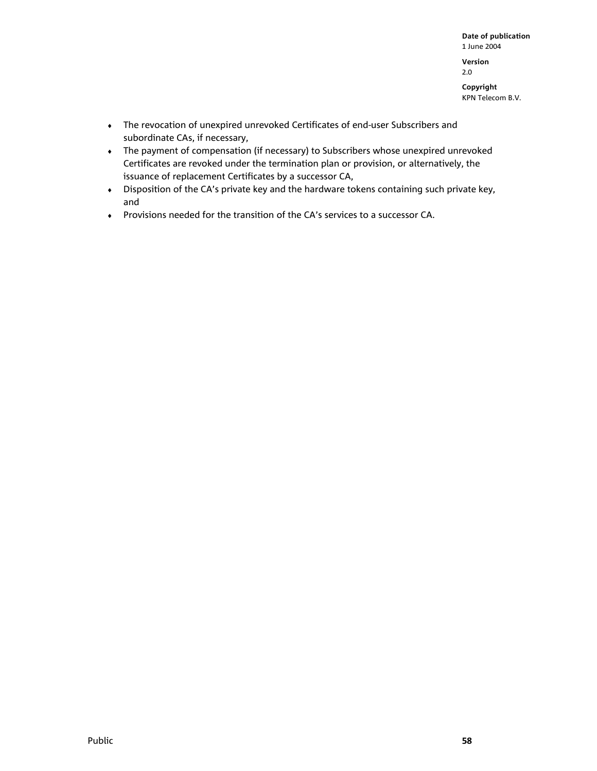2.0

**Copyright**  KPN Telecom B.V.

- ♦ The revocation of unexpired unrevoked Certificates of end-user Subscribers and subordinate CAs, if necessary,
- ♦ The payment of compensation (if necessary) to Subscribers whose unexpired unrevoked Certificates are revoked under the termination plan or provision, or alternatively, the issuance of replacement Certificates by a successor CA,
- ♦ Disposition of the CA's private key and the hardware tokens containing such private key, and
- ♦ Provisions needed for the transition of the CA's services to a successor CA.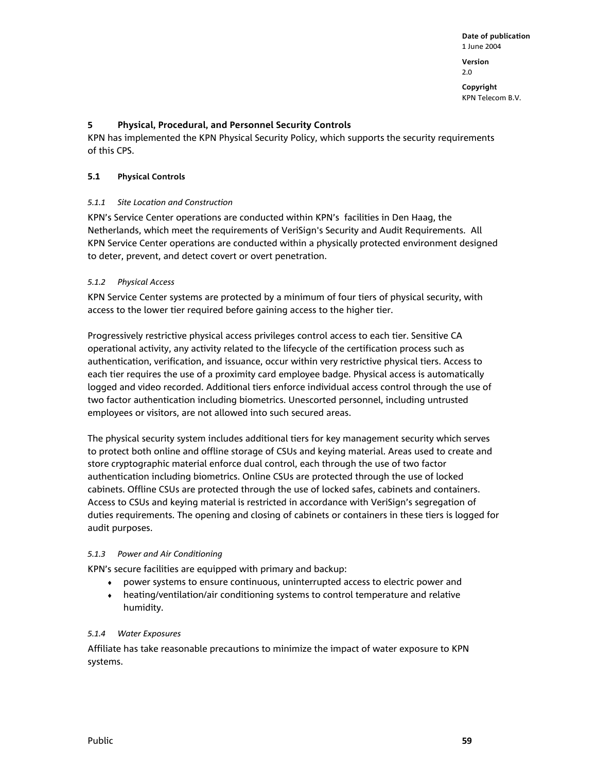**Version**  2.0

**Copyright**  KPN Telecom B.V.

# **5 Physical, Procedural, and Personnel Security Controls**

KPN has implemented the KPN Physical Security Policy, which supports the security requirements of this CPS.

# **5.1 Physical Controls**

# *5.1.1 Site Location and Construction*

KPN's Service Center operations are conducted within KPN's facilities in Den Haag, the Netherlands, which meet the requirements of VeriSign's Security and Audit Requirements. All KPN Service Center operations are conducted within a physically protected environment designed to deter, prevent, and detect covert or overt penetration.

# *5.1.2 Physical Access*

KPN Service Center systems are protected by a minimum of four tiers of physical security, with access to the lower tier required before gaining access to the higher tier.

Progressively restrictive physical access privileges control access to each tier. Sensitive CA operational activity, any activity related to the lifecycle of the certification process such as authentication, verification, and issuance, occur within very restrictive physical tiers. Access to each tier requires the use of a proximity card employee badge. Physical access is automatically logged and video recorded. Additional tiers enforce individual access control through the use of two factor authentication including biometrics. Unescorted personnel, including untrusted employees or visitors, are not allowed into such secured areas.

The physical security system includes additional tiers for key management security which serves to protect both online and offline storage of CSUs and keying material. Areas used to create and store cryptographic material enforce dual control, each through the use of two factor authentication including biometrics. Online CSUs are protected through the use of locked cabinets. Offline CSUs are protected through the use of locked safes, cabinets and containers. Access to CSUs and keying material is restricted in accordance with VeriSign's segregation of duties requirements. The opening and closing of cabinets or containers in these tiers is logged for audit purposes.

### *5.1.3 Power and Air Conditioning*

KPN's secure facilities are equipped with primary and backup:

- ♦ power systems to ensure continuous, uninterrupted access to electric power and
- ♦ heating/ventilation/air conditioning systems to control temperature and relative humidity.

### *5.1.4 Water Exposures*

Affiliate has take reasonable precautions to minimize the impact of water exposure to KPN systems.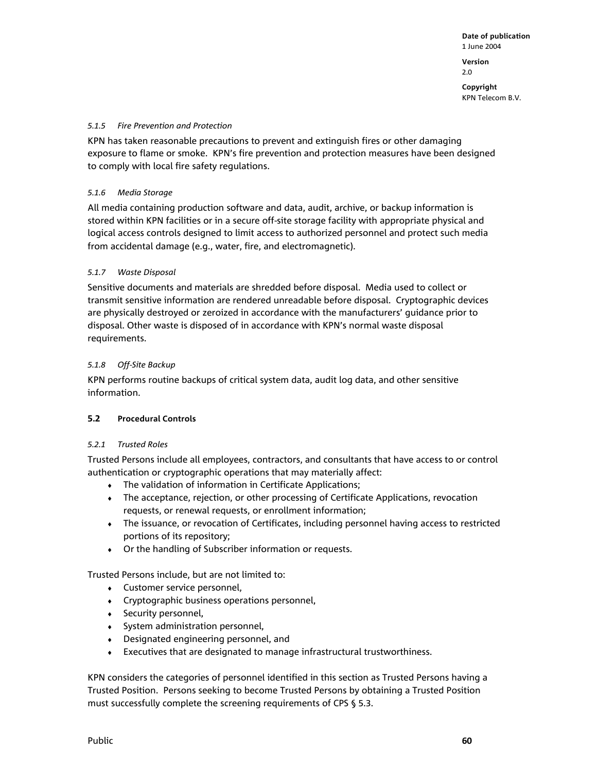**Version**  2.0

**Copyright**  KPN Telecom B.V.

#### *5.1.5 Fire Prevention and Protection*

KPN has taken reasonable precautions to prevent and extinguish fires or other damaging exposure to flame or smoke. KPN's fire prevention and protection measures have been designed to comply with local fire safety regulations.

### *5.1.6 Media Storage*

All media containing production software and data, audit, archive, or backup information is stored within KPN facilities or in a secure off-site storage facility with appropriate physical and logical access controls designed to limit access to authorized personnel and protect such media from accidental damage (e.g., water, fire, and electromagnetic).

### *5.1.7 Waste Disposal*

Sensitive documents and materials are shredded before disposal. Media used to collect or transmit sensitive information are rendered unreadable before disposal. Cryptographic devices are physically destroyed or zeroized in accordance with the manufacturers' guidance prior to disposal. Other waste is disposed of in accordance with KPN's normal waste disposal requirements.

#### *5.1.8 Off-Site Backup*

KPN performs routine backups of critical system data, audit log data, and other sensitive information.

### **5.2 Procedural Controls**

#### *5.2.1 Trusted Roles*

Trusted Persons include all employees, contractors, and consultants that have access to or control authentication or cryptographic operations that may materially affect:

- ♦ The validation of information in Certificate Applications;
- The acceptance, rejection, or other processing of Certificate Applications, revocation requests, or renewal requests, or enrollment information;
- ♦ The issuance, or revocation of Certificates, including personnel having access to restricted portions of its repository;
- ♦ Or the handling of Subscriber information or requests.

Trusted Persons include, but are not limited to:

- ♦ Customer service personnel,
- ♦ Cryptographic business operations personnel,
- ♦ Security personnel,
- ♦ System administration personnel,
- ♦ Designated engineering personnel, and
- ♦ Executives that are designated to manage infrastructural trustworthiness.

KPN considers the categories of personnel identified in this section as Trusted Persons having a Trusted Position. Persons seeking to become Trusted Persons by obtaining a Trusted Position must successfully complete the screening requirements of CPS § 5.3.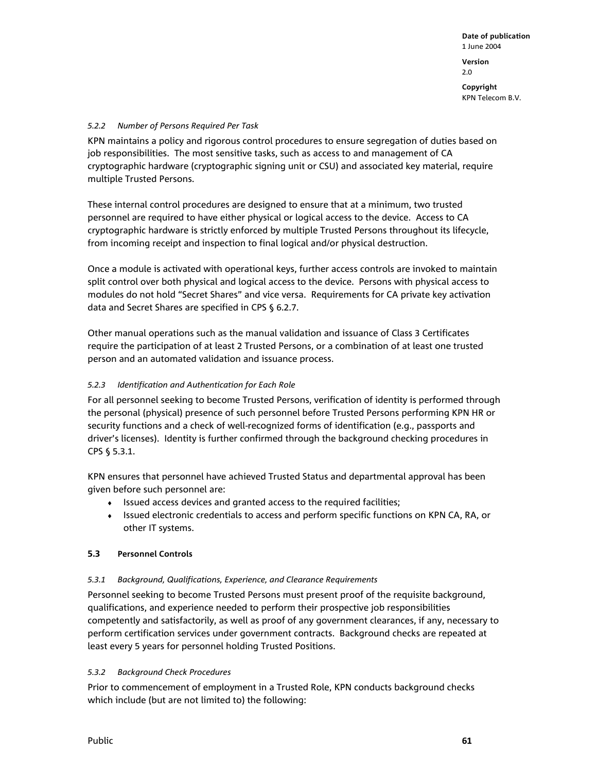**Copyright**  KPN Telecom B.V.

## *5.2.2 Number of Persons Required Per Task*

KPN maintains a policy and rigorous control procedures to ensure segregation of duties based on job responsibilities. The most sensitive tasks, such as access to and management of CA cryptographic hardware (cryptographic signing unit or CSU) and associated key material, require multiple Trusted Persons.

These internal control procedures are designed to ensure that at a minimum, two trusted personnel are required to have either physical or logical access to the device. Access to CA cryptographic hardware is strictly enforced by multiple Trusted Persons throughout its lifecycle, from incoming receipt and inspection to final logical and/or physical destruction.

Once a module is activated with operational keys, further access controls are invoked to maintain split control over both physical and logical access to the device. Persons with physical access to modules do not hold "Secret Shares" and vice versa. Requirements for CA private key activation data and Secret Shares are specified in CPS § 6.2.7.

Other manual operations such as the manual validation and issuance of Class 3 Certificates require the participation of at least 2 Trusted Persons, or a combination of at least one trusted person and an automated validation and issuance process.

# *5.2.3 Identification and Authentication for Each Role*

For all personnel seeking to become Trusted Persons, verification of identity is performed through the personal (physical) presence of such personnel before Trusted Persons performing KPN HR or security functions and a check of well-recognized forms of identification (e.g., passports and driver's licenses). Identity is further confirmed through the background checking procedures in CPS § 5.3.1.

KPN ensures that personnel have achieved Trusted Status and departmental approval has been given before such personnel are:

- ♦ Issued access devices and granted access to the required facilities;
- ♦ Issued electronic credentials to access and perform specific functions on KPN CA, RA, or other IT systems.

### **5.3 Personnel Controls**

### *5.3.1 Background, Qualifications, Experience, and Clearance Requirements*

Personnel seeking to become Trusted Persons must present proof of the requisite background, qualifications, and experience needed to perform their prospective job responsibilities competently and satisfactorily, as well as proof of any government clearances, if any, necessary to perform certification services under government contracts. Background checks are repeated at least every 5 years for personnel holding Trusted Positions.

### *5.3.2 Background Check Procedures*

Prior to commencement of employment in a Trusted Role, KPN conducts background checks which include (but are not limited to) the following: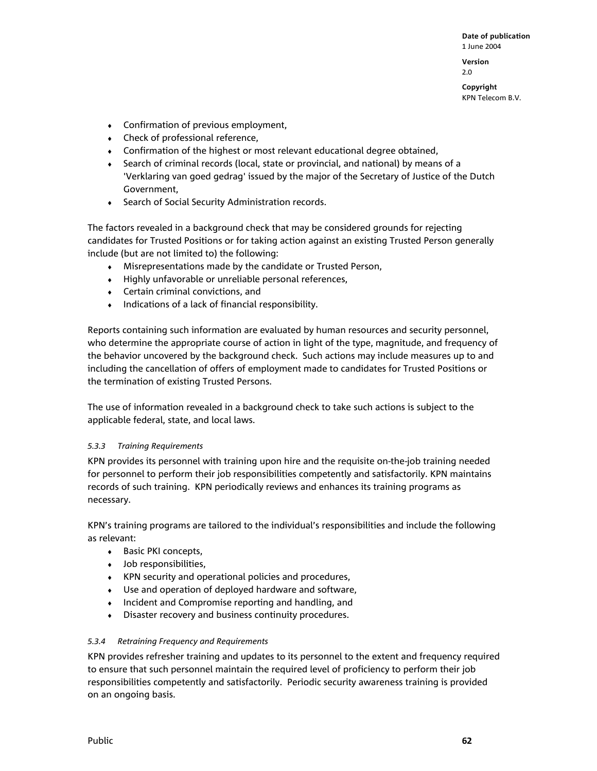**Version**  2.0

**Copyright**  KPN Telecom B.V.

- ♦ Confirmation of previous employment,
- ♦ Check of professional reference,
- $\bullet$  Confirmation of the highest or most relevant educational degree obtained,
- ♦ Search of criminal records (local, state or provincial, and national) by means of a 'Verklaring van goed gedrag' issued by the major of the Secretary of Justice of the Dutch Government,
- ♦ Search of Social Security Administration records.

The factors revealed in a background check that may be considered grounds for rejecting candidates for Trusted Positions or for taking action against an existing Trusted Person generally include (but are not limited to) the following:

- ♦ Misrepresentations made by the candidate or Trusted Person,
- ♦ Highly unfavorable or unreliable personal references,
- ♦ Certain criminal convictions, and
- ♦ Indications of a lack of financial responsibility.

Reports containing such information are evaluated by human resources and security personnel, who determine the appropriate course of action in light of the type, magnitude, and frequency of the behavior uncovered by the background check. Such actions may include measures up to and including the cancellation of offers of employment made to candidates for Trusted Positions or the termination of existing Trusted Persons.

The use of information revealed in a background check to take such actions is subject to the applicable federal, state, and local laws.

### *5.3.3 Training Requirements*

KPN provides its personnel with training upon hire and the requisite on-the-job training needed for personnel to perform their job responsibilities competently and satisfactorily. KPN maintains records of such training. KPN periodically reviews and enhances its training programs as necessary.

KPN's training programs are tailored to the individual's responsibilities and include the following as relevant:

- ♦ Basic PKI concepts,
- ♦ Job responsibilities,
- ♦ KPN security and operational policies and procedures,
- ♦ Use and operation of deployed hardware and software,
- ♦ Incident and Compromise reporting and handling, and
- ♦ Disaster recovery and business continuity procedures.

### *5.3.4 Retraining Frequency and Requirements*

KPN provides refresher training and updates to its personnel to the extent and frequency required to ensure that such personnel maintain the required level of proficiency to perform their job responsibilities competently and satisfactorily. Periodic security awareness training is provided on an ongoing basis.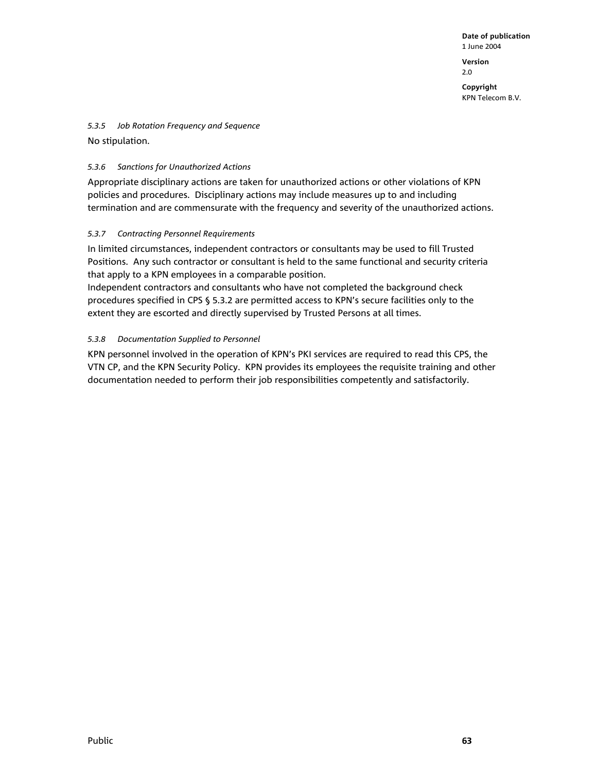2.0

**Copyright**  KPN Telecom B.V.

*5.3.5 Job Rotation Frequency and Sequence* 

No stipulation.

### *5.3.6 Sanctions for Unauthorized Actions*

Appropriate disciplinary actions are taken for unauthorized actions or other violations of KPN policies and procedures. Disciplinary actions may include measures up to and including termination and are commensurate with the frequency and severity of the unauthorized actions.

# *5.3.7 Contracting Personnel Requirements*

In limited circumstances, independent contractors or consultants may be used to fill Trusted Positions. Any such contractor or consultant is held to the same functional and security criteria that apply to a KPN employees in a comparable position.

Independent contractors and consultants who have not completed the background check procedures specified in CPS § 5.3.2 are permitted access to KPN's secure facilities only to the extent they are escorted and directly supervised by Trusted Persons at all times.

# *5.3.8 Documentation Supplied to Personnel*

KPN personnel involved in the operation of KPN's PKI services are required to read this CPS, the VTN CP, and the KPN Security Policy. KPN provides its employees the requisite training and other documentation needed to perform their job responsibilities competently and satisfactorily.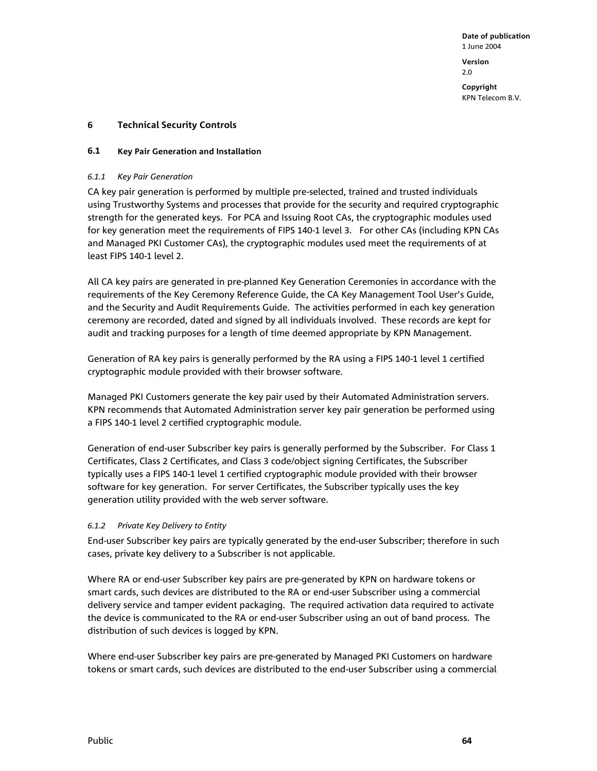### **6 Technical Security Controls**

#### **6.1 Key Pair Generation and Installation**

#### *6.1.1 Key Pair Generation*

CA key pair generation is performed by multiple pre-selected, trained and trusted individuals using Trustworthy Systems and processes that provide for the security and required cryptographic strength for the generated keys. For PCA and Issuing Root CAs, the cryptographic modules used for key generation meet the requirements of FIPS 140-1 level 3. For other CAs (including KPN CAs and Managed PKI Customer CAs), the cryptographic modules used meet the requirements of at least FIPS 140-1 level 2.

All CA key pairs are generated in pre-planned Key Generation Ceremonies in accordance with the requirements of the Key Ceremony Reference Guide, the CA Key Management Tool User's Guide, and the Security and Audit Requirements Guide. The activities performed in each key generation ceremony are recorded, dated and signed by all individuals involved. These records are kept for audit and tracking purposes for a length of time deemed appropriate by KPN Management.

Generation of RA key pairs is generally performed by the RA using a FIPS 140-1 level 1 certified cryptographic module provided with their browser software.

Managed PKI Customers generate the key pair used by their Automated Administration servers. KPN recommends that Automated Administration server key pair generation be performed using a FIPS 140-1 level 2 certified cryptographic module.

Generation of end-user Subscriber key pairs is generally performed by the Subscriber. For Class 1 Certificates, Class 2 Certificates, and Class 3 code/object signing Certificates, the Subscriber typically uses a FIPS 140-1 level 1 certified cryptographic module provided with their browser software for key generation. For server Certificates, the Subscriber typically uses the key generation utility provided with the web server software.

### *6.1.2 Private Key Delivery to Entity*

End-user Subscriber key pairs are typically generated by the end-user Subscriber; therefore in such cases, private key delivery to a Subscriber is not applicable.

Where RA or end-user Subscriber key pairs are pre-generated by KPN on hardware tokens or smart cards, such devices are distributed to the RA or end-user Subscriber using a commercial delivery service and tamper evident packaging. The required activation data required to activate the device is communicated to the RA or end-user Subscriber using an out of band process. The distribution of such devices is logged by KPN.

Where end-user Subscriber key pairs are pre-generated by Managed PKI Customers on hardware tokens or smart cards, such devices are distributed to the end-user Subscriber using a commercial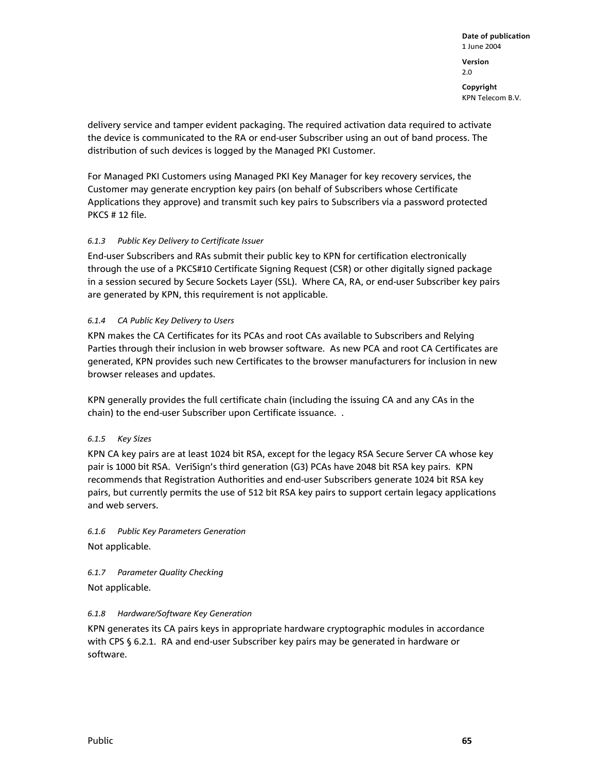**Copyright**  KPN Telecom B.V.

delivery service and tamper evident packaging. The required activation data required to activate the device is communicated to the RA or end-user Subscriber using an out of band process. The distribution of such devices is logged by the Managed PKI Customer.

For Managed PKI Customers using Managed PKI Key Manager for key recovery services, the Customer may generate encryption key pairs (on behalf of Subscribers whose Certificate Applications they approve) and transmit such key pairs to Subscribers via a password protected PKCS # 12 file.

# *6.1.3 Public Key Delivery to Certificate Issuer*

End-user Subscribers and RAs submit their public key to KPN for certification electronically through the use of a PKCS#10 Certificate Signing Request (CSR) or other digitally signed package in a session secured by Secure Sockets Layer (SSL). Where CA, RA, or end-user Subscriber key pairs are generated by KPN, this requirement is not applicable.

# *6.1.4 CA Public Key Delivery to Users*

KPN makes the CA Certificates for its PCAs and root CAs available to Subscribers and Relying Parties through their inclusion in web browser software. As new PCA and root CA Certificates are generated, KPN provides such new Certificates to the browser manufacturers for inclusion in new browser releases and updates.

KPN generally provides the full certificate chain (including the issuing CA and any CAs in the chain) to the end-user Subscriber upon Certificate issuance. .

# *6.1.5 Key Sizes*

KPN CA key pairs are at least 1024 bit RSA, except for the legacy RSA Secure Server CA whose key pair is 1000 bit RSA. VeriSign's third generation (G3) PCAs have 2048 bit RSA key pairs. KPN recommends that Registration Authorities and end-user Subscribers generate 1024 bit RSA key pairs, but currently permits the use of 512 bit RSA key pairs to support certain legacy applications and web servers.

*6.1.6 Public Key Parameters Generation*  Not applicable.

*6.1.7 Parameter Quality Checking* 

Not applicable.

### *6.1.8 Hardware/Software Key Generation*

KPN generates its CA pairs keys in appropriate hardware cryptographic modules in accordance with CPS § 6.2.1. RA and end-user Subscriber key pairs may be generated in hardware or software.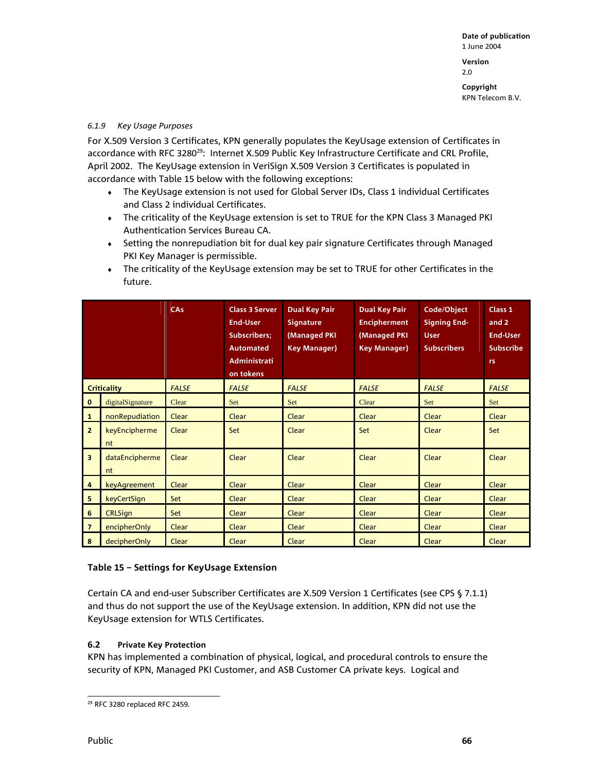**Version**  2.0

**Copyright** 

KPN Telecom B.V.

## *6.1.9 Key Usage Purposes*

For X.509 Version 3 Certificates, KPN generally populates the KeyUsage extension of Certificates in accordance with RFC 3280<sup>29</sup>: Internet X.509 Public Key Infrastructure Certificate and CRL Profile, April 2002. The KeyUsage extension in VeriSign X.509 Version 3 Certificates is populated in accordance with Table 15 below with the following exceptions:

- ♦ The KeyUsage extension is not used for Global Server IDs, Class 1 individual Certificates and Class 2 individual Certificates.
- ♦ The criticality of the KeyUsage extension is set to TRUE for the KPN Class 3 Managed PKI Authentication Services Bureau CA.
- ♦ Setting the nonrepudiation bit for dual key pair signature Certificates through Managed PKI Key Manager is permissible.
- ♦ The criticality of the KeyUsage extension may be set to TRUE for other Certificates in the future.

|                         |                      | <b>CAs</b>   | <b>Class 3 Server</b><br><b>End-User</b><br><b>Subscribers:</b><br><b>Automated</b><br><b>Administrati</b><br>on tokens | <b>Dual Key Pair</b><br><b>Signature</b><br>(Managed PKI<br><b>Key Manager)</b> | <b>Dual Key Pair</b><br><b>Encipherment</b><br>(Managed PKI)<br><b>Key Manager)</b> | Code/Object<br><b>Signing End-</b><br><b>User</b><br><b>Subscribers</b> | Class 1<br>and 2<br><b>End-User</b><br><b>Subscribe</b><br>rs. |
|-------------------------|----------------------|--------------|-------------------------------------------------------------------------------------------------------------------------|---------------------------------------------------------------------------------|-------------------------------------------------------------------------------------|-------------------------------------------------------------------------|----------------------------------------------------------------|
| <b>Criticality</b>      |                      | <b>FALSE</b> | <b>FALSE</b>                                                                                                            | <b>FALSE</b>                                                                    | <b>FALSE</b>                                                                        | <b>FALSE</b>                                                            | <b>FALSE</b>                                                   |
| $\mathbf 0$             | digitalSignature     | Clear        | Set                                                                                                                     | Set                                                                             | Clear                                                                               | Set                                                                     | Set                                                            |
| $\mathbf{1}$            | nonRepudiation       | Clear        | Clear                                                                                                                   | Clear                                                                           | Clear                                                                               | Clear                                                                   | Clear                                                          |
| $\overline{2}$          | keyEncipherme<br>nt  | Clear        | Set                                                                                                                     | Clear                                                                           | Set                                                                                 | Clear                                                                   | Set                                                            |
| $\overline{\mathbf{3}}$ | dataEncipherme<br>nt | Clear        | Clear                                                                                                                   | Clear                                                                           | Clear                                                                               | Clear                                                                   | Clear                                                          |
| 4                       | keyAgreement         | Clear        | Clear                                                                                                                   | Clear                                                                           | Clear                                                                               | Clear                                                                   | Clear                                                          |
| 5                       | keyCertSign          | Set          | Clear                                                                                                                   | Clear                                                                           | Clear                                                                               | Clear                                                                   | Clear                                                          |
| 6                       | <b>CRLSign</b>       | Set          | Clear                                                                                                                   | Clear                                                                           | Clear                                                                               | Clear                                                                   | Clear                                                          |
| $\overline{7}$          | encipherOnly         | Clear        | Clear                                                                                                                   | Clear                                                                           | Clear                                                                               | Clear                                                                   | Clear                                                          |
| 8                       | decipherOnly         | Clear        | Clear                                                                                                                   | Clear                                                                           | Clear                                                                               | Clear                                                                   | Clear                                                          |

## **Table 15 – Settings for KeyUsage Extension**

Certain CA and end-user Subscriber Certificates are X.509 Version 1 Certificates (see CPS § 7.1.1) and thus do not support the use of the KeyUsage extension. In addition, KPN did not use the KeyUsage extension for WTLS Certificates.

## **6.2 Private Key Protection**

KPN has implemented a combination of physical, logical, and procedural controls to ensure the security of KPN, Managed PKI Customer, and ASB Customer CA private keys. Logical and

l 29 RFC 3280 replaced RFC 2459.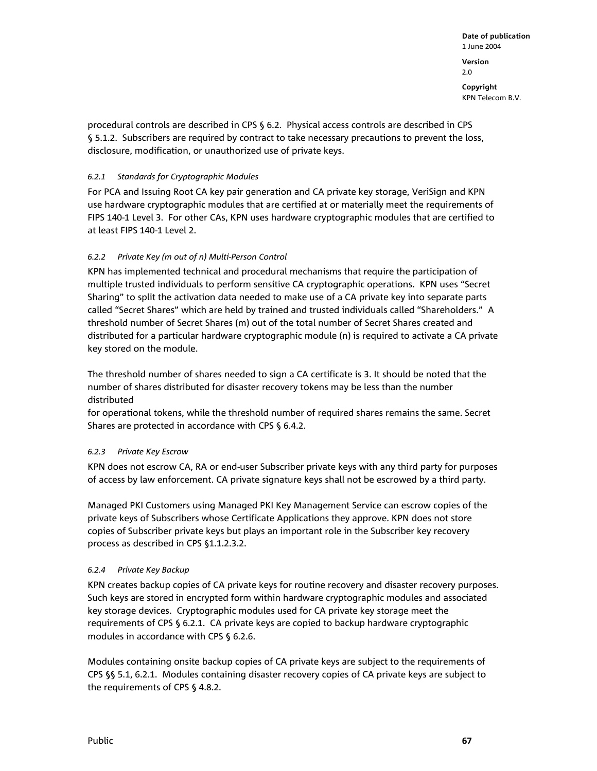**Date of publication**  1 June 2004 **Version**  2.0 **Copyright**  KPN Telecom B.V.

procedural controls are described in CPS § 6.2. Physical access controls are described in CPS § 5.1.2. Subscribers are required by contract to take necessary precautions to prevent the loss, disclosure, modification, or unauthorized use of private keys.

## *6.2.1 Standards for Cryptographic Modules*

For PCA and Issuing Root CA key pair generation and CA private key storage, VeriSign and KPN use hardware cryptographic modules that are certified at or materially meet the requirements of FIPS 140-1 Level 3. For other CAs, KPN uses hardware cryptographic modules that are certified to at least FIPS 140-1 Level 2.

## *6.2.2 Private Key (m out of n) Multi-Person Control*

KPN has implemented technical and procedural mechanisms that require the participation of multiple trusted individuals to perform sensitive CA cryptographic operations. KPN uses "Secret Sharing" to split the activation data needed to make use of a CA private key into separate parts called "Secret Shares" which are held by trained and trusted individuals called "Shareholders." A threshold number of Secret Shares (m) out of the total number of Secret Shares created and distributed for a particular hardware cryptographic module (n) is required to activate a CA private key stored on the module.

The threshold number of shares needed to sign a CA certificate is 3. It should be noted that the number of shares distributed for disaster recovery tokens may be less than the number distributed

for operational tokens, while the threshold number of required shares remains the same. Secret Shares are protected in accordance with CPS § 6.4.2.

## *6.2.3 Private Key Escrow*

KPN does not escrow CA, RA or end-user Subscriber private keys with any third party for purposes of access by law enforcement. CA private signature keys shall not be escrowed by a third party.

Managed PKI Customers using Managed PKI Key Management Service can escrow copies of the private keys of Subscribers whose Certificate Applications they approve. KPN does not store copies of Subscriber private keys but plays an important role in the Subscriber key recovery process as described in CPS §1.1.2.3.2.

## *6.2.4 P*r*ivate Key Backup*

KPN creates backup copies of CA private keys for routine recovery and disaster recovery purposes. Such keys are stored in encrypted form within hardware cryptographic modules and associated key storage devices. Cryptographic modules used for CA private key storage meet the requirements of CPS § 6.2.1. CA private keys are copied to backup hardware cryptographic modules in accordance with CPS § 6.2.6.

Modules containing onsite backup copies of CA private keys are subject to the requirements of CPS §§ 5.1, 6.2.1. Modules containing disaster recovery copies of CA private keys are subject to the requirements of CPS § 4.8.2.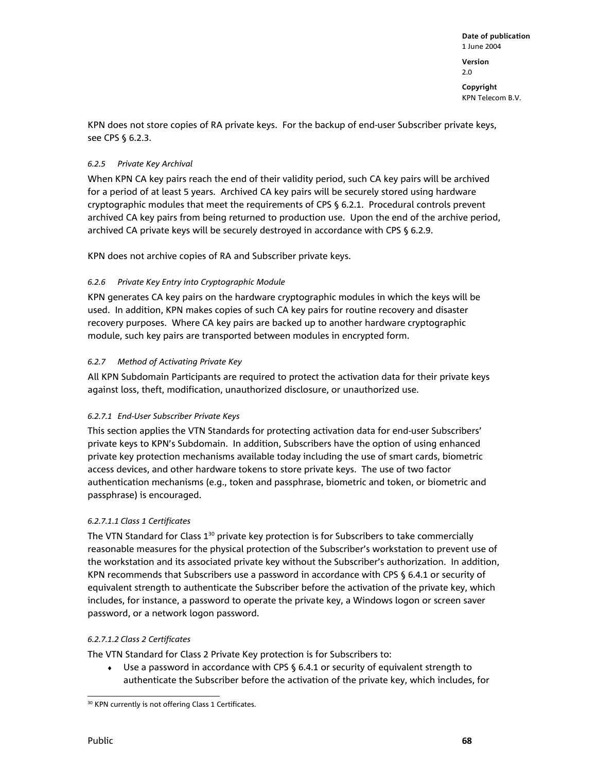KPN does not store copies of RA private keys. For the backup of end-user Subscriber private keys, see CPS § 6.2.3.

## *6.2.5 Private Key Archival*

When KPN CA key pairs reach the end of their validity period, such CA key pairs will be archived for a period of at least 5 years. Archived CA key pairs will be securely stored using hardware cryptographic modules that meet the requirements of CPS § 6.2.1. Procedural controls prevent archived CA key pairs from being returned to production use. Upon the end of the archive period, archived CA private keys will be securely destroyed in accordance with CPS § 6.2.9.

KPN does not archive copies of RA and Subscriber private keys.

## *6.2.6 Private Key Entry into Cryptographic Module*

KPN generates CA key pairs on the hardware cryptographic modules in which the keys will be used. In addition, KPN makes copies of such CA key pairs for routine recovery and disaster recovery purposes. Where CA key pairs are backed up to another hardware cryptographic module, such key pairs are transported between modules in encrypted form.

## *6.2.7 Method of Activating Private Key*

All KPN Subdomain Participants are required to protect the activation data for their private keys against loss, theft, modification, unauthorized disclosure, or unauthorized use.

## *6.2.7.1 End-User Subscriber Private Keys*

This section applies the VTN Standards for protecting activation data for end-user Subscribers' private keys to KPN's Subdomain. In addition, Subscribers have the option of using enhanced private key protection mechanisms available today including the use of smart cards, biometric access devices, and other hardware tokens to store private keys. The use of two factor authentication mechanisms (e.g., token and passphrase, biometric and token, or biometric and passphrase) is encouraged.

## *6.2.7.1.1 Class 1 Certificates*

The VTN Standard for Class  $1^{30}$  private key protection is for Subscribers to take commercially reasonable measures for the physical protection of the Subscriber's workstation to prevent use of the workstation and its associated private key without the Subscriber's authorization. In addition, KPN recommends that Subscribers use a password in accordance with CPS § 6.4.1 or security of equivalent strength to authenticate the Subscriber before the activation of the private key, which includes, for instance, a password to operate the private key, a Windows logon or screen saver password, or a network logon password.

## *6.2.7.1.2 Class 2 Certificates*

The VTN Standard for Class 2 Private Key protection is for Subscribers to:

Use a password in accordance with CPS  $\S$  6.4.1 or security of equivalent strength to authenticate the Subscriber before the activation of the private key, which includes, for

l <sup>30</sup> KPN currently is not offering Class 1 Certificates.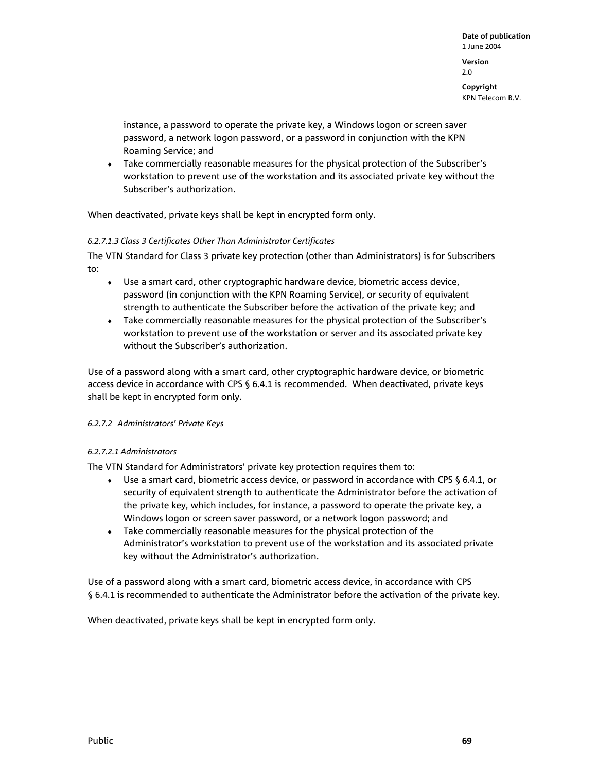2.0

**Copyright**  KPN Telecom B.V.

instance, a password to operate the private key, a Windows logon or screen saver password, a network logon password, or a password in conjunction with the KPN Roaming Service; and

♦ Take commercially reasonable measures for the physical protection of the Subscriber's workstation to prevent use of the workstation and its associated private key without the Subscriber's authorization.

When deactivated, private keys shall be kept in encrypted form only.

## *6.2.7.1.3 Class 3 Certificates Other Than Administrator Certificates*

The VTN Standard for Class 3 private key protection (other than Administrators) is for Subscribers to:

- ♦ Use a smart card, other cryptographic hardware device, biometric access device, password (in conjunction with the KPN Roaming Service), or security of equivalent strength to authenticate the Subscriber before the activation of the private key; and
- ♦ Take commercially reasonable measures for the physical protection of the Subscriber's workstation to prevent use of the workstation or server and its associated private key without the Subscriber's authorization.

Use of a password along with a smart card, other cryptographic hardware device, or biometric access device in accordance with CPS § 6.4.1 is recommended. When deactivated, private keys shall be kept in encrypted form only.

## *6.2.7.2 Administrators' Private Keys*

## *6.2.7.2.1 Administrators*

The VTN Standard for Administrators' private key protection requires them to:

- ♦ Use a smart card, biometric access device, or password in accordance with CPS § 6.4.1, or security of equivalent strength to authenticate the Administrator before the activation of the private key, which includes, for instance, a password to operate the private key, a Windows logon or screen saver password, or a network logon password; and
- ♦ Take commercially reasonable measures for the physical protection of the Administrator's workstation to prevent use of the workstation and its associated private key without the Administrator's authorization.

Use of a password along with a smart card, biometric access device, in accordance with CPS § 6.4.1 is recommended to authenticate the Administrator before the activation of the private key.

When deactivated, private keys shall be kept in encrypted form only.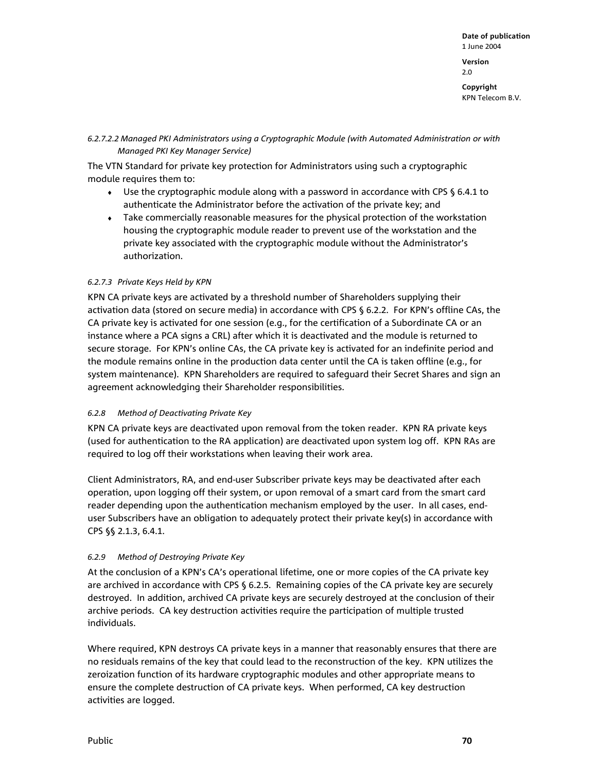**Date of publication**  1 June 2004 **Version**  2.0 **Copyright** 

KPN Telecom B.V.

## *6.2.7.2.2 Managed PKI Administrators using a Cryptographic Module (with Automated Administration or with Managed PKI Key Manager Service)*

The VTN Standard for private key protection for Administrators using such a cryptographic module requires them to:

- $\bullet$  Use the cryptographic module along with a password in accordance with CPS § 6.4.1 to authenticate the Administrator before the activation of the private key; and
- Take commercially reasonable measures for the physical protection of the workstation housing the cryptographic module reader to prevent use of the workstation and the private key associated with the cryptographic module without the Administrator's authorization.

## *6.2.7.3 Private Keys Held by KPN*

KPN CA private keys are activated by a threshold number of Shareholders supplying their activation data (stored on secure media) in accordance with CPS § 6.2.2. For KPN's offline CAs, the CA private key is activated for one session (e.g., for the certification of a Subordinate CA or an instance where a PCA signs a CRL) after which it is deactivated and the module is returned to secure storage. For KPN's online CAs, the CA private key is activated for an indefinite period and the module remains online in the production data center until the CA is taken offline (e.g., for system maintenance). KPN Shareholders are required to safeguard their Secret Shares and sign an agreement acknowledging their Shareholder responsibilities.

## *6.2.8 Method of Deactivating Private Key*

KPN CA private keys are deactivated upon removal from the token reader. KPN RA private keys (used for authentication to the RA application) are deactivated upon system log off. KPN RAs are required to log off their workstations when leaving their work area.

Client Administrators, RA, and end-user Subscriber private keys may be deactivated after each operation, upon logging off their system, or upon removal of a smart card from the smart card reader depending upon the authentication mechanism employed by the user. In all cases, enduser Subscribers have an obligation to adequately protect their private key(s) in accordance with CPS §§ 2.1.3, 6.4.1.

## *6.2.9 Method of Destroying Private Key*

At the conclusion of a KPN's CA's operational lifetime, one or more copies of the CA private key are archived in accordance with CPS § 6.2.5. Remaining copies of the CA private key are securely destroyed. In addition, archived CA private keys are securely destroyed at the conclusion of their archive periods. CA key destruction activities require the participation of multiple trusted individuals.

Where required, KPN destroys CA private keys in a manner that reasonably ensures that there are no residuals remains of the key that could lead to the reconstruction of the key. KPN utilizes the zeroization function of its hardware cryptographic modules and other appropriate means to ensure the complete destruction of CA private keys. When performed, CA key destruction activities are logged.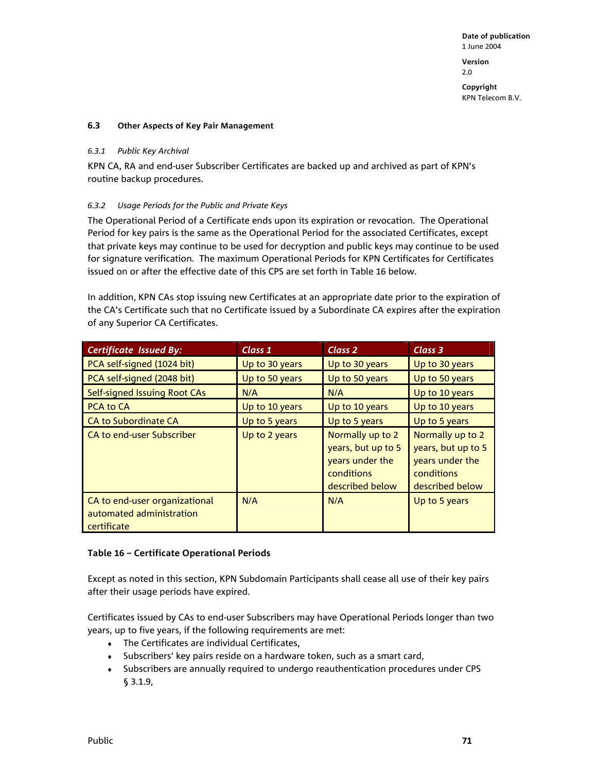2.0

**Copyright**  KPN Telecom B.V.

#### **6.3 Other Aspects of Key Pair Management**

#### *6.3.1 Public Key Archival*

KPN CA, RA and end-user Subscriber Certificates are backed up and archived as part of KPN's routine backup procedures.

## *6.3.2 Usage Periods for the Public and Private Keys*

The Operational Period of a Certificate ends upon its expiration or revocation. The Operational Period for key pairs is the same as the Operational Period for the associated Certificates, except that private keys may continue to be used for decryption and public keys may continue to be used for signature verification. The maximum Operational Periods for KPN Certificates for Certificates issued on or after the effective date of this CPS are set forth in Table 16 below.

In addition, KPN CAs stop issuing new Certificates at an appropriate date prior to the expiration of the CA's Certificate such that no Certificate issued by a Subordinate CA expires after the expiration of any Superior CA Certificates.

| <b>Certificate Issued By:</b>                                            | Class 1        | Class 2                                                                                    | Class 3                                                                                    |
|--------------------------------------------------------------------------|----------------|--------------------------------------------------------------------------------------------|--------------------------------------------------------------------------------------------|
| PCA self-signed (1024 bit)                                               | Up to 30 years | Up to 30 years                                                                             | Up to 30 years                                                                             |
| PCA self-signed (2048 bit)                                               | Up to 50 years | Up to 50 years                                                                             | Up to 50 years                                                                             |
| Self-signed Issuing Root CAs                                             | N/A            | N/A                                                                                        | Up to 10 years                                                                             |
| <b>PCA to CA</b>                                                         | Up to 10 years | Up to 10 years                                                                             | Up to 10 years                                                                             |
| <b>CA to Subordinate CA</b>                                              | Up to 5 years  | Up to 5 years                                                                              | Up to 5 years                                                                              |
| CA to end-user Subscriber                                                | Up to 2 years  | Normally up to 2<br>years, but up to 5<br>years under the<br>conditions<br>described below | Normally up to 2<br>years, but up to 5<br>years under the<br>conditions<br>described below |
| CA to end-user organizational<br>automated administration<br>certificate | N/A            | N/A                                                                                        | Up to 5 years                                                                              |

## **Table 16 – Certificate Operational Periods**

Except as noted in this section, KPN Subdomain Participants shall cease all use of their key pairs after their usage periods have expired.

Certificates issued by CAs to end-user Subscribers may have Operational Periods longer than two years, up to five years, if the following requirements are met:

- ♦ The Certificates are individual Certificates,
- ♦ Subscribers' key pairs reside on a hardware token, such as a smart card,
- ♦ Subscribers are annually required to undergo reauthentication procedures under CPS § 3.1.9,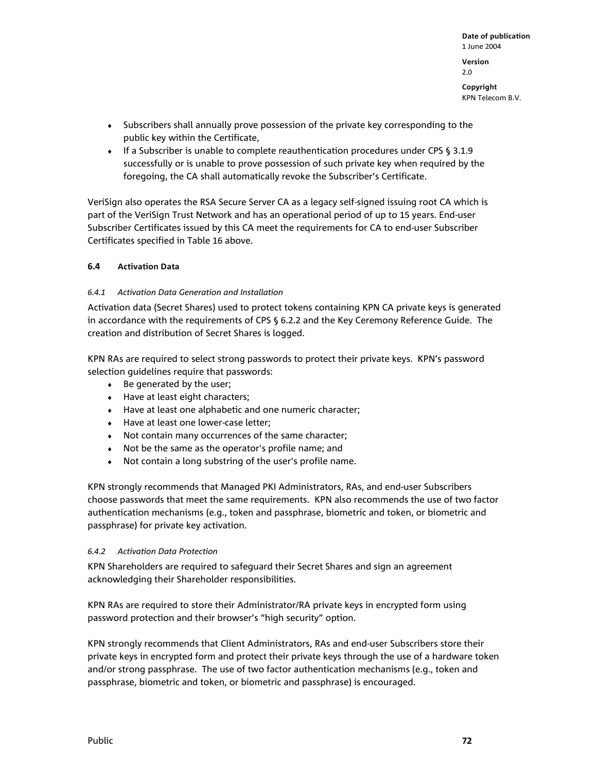**Copyright**  KPN Telecom B.V.

- ♦ Subscribers shall annually prove possession of the private key corresponding to the public key within the Certificate,
- ♦ If a Subscriber is unable to complete reauthentication procedures under CPS § 3.1.9 successfully or is unable to prove possession of such private key when required by the foregoing, the CA shall automatically revoke the Subscriber's Certificate.

VeriSign also operates the RSA Secure Server CA as a legacy self-signed issuing root CA which is part of the VeriSign Trust Network and has an operational period of up to 15 years. End-user Subscriber Certificates issued by this CA meet the requirements for CA to end-user Subscriber Certificates specified in Table 16 above.

## **6.4 Activation Data**

## *6.4.1 Activation Data Generation and Installation*

Activation data (Secret Shares) used to protect tokens containing KPN CA private keys is generated in accordance with the requirements of CPS § 6.2.2 and the Key Ceremony Reference Guide. The creation and distribution of Secret Shares is logged.

KPN RAs are required to select strong passwords to protect their private keys. KPN's password selection guidelines require that passwords:

- ♦ Be generated by the user;
- ♦ Have at least eight characters;
- ♦ Have at least one alphabetic and one numeric character;
- ♦ Have at least one lower-case letter;
- ♦ Not contain many occurrences of the same character;
- ♦ Not be the same as the operator's profile name; and
- ♦ Not contain a long substring of the user's profile name.

KPN strongly recommends that Managed PKI Administrators, RAs, and end-user Subscribers choose passwords that meet the same requirements. KPN also recommends the use of two factor authentication mechanisms (e.g., token and passphrase, biometric and token, or biometric and passphrase) for private key activation.

## *6.4.2 Activation Data Protection*

KPN Shareholders are required to safeguard their Secret Shares and sign an agreement acknowledging their Shareholder responsibilities.

KPN RAs are required to store their Administrator/RA private keys in encrypted form using password protection and their browser's "high security" option.

KPN strongly recommends that Client Administrators, RAs and end-user Subscribers store their private keys in encrypted form and protect their private keys through the use of a hardware token and/or strong passphrase. The use of two factor authentication mechanisms (e.g., token and passphrase, biometric and token, or biometric and passphrase) is encouraged.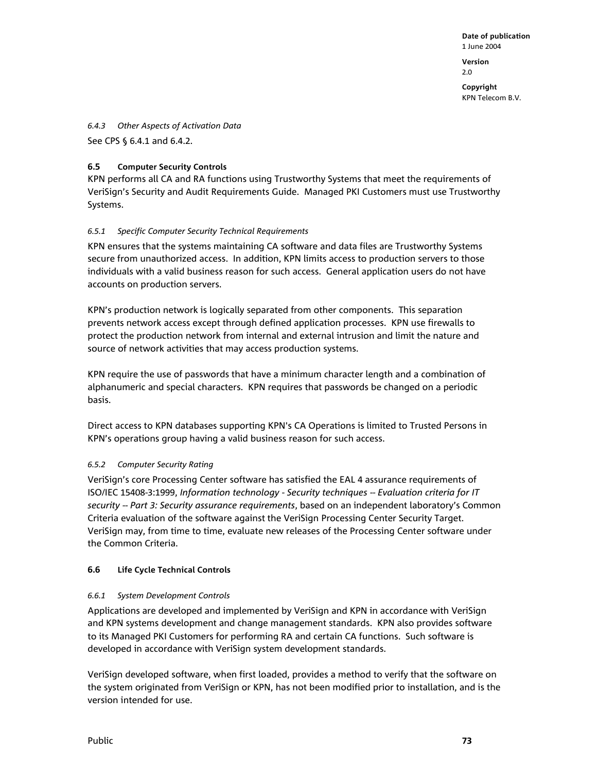**Version**  2.0

**Copyright**  KPN Telecom B.V.

*6.4.3 Other Aspects of Activation Data* 

See CPS § 6.4.1 and 6.4.2.

## **6.5 Computer Security Controls**

KPN performs all CA and RA functions using Trustworthy Systems that meet the requirements of VeriSign's Security and Audit Requirements Guide. Managed PKI Customers must use Trustworthy Systems.

## *6.5.1 Specific Computer Security Technical Requirements*

KPN ensures that the systems maintaining CA software and data files are Trustworthy Systems secure from unauthorized access. In addition, KPN limits access to production servers to those individuals with a valid business reason for such access. General application users do not have accounts on production servers.

KPN's production network is logically separated from other components. This separation prevents network access except through defined application processes. KPN use firewalls to protect the production network from internal and external intrusion and limit the nature and source of network activities that may access production systems.

KPN require the use of passwords that have a minimum character length and a combination of alphanumeric and special characters. KPN requires that passwords be changed on a periodic basis.

Direct access to KPN databases supporting KPN's CA Operations is limited to Trusted Persons in KPN's operations group having a valid business reason for such access.

## *6.5.2 Computer Security Rating*

VeriSign's core Processing Center software has satisfied the EAL 4 assurance requirements of ISO/IEC 15408-3:1999, *Information technology - Security techniques -- Evaluation criteria for IT security -- Part 3: Security assurance requirements*, based on an independent laboratory's Common Criteria evaluation of the software against the VeriSign Processing Center Security Target. VeriSign may, from time to time, evaluate new releases of the Processing Center software under the Common Criteria.

## **6.6 Life Cycle Technical Controls**

## *6.6.1 System Development Controls*

Applications are developed and implemented by VeriSign and KPN in accordance with VeriSign and KPN systems development and change management standards. KPN also provides software to its Managed PKI Customers for performing RA and certain CA functions. Such software is developed in accordance with VeriSign system development standards.

VeriSign developed software, when first loaded, provides a method to verify that the software on the system originated from VeriSign or KPN, has not been modified prior to installation, and is the version intended for use.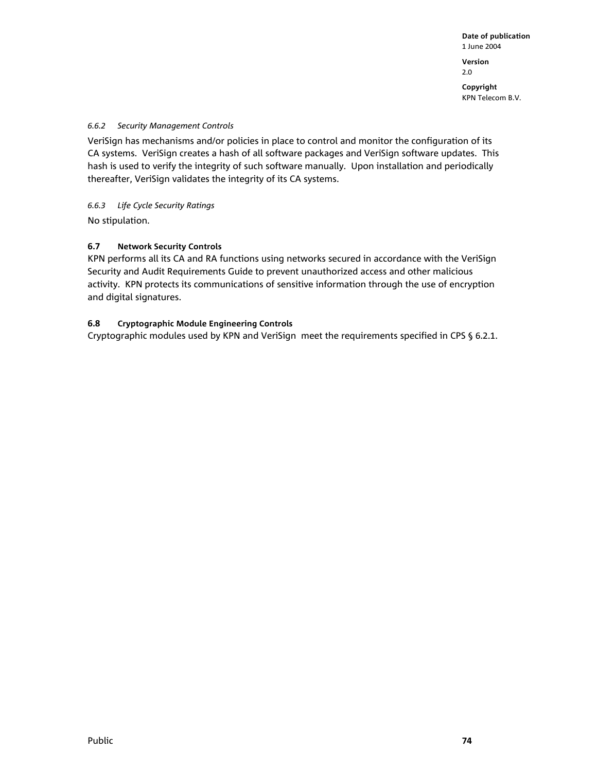**Copyright**  KPN Telecom B.V.

## *6.6.2 Security Management Controls*

VeriSign has mechanisms and/or policies in place to control and monitor the configuration of its CA systems. VeriSign creates a hash of all software packages and VeriSign software updates. This hash is used to verify the integrity of such software manually. Upon installation and periodically thereafter, VeriSign validates the integrity of its CA systems.

*6.6.3 Life Cycle Security Ratings* 

No stipulation.

## **6.7 Network Security Controls**

KPN performs all its CA and RA functions using networks secured in accordance with the VeriSign Security and Audit Requirements Guide to prevent unauthorized access and other malicious activity. KPN protects its communications of sensitive information through the use of encryption and digital signatures.

## **6.8 Cryptographic Module Engineering Controls**

Cryptographic modules used by KPN and VeriSign meet the requirements specified in CPS § 6.2.1.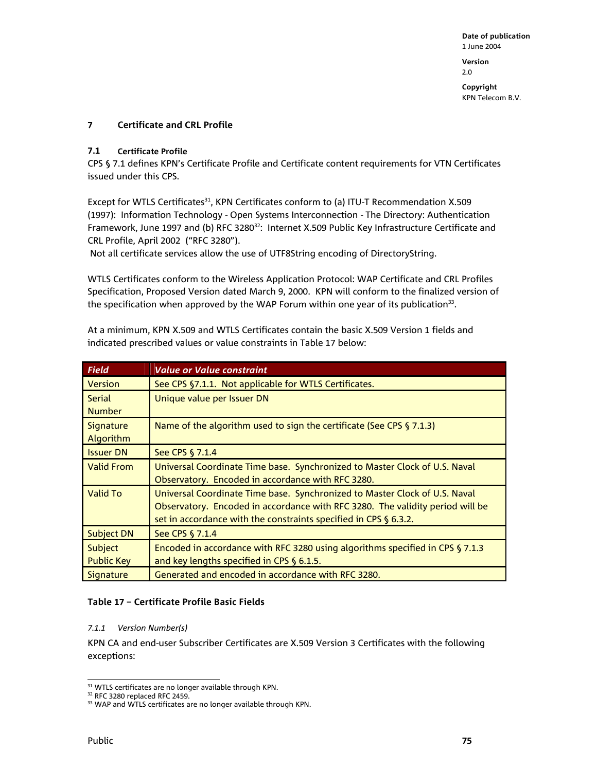**Copyright**  KPN Telecom B.V.

## **7 Certificate and CRL Profile**

#### **7.1 Certificate Profile**

CPS § 7.1 defines KPN's Certificate Profile and Certificate content requirements for VTN Certificates issued under this CPS.

Except for WTLS Certificates<sup>31</sup>, KPN Certificates conform to (a) ITU-T Recommendation X.509 (1997): Information Technology - Open Systems Interconnection - The Directory: Authentication Framework, June 1997 and (b) RFC 3280<sup>32</sup>: Internet X.509 Public Key Infrastructure Certificate and CRL Profile, April 2002 ("RFC 3280").

Not all certificate services allow the use of UTF8String encoding of DirectoryString.

WTLS Certificates conform to the Wireless Application Protocol: WAP Certificate and CRL Profiles Specification, Proposed Version dated March 9, 2000. KPN will conform to the finalized version of the specification when approved by the WAP Forum within one year of its publication $33$ .

At a minimum, KPN X.509 and WTLS Certificates contain the basic X.509 Version 1 fields and indicated prescribed values or value constraints in Table 17 below:

| Field             | <b>Value or Value constraint</b>                                              |
|-------------------|-------------------------------------------------------------------------------|
| <b>Version</b>    | See CPS §7.1.1. Not applicable for WTLS Certificates.                         |
| <b>Serial</b>     | Unique value per Issuer DN                                                    |
| <b>Number</b>     |                                                                               |
| <b>Signature</b>  | Name of the algorithm used to sign the certificate (See CPS § 7.1.3)          |
| <b>Algorithm</b>  |                                                                               |
| <b>Issuer DN</b>  | See CPS § 7.1.4                                                               |
| <b>Valid From</b> | Universal Coordinate Time base. Synchronized to Master Clock of U.S. Naval    |
|                   | Observatory. Encoded in accordance with RFC 3280.                             |
| <b>Valid To</b>   | Universal Coordinate Time base. Synchronized to Master Clock of U.S. Naval    |
|                   | Observatory. Encoded in accordance with RFC 3280. The validity period will be |
|                   | set in accordance with the constraints specified in CPS § 6.3.2.              |
| <b>Subject DN</b> | See CPS § 7.1.4                                                               |
| Subject           | Encoded in accordance with RFC 3280 using algorithms specified in CPS § 7.1.3 |
| <b>Public Key</b> | and key lengths specified in CPS $\S$ 6.1.5.                                  |
| Signature         | Generated and encoded in accordance with RFC 3280.                            |

## **Table 17 – Certificate Profile Basic Fields**

#### *7.1.1 Version Number(s)*

KPN CA and end-user Subscriber Certificates are X.509 Version 3 Certificates with the following exceptions:

l  $31$  WTLS certificates are no longer available through KPN.

<sup>32</sup> RFC 3280 replaced RFC 2459.

<sup>&</sup>lt;sup>33</sup> WAP and WTLS certificates are no longer available through KPN.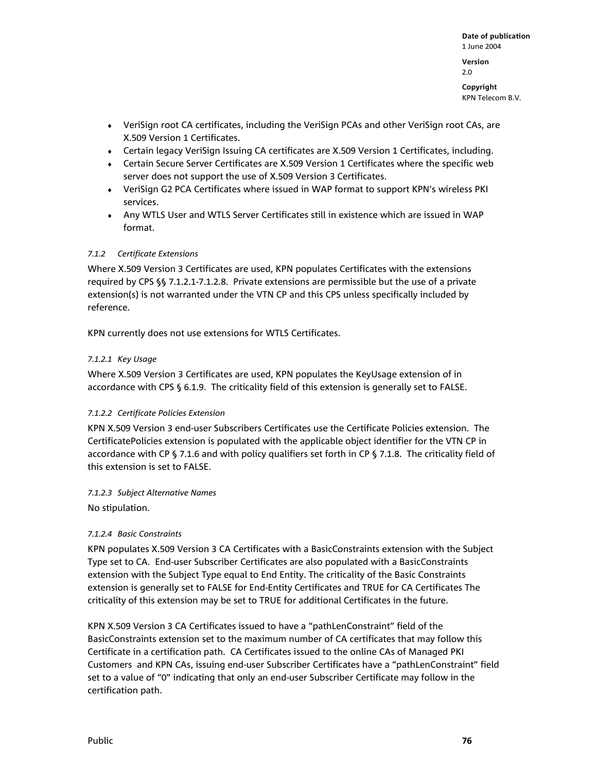**Copyright**  KPN Telecom B.V.

- ♦ VeriSign root CA certificates, including the VeriSign PCAs and other VeriSign root CAs, are X.509 Version 1 Certificates.
- ♦ Certain legacy VeriSign Issuing CA certificates are X.509 Version 1 Certificates, including.
- ♦ Certain Secure Server Certificates are X.509 Version 1 Certificates where the specific web server does not support the use of X.509 Version 3 Certificates.
- ♦ VeriSign G2 PCA Certificates where issued in WAP format to support KPN's wireless PKI services.
- ♦ Any WTLS User and WTLS Server Certificates still in existence which are issued in WAP format.

#### *7.1.2 Certificate Extensions*

Where X.509 Version 3 Certificates are used, KPN populates Certificates with the extensions required by CPS §§ 7.1.2.1-7.1.2.8. Private extensions are permissible but the use of a private extension(s) is not warranted under the VTN CP and this CPS unless specifically included by reference.

KPN currently does not use extensions for WTLS Certificates.

#### *7.1.2.1 Key Usage*

Where X.509 Version 3 Certificates are used, KPN populates the KeyUsage extension of in accordance with CPS § 6.1.9. The criticality field of this extension is generally set to FALSE.

#### *7.1.2.2 Certificate Policies Extension*

KPN X.509 Version 3 end-user Subscribers Certificates use the Certificate Policies extension. The CertificatePolicies extension is populated with the applicable object identifier for the VTN CP in accordance with CP § 7.1.6 and with policy qualifiers set forth in CP § 7.1.8. The criticality field of this extension is set to FALSE.

#### *7.1.2.3 Subject Alternative Names*

No stipulation.

## *7.1.2.4 Basic Constraints*

KPN populates X.509 Version 3 CA Certificates with a BasicConstraints extension with the Subject Type set to CA. End-user Subscriber Certificates are also populated with a BasicConstraints extension with the Subject Type equal to End Entity. The criticality of the Basic Constraints extension is generally set to FALSE for End-Entity Certificates and TRUE for CA Certificates The criticality of this extension may be set to TRUE for additional Certificates in the future.

KPN X.509 Version 3 CA Certificates issued to have a "pathLenConstraint" field of the BasicConstraints extension set to the maximum number of CA certificates that may follow this Certificate in a certification path. CA Certificates issued to the online CAs of Managed PKI Customers and KPN CAs, issuing end-user Subscriber Certificates have a "pathLenConstraint" field set to a value of "0" indicating that only an end-user Subscriber Certificate may follow in the certification path.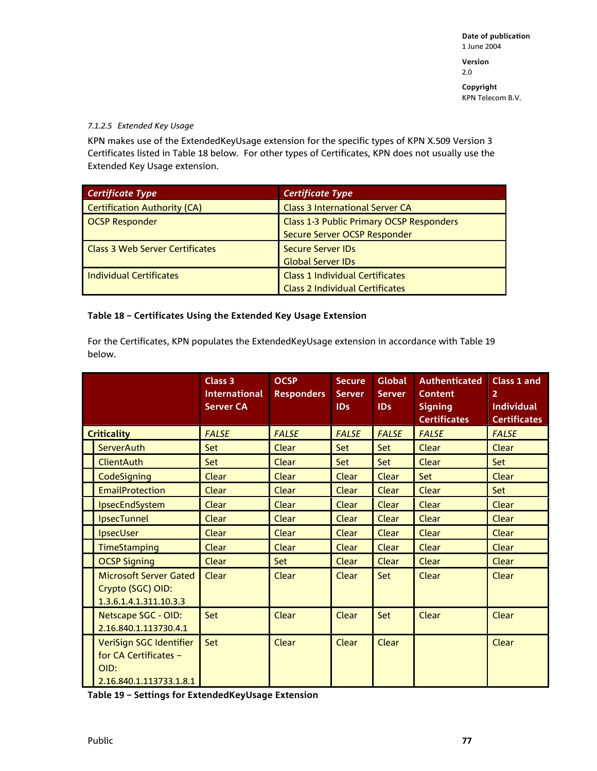2.0

**Copyright**  KPN Telecom B.V.

#### *7.1.2.5 Extended Key Usage*

KPN makes use of the ExtendedKeyUsage extension for the specific types of KPN X.509 Version 3 Certificates listed in Table 18 below. For other types of Certificates, KPN does not usually use the Extended Key Usage extension.

| <b>Certificate Type</b>                | <b>Certificate Type</b>                         |
|----------------------------------------|-------------------------------------------------|
| <b>Certification Authority (CA)</b>    | <b>Class 3 International Server CA</b>          |
| <b>OCSP Responder</b>                  | <b>Class 1-3 Public Primary OCSP Responders</b> |
|                                        | Secure Server OCSP Responder                    |
| <b>Class 3 Web Server Certificates</b> | <b>Secure Server IDs</b>                        |
|                                        | <b>Global Server IDs</b>                        |
| <b>Individual Certificates</b>         | <b>Class 1 Individual Certificates</b>          |
|                                        | <b>Class 2 Individual Certificates</b>          |

## **Table 18 – Certificates Using the Extended Key Usage Extension**

For the Certificates, KPN populates the ExtendedKeyUsage extension in accordance with Table 19 below.

|                    |                                                                                     | Class 3<br><b>International</b><br><b>Server CA</b> | <b>OCSP</b><br><b>Responders</b> | <b>Secure</b><br><b>Server</b><br>IDs | <b>Global</b><br><b>Server</b><br>ID <sub>s</sub> | <b>Authenticated</b><br><b>Content</b><br><b>Signing</b><br><b>Certificates</b> | Class 1 and<br>$\overline{2}$<br><b>Individual</b><br><b>Certificates</b> |
|--------------------|-------------------------------------------------------------------------------------|-----------------------------------------------------|----------------------------------|---------------------------------------|---------------------------------------------------|---------------------------------------------------------------------------------|---------------------------------------------------------------------------|
| <b>Criticality</b> |                                                                                     | <b>FALSE</b>                                        | <b>FALSE</b>                     | <b>FALSE</b>                          | <b>FALSE</b>                                      | <b>FALSE</b>                                                                    | <b>FALSE</b>                                                              |
|                    | <b>ServerAuth</b>                                                                   | <b>Set</b>                                          | Clear                            | <b>Set</b>                            | Set                                               | Clear                                                                           | Clear                                                                     |
|                    | <b>ClientAuth</b>                                                                   | Set                                                 | Clear                            | Set                                   | Set                                               | Clear                                                                           | Set                                                                       |
|                    | CodeSigning                                                                         | Clear                                               | Clear                            | Clear                                 | Clear                                             | Set                                                                             | Clear                                                                     |
|                    | <b>EmailProtection</b>                                                              | Clear                                               | Clear                            | Clear                                 | Clear                                             | Clear                                                                           | Set                                                                       |
|                    | IpsecEndSystem                                                                      | Clear                                               | Clear                            | Clear                                 | Clear                                             | Clear                                                                           | Clear                                                                     |
|                    | <b>IpsecTunnel</b>                                                                  | Clear                                               | Clear                            | Clear                                 | Clear                                             | Clear                                                                           | Clear                                                                     |
|                    | <b>IpsecUser</b>                                                                    | Clear                                               | Clear                            | Clear                                 | Clear                                             | Clear                                                                           | Clear                                                                     |
|                    | <b>TimeStamping</b>                                                                 | Clear                                               | Clear                            | <b>Clear</b>                          | Clear                                             | Clear                                                                           | Clear                                                                     |
|                    | <b>OCSP Signing</b>                                                                 | Clear                                               | Set                              | <b>Clear</b>                          | Clear                                             | Clear                                                                           | Clear                                                                     |
|                    | Microsoft Server Gated<br>Crypto (SGC) OID:<br>1.3.6.1.4.1.311.10.3.3               | Clear                                               | Clear                            | Clear                                 | Set:                                              | Clear                                                                           | Clear                                                                     |
|                    | Netscape SGC - OID:<br>2.16.840.1.113730.4.1                                        | Set                                                 | Clear                            | Clear                                 | Set                                               | Clear                                                                           | Clear                                                                     |
|                    | VeriSign SGC Identifier<br>for CA Certificates -<br>OID:<br>2.16.840.1.113733.1.8.1 | Set                                                 | Clear                            | Clear                                 | Clear                                             |                                                                                 | Clear                                                                     |

**Table 19 – Settings for ExtendedKeyUsage Extension**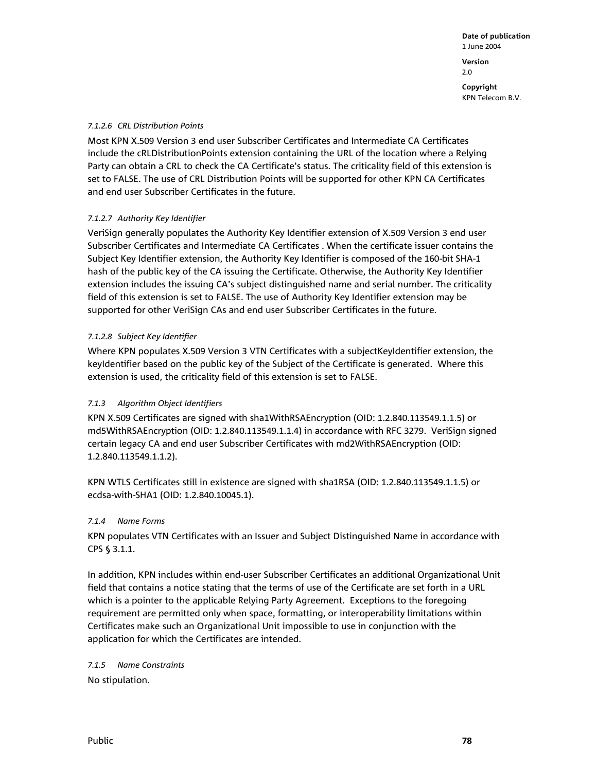**Date of publication**  1 June 2004 **Version**  2.0 **Copyright**  KPN Telecom B.V.

#### *7.1.2.6 CRL Distribution Points*

Most KPN X.509 Version 3 end user Subscriber Certificates and Intermediate CA Certificates include the cRLDistributionPoints extension containing the URL of the location where a Relying Party can obtain a CRL to check the CA Certificate's status. The criticality field of this extension is set to FALSE. The use of CRL Distribution Points will be supported for other KPN CA Certificates and end user Subscriber Certificates in the future.

## *7.1.2.7 Authority Key Identifier*

VeriSign generally populates the Authority Key Identifier extension of X.509 Version 3 end user Subscriber Certificates and Intermediate CA Certificates . When the certificate issuer contains the Subject Key Identifier extension, the Authority Key Identifier is composed of the 160-bit SHA-1 hash of the public key of the CA issuing the Certificate. Otherwise, the Authority Key Identifier extension includes the issuing CA's subject distinguished name and serial number. The criticality field of this extension is set to FALSE. The use of Authority Key Identifier extension may be supported for other VeriSign CAs and end user Subscriber Certificates in the future.

## *7.1.2.8 Subject Key Identifier*

Where KPN populates X.509 Version 3 VTN Certificates with a subjectKeyIdentifier extension, the keyIdentifier based on the public key of the Subject of the Certificate is generated. Where this extension is used, the criticality field of this extension is set to FALSE.

## *7.1.3 Algorithm Object Identifiers*

KPN X.509 Certificates are signed with sha1WithRSAEncryption (OID: 1.2.840.113549.1.1.5) or md5WithRSAEncryption (OID: 1.2.840.113549.1.1.4) in accordance with RFC 3279. VeriSign signed certain legacy CA and end user Subscriber Certificates with md2WithRSAEncryption (OID: 1.2.840.113549.1.1.2).

KPN WTLS Certificates still in existence are signed with sha1RSA (OID: 1.2.840.113549.1.1.5) or ecdsa-with-SHA1 (OID: 1.2.840.10045.1).

#### *7.1.4 Name Forms*

KPN populates VTN Certificates with an Issuer and Subject Distinguished Name in accordance with CPS § 3.1.1.

In addition, KPN includes within end-user Subscriber Certificates an additional Organizational Unit field that contains a notice stating that the terms of use of the Certificate are set forth in a URL which is a pointer to the applicable Relying Party Agreement. Exceptions to the foregoing requirement are permitted only when space, formatting, or interoperability limitations within Certificates make such an Organizational Unit impossible to use in conjunction with the application for which the Certificates are intended.

*7.1.5 Name Constraints*  No stipulation.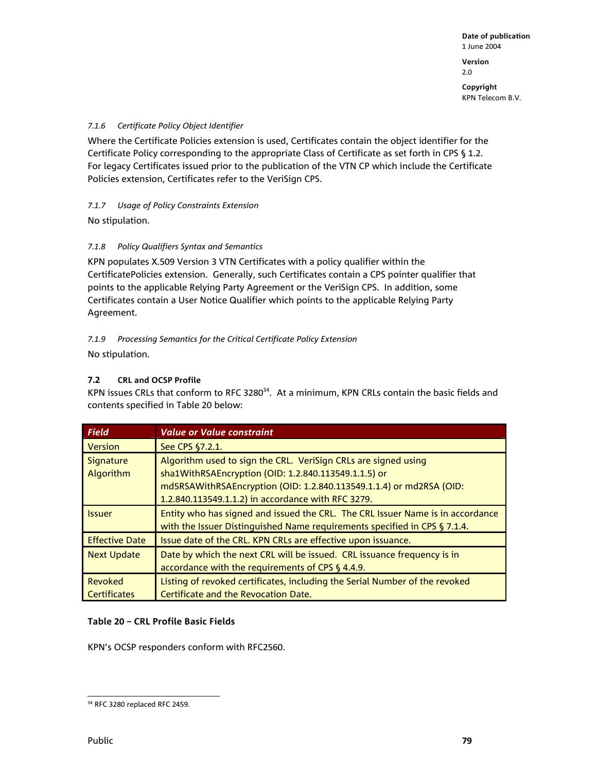**Version**  2.0

**Copyright**  KPN Telecom B.V.

## *7.1.6 Certificate Policy Object Identifier*

Where the Certificate Policies extension is used, Certificates contain the object identifier for the Certificate Policy corresponding to the appropriate Class of Certificate as set forth in CPS § 1.2. For legacy Certificates issued prior to the publication of the VTN CP which include the Certificate Policies extension, Certificates refer to the VeriSign CPS.

## *7.1.7 Usage of Policy Constraints Extension*

No stipulation.

## *7.1.8 Policy Qualifiers Syntax and Semantics*

KPN populates X.509 Version 3 VTN Certificates with a policy qualifier within the CertificatePolicies extension. Generally, such Certificates contain a CPS pointer qualifier that points to the applicable Relying Party Agreement or the VeriSign CPS. In addition, some Certificates contain a User Notice Qualifier which points to the applicable Relying Party Agreement.

## *7.1.9 Processing Semantics for the Critical Certificate Policy Extension*

No stipulation.

## **7.2 CRL and OCSP Profile**

KPN issues CRLs that conform to RFC 3280<sup>34</sup>. At a minimum, KPN CRLs contain the basic fields and contents specified in Table 20 below:

| <b>Field</b>                         | <b>Value or Value constraint</b>                                                                                                                                                                                                                    |
|--------------------------------------|-----------------------------------------------------------------------------------------------------------------------------------------------------------------------------------------------------------------------------------------------------|
| <b>Version</b>                       | See CPS §7.2.1.                                                                                                                                                                                                                                     |
| <b>Signature</b><br><b>Algorithm</b> | Algorithm used to sign the CRL. VeriSign CRLs are signed using<br>sha1WithRSAEncryption (OID: 1.2.840.113549.1.1.5) or<br>md5RSAWithRSAEncryption (OID: 1.2.840.113549.1.1.4) or md2RSA (OID:<br>1.2.840.113549.1.1.2) in accordance with RFC 3279. |
| <b>Issuer</b>                        | Entity who has signed and issued the CRL. The CRL Issuer Name is in accordance<br>with the Issuer Distinguished Name requirements specified in CPS § 7.1.4.                                                                                         |
| <b>Effective Date</b>                | Issue date of the CRL. KPN CRLs are effective upon issuance.                                                                                                                                                                                        |
| <b>Next Update</b>                   | Date by which the next CRL will be issued. CRL issuance frequency is in<br>accordance with the requirements of CPS § 4.4.9.                                                                                                                         |
| Revoked<br><b>Certificates</b>       | Listing of revoked certificates, including the Serial Number of the revoked<br>Certificate and the Revocation Date.                                                                                                                                 |

## **Table 20 – CRL Profile Basic Fields**

KPN's OCSP responders conform with RFC2560.

l 34 RFC 3280 replaced RFC 2459.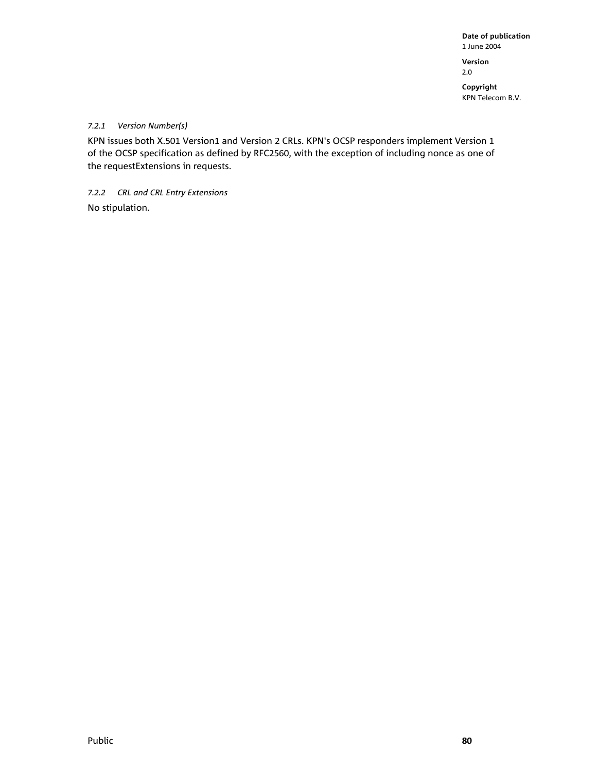**Version**  2.0

**Copyright** 

KPN Telecom B.V.

## *7.2.1 Version Number(s)*

KPN issues both X.501 Version1 and Version 2 CRLs. KPN's OCSP responders implement Version 1 of the OCSP specification as defined by RFC2560, with the exception of including nonce as one of the requestExtensions in requests.

*7.2.2 CRL and CRL Entry Extensions*  No stipulation.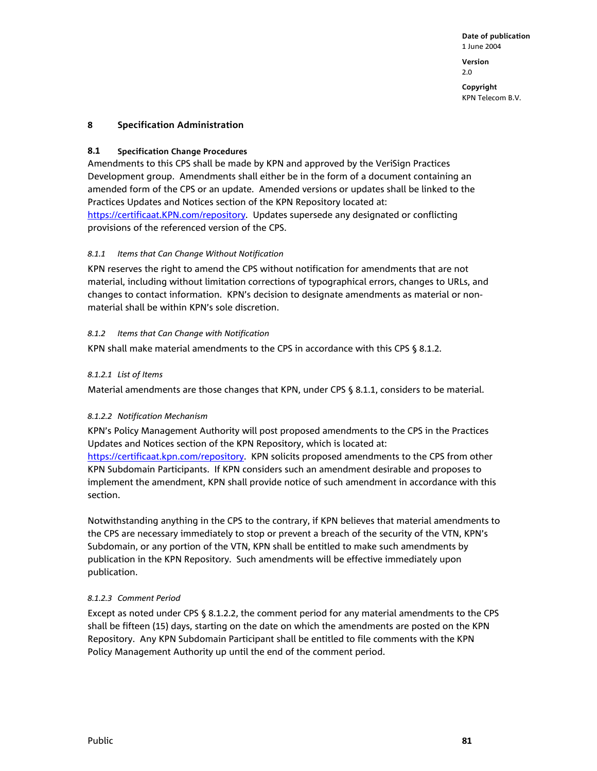**Version**  2.0

**Copyright**  KPN Telecom B.V.

## **8 Specification Administration**

## **8.1 Specification Change Procedures**

Amendments to this CPS shall be made by KPN and approved by the VeriSign Practices Development group. Amendments shall either be in the form of a document containing an amended form of the CPS or an update. Amended versions or updates shall be linked to the Practices Updates and Notices section of the KPN Repository located at: https://certificaat.KPN.com/repository. Updates supersede any designated or conflicting provisions of the referenced version of the CPS.

## *8.1.1 Items that Can Change Without Notification*

KPN reserves the right to amend the CPS without notification for amendments that are not material, including without limitation corrections of typographical errors, changes to URLs, and changes to contact information. KPN's decision to designate amendments as material or nonmaterial shall be within KPN's sole discretion.

## *8.1.2 Items that Can Change with Notification*

KPN shall make material amendments to the CPS in accordance with this CPS § 8.1.2.

## *8.1.2.1 List of Items*

Material amendments are those changes that KPN, under CPS § 8.1.1, considers to be material.

## *8.1.2.2 Notification Mechanism*

KPN's Policy Management Authority will post proposed amendments to the CPS in the Practices Updates and Notices section of the KPN Repository, which is located at: https://certificaat.kpn.com/repository. KPN solicits proposed amendments to the CPS from other KPN Subdomain Participants. If KPN considers such an amendment desirable and proposes to implement the amendment, KPN shall provide notice of such amendment in accordance with this section.

Notwithstanding anything in the CPS to the contrary, if KPN believes that material amendments to the CPS are necessary immediately to stop or prevent a breach of the security of the VTN, KPN's Subdomain, or any portion of the VTN, KPN shall be entitled to make such amendments by publication in the KPN Repository. Such amendments will be effective immediately upon publication.

## *8.1.2.3 Comment Period*

Except as noted under CPS § 8.1.2.2, the comment period for any material amendments to the CPS shall be fifteen (15) days, starting on the date on which the amendments are posted on the KPN Repository. Any KPN Subdomain Participant shall be entitled to file comments with the KPN Policy Management Authority up until the end of the comment period.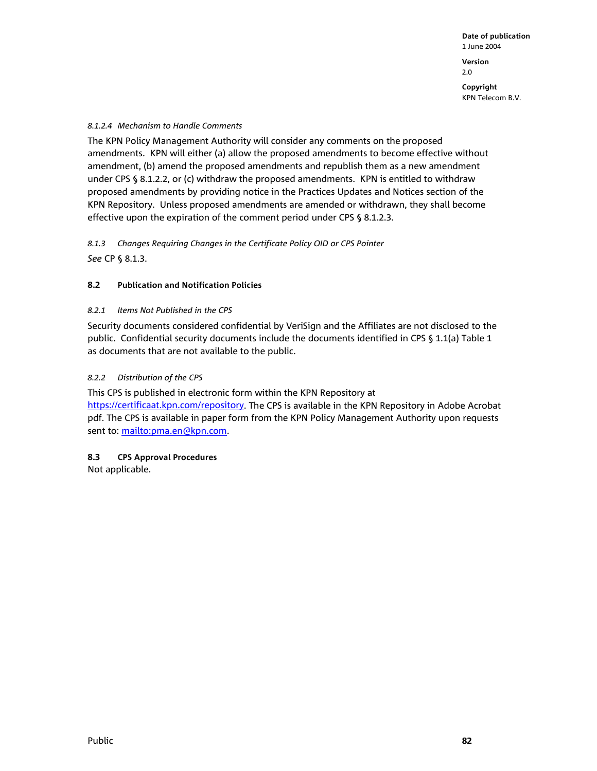**Copyright**  KPN Telecom B.V.

#### *8.1.2.4 Mechanism to Handle Comments*

The KPN Policy Management Authority will consider any comments on the proposed amendments. KPN will either (a) allow the proposed amendments to become effective without amendment, (b) amend the proposed amendments and republish them as a new amendment under CPS § 8.1.2.2, or (c) withdraw the proposed amendments. KPN is entitled to withdraw proposed amendments by providing notice in the Practices Updates and Notices section of the KPN Repository. Unless proposed amendments are amended or withdrawn, they shall become effective upon the expiration of the comment period under CPS § 8.1.2.3.

*8.1.3 Changes Requiring Changes in the Certificate Policy OID or CPS Pointer See* CP § 8.1.3.

#### **8.2 Publication and Notification Policies**

#### *8.2.1 Items Not Published in the CPS*

Security documents considered confidential by VeriSign and the Affiliates are not disclosed to the public. Confidential security documents include the documents identified in CPS § 1.1(a) Table 1 as documents that are not available to the public.

#### *8.2.2 Distribution of the CPS*

This CPS is published in electronic form within the KPN Repository at https://certificaat.kpn.com/repository. The CPS is available in the KPN Repository in Adobe Acrobat pdf. The CPS is available in paper form from the KPN Policy Management Authority upon requests sent to: mailto:pma.en@kpn.com.

#### **8.3 CPS Approval Procedures**

Not applicable.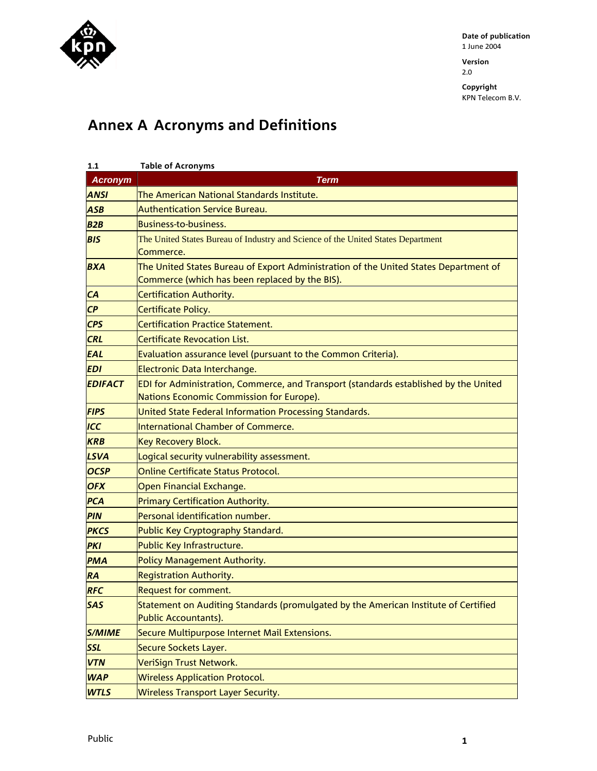

**Version**  2.0

**Copyright** 

KPN Telecom B.V.

# **Annex A Acronyms and Definitions**

| 1.1            | <b>Table of Acronyms</b>                                                             |
|----------------|--------------------------------------------------------------------------------------|
| <b>Acronym</b> | <b>Term</b>                                                                          |
| <b>ANSI</b>    | The American National Standards Institute.                                           |
| <b>ASB</b>     | <b>Authentication Service Bureau.</b>                                                |
| B2B            | <b>Business-to-business.</b>                                                         |
| <b>BIS</b>     | The United States Bureau of Industry and Science of the United States Department     |
|                | Commerce.                                                                            |
| <b>BXA</b>     | The United States Bureau of Export Administration of the United States Department of |
|                | Commerce (which has been replaced by the BIS).                                       |
| CA             | Certification Authority.                                                             |
| CP             | Certificate Policy.                                                                  |
| <b>CPS</b>     | <b>Certification Practice Statement.</b>                                             |
| <b>CRL</b>     | <b>Certificate Revocation List.</b>                                                  |
| <b>EAL</b>     | Evaluation assurance level (pursuant to the Common Criteria).                        |
| <b>EDI</b>     | Electronic Data Interchange.                                                         |
| <b>EDIFACT</b> | EDI for Administration, Commerce, and Transport (standards established by the United |
|                | Nations Economic Commission for Europe).                                             |
| <b>FIPS</b>    | United State Federal Information Processing Standards.                               |
| ICC            | <b>International Chamber of Commerce.</b>                                            |
| <b>KRB</b>     | <b>Key Recovery Block.</b>                                                           |
| <b>LSVA</b>    | Logical security vulnerability assessment.                                           |
| <b>OCSP</b>    | Online Certificate Status Protocol.                                                  |
| <b>OFX</b>     | Open Financial Exchange.                                                             |
| <b>PCA</b>     | Primary Certification Authority.                                                     |
| <b>PIN</b>     | Personal identification number.                                                      |
| <b>PKCS</b>    | Public Key Cryptography Standard.                                                    |
| <b>PKI</b>     | Public Key Infrastructure.                                                           |
| <b>PMA</b>     | Policy Management Authority.                                                         |
| <b>RA</b>      | <b>Registration Authority.</b>                                                       |
| <b>RFC</b>     | <b>Request for comment.</b>                                                          |
| <b>SAS</b>     | Statement on Auditing Standards (promulgated by the American Institute of Certified  |
|                | Public Accountants).                                                                 |
| <b>S/MIME</b>  | Secure Multipurpose Internet Mail Extensions.                                        |
| <b>SSL</b>     | Secure Sockets Layer.                                                                |
| <b>VTN</b>     | VeriSign Trust Network.                                                              |
| <b>WAP</b>     | <b>Wireless Application Protocol.</b>                                                |
| <b>WTLS</b>    | <b>Wireless Transport Layer Security.</b>                                            |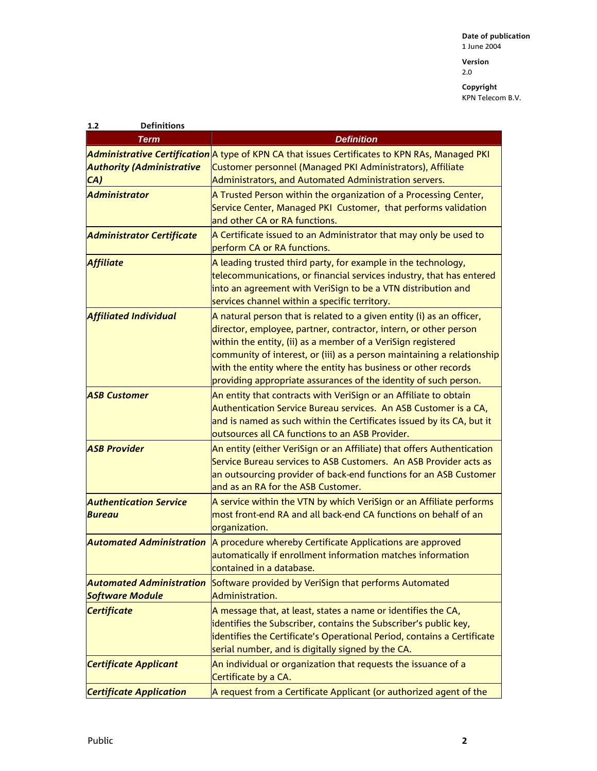**Version**  2.0

| <b>Definitions</b><br>1.2                      |                                                                                                                                                                                                                                                                                                                                                                                                                           |
|------------------------------------------------|---------------------------------------------------------------------------------------------------------------------------------------------------------------------------------------------------------------------------------------------------------------------------------------------------------------------------------------------------------------------------------------------------------------------------|
| Term                                           | <b>Definition</b>                                                                                                                                                                                                                                                                                                                                                                                                         |
|                                                | Administrative Certification A type of KPN CA that issues Certificates to KPN RAs, Managed PKI                                                                                                                                                                                                                                                                                                                            |
| <b>Authority (Administrative</b>               | Customer personnel (Managed PKI Administrators), Affiliate                                                                                                                                                                                                                                                                                                                                                                |
| CA)                                            | Administrators, and Automated Administration servers.                                                                                                                                                                                                                                                                                                                                                                     |
| <b>Administrator</b>                           | A Trusted Person within the organization of a Processing Center,<br>Service Center, Managed PKI Customer, that performs validation<br>and other CA or RA functions.                                                                                                                                                                                                                                                       |
| <b>Administrator Certificate</b>               | A Certificate issued to an Administrator that may only be used to<br>perform CA or RA functions.                                                                                                                                                                                                                                                                                                                          |
| <b>Affiliate</b>                               | A leading trusted third party, for example in the technology,<br>telecommunications, or financial services industry, that has entered<br>into an agreement with VeriSign to be a VTN distribution and<br>services channel within a specific territory.                                                                                                                                                                    |
| <b>Affiliated Individual</b>                   | A natural person that is related to a given entity (i) as an officer,<br>director, employee, partner, contractor, intern, or other person<br>within the entity, (ii) as a member of a VeriSign registered<br>community of interest, or (iii) as a person maintaining a relationship<br>with the entity where the entity has business or other records<br>providing appropriate assurances of the identity of such person. |
| <b>ASB Customer</b>                            | An entity that contracts with VeriSign or an Affiliate to obtain<br>Authentication Service Bureau services. An ASB Customer is a CA,<br>and is named as such within the Certificates issued by its CA, but it<br>outsources all CA functions to an ASB Provider.                                                                                                                                                          |
| <b>ASB Provider</b>                            | An entity (either VeriSign or an Affiliate) that offers Authentication<br>Service Bureau services to ASB Customers. An ASB Provider acts as<br>an outsourcing provider of back-end functions for an ASB Customer<br>and as an RA for the ASB Customer.                                                                                                                                                                    |
| <b>Authentication Service</b><br><b>Bureau</b> | A service within the VTN by which VeriSign or an Affiliate performs<br>most front-end RA and all back-end CA functions on behalf of an<br>organization.                                                                                                                                                                                                                                                                   |
| <b>Automated Administration</b>                | A procedure whereby Certificate Applications are approved<br>automatically if enrollment information matches information<br>contained in a database.                                                                                                                                                                                                                                                                      |
| <b>Automated Administration</b>                | Software provided by VeriSign that performs Automated                                                                                                                                                                                                                                                                                                                                                                     |
| <b>Software Module</b>                         | Administration.                                                                                                                                                                                                                                                                                                                                                                                                           |
| <b>Certificate</b>                             | A message that, at least, states a name or identifies the CA,<br>identifies the Subscriber, contains the Subscriber's public key,<br>identifies the Certificate's Operational Period, contains a Certificate<br>serial number, and is digitally signed by the CA.                                                                                                                                                         |
| <b>Certificate Applicant</b>                   | An individual or organization that requests the issuance of a<br>Certificate by a CA.                                                                                                                                                                                                                                                                                                                                     |
| <b>Certificate Application</b>                 | A request from a Certificate Applicant (or authorized agent of the                                                                                                                                                                                                                                                                                                                                                        |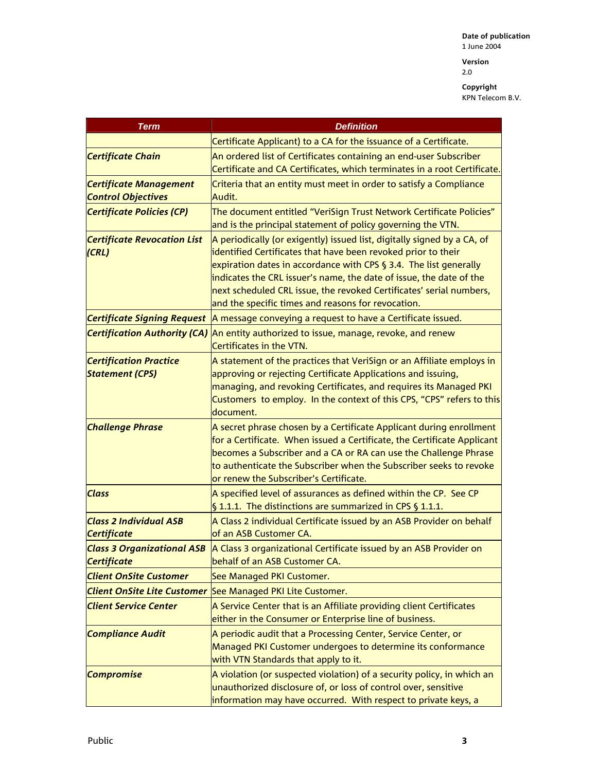2.0

| <b>Term</b>                         | <b>Definition</b>                                                                                                                  |
|-------------------------------------|------------------------------------------------------------------------------------------------------------------------------------|
|                                     | Certificate Applicant) to a CA for the issuance of a Certificate.                                                                  |
| <b>Certificate Chain</b>            | An ordered list of Certificates containing an end-user Subscriber                                                                  |
|                                     | Certificate and CA Certificates, which terminates in a root Certificate.                                                           |
| <b>Certificate Management</b>       | Criteria that an entity must meet in order to satisfy a Compliance                                                                 |
| <b>Control Objectives</b>           | Audit.                                                                                                                             |
| <b>Certificate Policies (CP)</b>    | The document entitled "VeriSign Trust Network Certificate Policies"                                                                |
|                                     | and is the principal statement of policy governing the VTN.                                                                        |
| <b>Certificate Revocation List</b>  | A periodically (or exigently) issued list, digitally signed by a CA, of                                                            |
| (CRL)                               | identified Certificates that have been revoked prior to their<br>expiration dates in accordance with CPS § 3.4. The list generally |
|                                     | indicates the CRL issuer's name, the date of issue, the date of the                                                                |
|                                     | next scheduled CRL issue, the revoked Certificates' serial numbers,                                                                |
|                                     | and the specific times and reasons for revocation.                                                                                 |
|                                     | Certificate Signing Request   A message conveying a request to have a Certificate issued.                                          |
| <b>Certification Authority (CA)</b> | An entity authorized to issue, manage, revoke, and renew                                                                           |
|                                     | Certificates in the VTN.                                                                                                           |
| <b>Certification Practice</b>       | A statement of the practices that VeriSign or an Affiliate employs in                                                              |
| <b>Statement (CPS)</b>              | approving or rejecting Certificate Applications and issuing,                                                                       |
|                                     | managing, and revoking Certificates, and requires its Managed PKI                                                                  |
|                                     | Customers to employ. In the context of this CPS, "CPS" refers to this<br>document.                                                 |
| <b>Challenge Phrase</b>             | A secret phrase chosen by a Certificate Applicant during enrollment                                                                |
|                                     | for a Certificate. When issued a Certificate, the Certificate Applicant                                                            |
|                                     | becomes a Subscriber and a CA or RA can use the Challenge Phrase                                                                   |
|                                     | to authenticate the Subscriber when the Subscriber seeks to revoke                                                                 |
|                                     | or renew the Subscriber's Certificate.                                                                                             |
| <b>Class</b>                        | A specified level of assurances as defined within the CP. See CP                                                                   |
|                                     | $\vert$ 1.1.1. The distinctions are summarized in CPS § 1.1.1.                                                                     |
| <b>Class 2 Individual ASB</b>       | A Class 2 individual Certificate issued by an ASB Provider on behalf                                                               |
| <b>Certificate</b>                  | of an ASB Customer CA.                                                                                                             |
| <b>Certificate</b>                  | Class 3 Organizational ASB   A Class 3 organizational Certificate issued by an ASB Provider on<br>behalf of an ASB Customer CA.    |
| <b>Client OnSite Customer</b>       | See Managed PKI Customer.                                                                                                          |
| <b>Client OnSite Lite Customer</b>  | See Managed PKI Lite Customer.                                                                                                     |
| <b>Client Service Center</b>        | A Service Center that is an Affiliate providing client Certificates                                                                |
|                                     | either in the Consumer or Enterprise line of business.                                                                             |
| <b>Compliance Audit</b>             | A periodic audit that a Processing Center, Service Center, or                                                                      |
|                                     | Managed PKI Customer undergoes to determine its conformance                                                                        |
|                                     | with VTN Standards that apply to it.                                                                                               |
| <b>Compromise</b>                   | A violation (or suspected violation) of a security policy, in which an                                                             |
|                                     | unauthorized disclosure of, or loss of control over, sensitive                                                                     |
|                                     | information may have occurred. With respect to private keys, a                                                                     |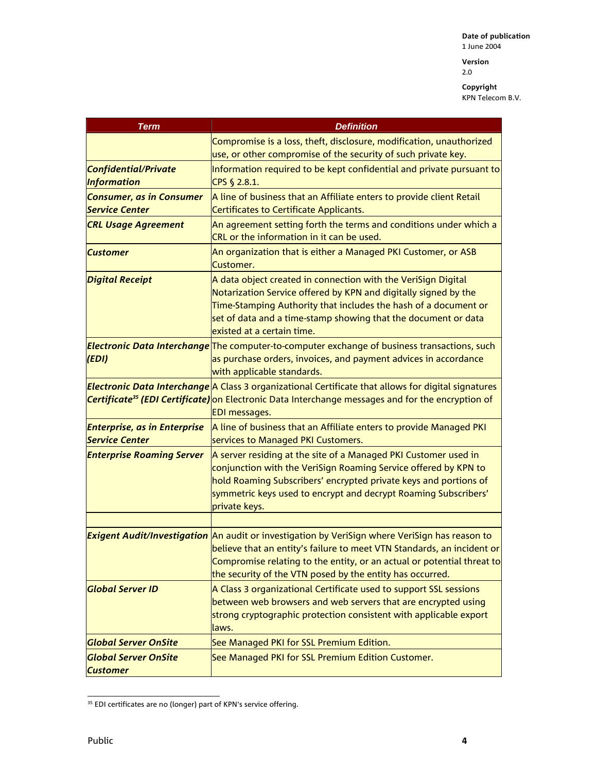**Version**  2.0

| <b>Term</b>                                                  | <b>Definition</b>                                                                                                                                                                                                                                                                                   |
|--------------------------------------------------------------|-----------------------------------------------------------------------------------------------------------------------------------------------------------------------------------------------------------------------------------------------------------------------------------------------------|
|                                                              | Compromise is a loss, theft, disclosure, modification, unauthorized<br>use, or other compromise of the security of such private key.                                                                                                                                                                |
| Confidential/Private<br><b>Information</b>                   | Information required to be kept confidential and private pursuant to<br>CPS § 2.8.1.                                                                                                                                                                                                                |
| <b>Consumer, as in Consumer</b><br><b>Service Center</b>     | A line of business that an Affiliate enters to provide client Retail<br><b>Certificates to Certificate Applicants.</b>                                                                                                                                                                              |
| <b>CRL Usage Agreement</b>                                   | An agreement setting forth the terms and conditions under which a<br>CRL or the information in it can be used.                                                                                                                                                                                      |
| <b>Customer</b>                                              | An organization that is either a Managed PKI Customer, or ASB<br>Customer.                                                                                                                                                                                                                          |
| <b>Digital Receipt</b>                                       | A data object created in connection with the VeriSign Digital<br>Notarization Service offered by KPN and digitally signed by the<br>Time-Stamping Authority that includes the hash of a document or<br>set of data and a time-stamp showing that the document or data<br>existed at a certain time. |
| (EDI)                                                        | <b>Electronic Data Interchange</b> The computer-to-computer exchange of business transactions, such<br>as purchase orders, invoices, and payment advices in accordance<br>with applicable standards.                                                                                                |
|                                                              | Electronic Data Interchange A Class 3 organizational Certificate that allows for digital signatures<br>Certificate <sup>35</sup> (EDI Certificate) on Electronic Data Interchange messages and for the encryption of<br><b>EDI</b> messages.                                                        |
| <b>Enterprise, as in Enterprise</b><br><b>Service Center</b> | A line of business that an Affiliate enters to provide Managed PKI<br>services to Managed PKI Customers.                                                                                                                                                                                            |
| <b>Enterprise Roaming Server</b>                             | A server residing at the site of a Managed PKI Customer used in<br>conjunction with the VeriSign Roaming Service offered by KPN to<br>hold Roaming Subscribers' encrypted private keys and portions of<br>symmetric keys used to encrypt and decrypt Roaming Subscribers'<br>private keys.          |
|                                                              | Exigent Audit/Investigation An audit or investigation by VeriSign where VeriSign has reason to                                                                                                                                                                                                      |
|                                                              | believe that an entity's failure to meet VTN Standards, an incident or<br>Compromise relating to the entity, or an actual or potential threat to<br>the security of the VTN posed by the entity has occurred.                                                                                       |
| <b>Global Server ID</b>                                      | A Class 3 organizational Certificate used to support SSL sessions<br>between web browsers and web servers that are encrypted using<br>strong cryptographic protection consistent with applicable export<br>laws.                                                                                    |
| <b>Global Server OnSite</b>                                  | See Managed PKI for SSL Premium Edition.                                                                                                                                                                                                                                                            |
| <b>Global Server OnSite</b><br><b>Customer</b>               | See Managed PKI for SSL Premium Edition Customer.                                                                                                                                                                                                                                                   |

l <sup>35</sup> EDI certificates are no (longer) part of KPN's service offering.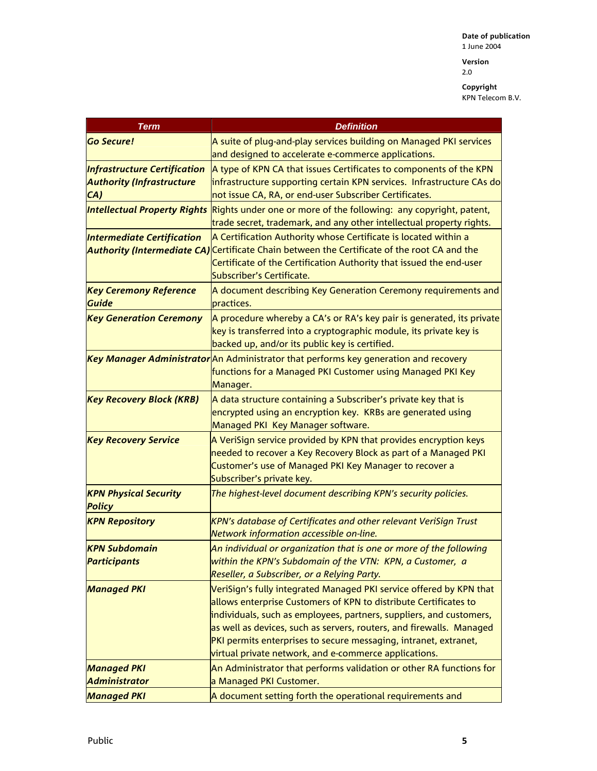2.0

| <b>Term</b>                            | <b>Definition</b>                                                                                                                        |
|----------------------------------------|------------------------------------------------------------------------------------------------------------------------------------------|
| <b>Go Secure!</b>                      | A suite of plug-and-play services building on Managed PKI services                                                                       |
|                                        | and designed to accelerate e-commerce applications.                                                                                      |
| <b>Infrastructure Certification</b>    | A type of KPN CA that issues Certificates to components of the KPN                                                                       |
| <b>Authority (Infrastructure</b>       | infrastructure supporting certain KPN services. Infrastructure CAs do                                                                    |
| CA)                                    | not issue CA, RA, or end-user Subscriber Certificates.                                                                                   |
| <b>Intellectual Property Rights</b>    | Rights under one or more of the following: any copyright, patent,                                                                        |
|                                        | trade secret, trademark, and any other intellectual property rights.                                                                     |
| <b>Intermediate Certification</b>      | A Certification Authority whose Certificate is located within a                                                                          |
|                                        | Authority (Intermediate CA) Certificate Chain between the Certificate of the root CA and the                                             |
|                                        | Certificate of the Certification Authority that issued the end-user                                                                      |
|                                        | Subscriber's Certificate.                                                                                                                |
| <b>Key Ceremony Reference</b><br>Guide | A document describing Key Generation Ceremony requirements and<br>practices.                                                             |
| <b>Key Generation Ceremony</b>         | A procedure whereby a CA's or RA's key pair is generated, its private                                                                    |
|                                        | key is transferred into a cryptographic module, its private key is                                                                       |
|                                        | backed up, and/or its public key is certified.                                                                                           |
|                                        | Key Manager Administrator An Administrator that performs key generation and recovery                                                     |
|                                        | functions for a Managed PKI Customer using Managed PKI Key                                                                               |
|                                        | Manager.                                                                                                                                 |
| <b>Key Recovery Block (KRB)</b>        | A data structure containing a Subscriber's private key that is<br>encrypted using an encryption key. KRBs are generated using            |
|                                        | Managed PKI Key Manager software.                                                                                                        |
| <b>Key Recovery Service</b>            | A VeriSign service provided by KPN that provides encryption keys                                                                         |
|                                        | needed to recover a Key Recovery Block as part of a Managed PKI                                                                          |
|                                        | Customer's use of Managed PKI Key Manager to recover a                                                                                   |
|                                        | Subscriber's private key.                                                                                                                |
| <b>KPN Physical Security</b>           | The highest-level document describing KPN's security policies.                                                                           |
| <b>Policy</b>                          |                                                                                                                                          |
| <b>KPN Repository</b>                  | KPN's database of Certificates and other relevant VeriSign Trust                                                                         |
|                                        | Network information accessible on-line.                                                                                                  |
| <b>KPN Subdomain</b>                   | An individual or organization that is one or more of the following                                                                       |
| <b>Participants</b>                    | within the KPN's Subdomain of the VTN: KPN, a Customer, a                                                                                |
|                                        | Reseller, a Subscriber, or a Relying Party.                                                                                              |
| <b>Managed PKI</b>                     | VeriSign's fully integrated Managed PKI service offered by KPN that                                                                      |
|                                        | allows enterprise Customers of KPN to distribute Certificates to                                                                         |
|                                        | individuals, such as employees, partners, suppliers, and customers,                                                                      |
|                                        | as well as devices, such as servers, routers, and firewalls. Managed<br>PKI permits enterprises to secure messaging, intranet, extranet, |
|                                        | virtual private network, and e-commerce applications.                                                                                    |
| <b>Managed PKI</b>                     | An Administrator that performs validation or other RA functions for                                                                      |
| <b>Administrator</b>                   | a Managed PKI Customer.                                                                                                                  |
| <b>Managed PKI</b>                     | A document setting forth the operational requirements and                                                                                |
|                                        |                                                                                                                                          |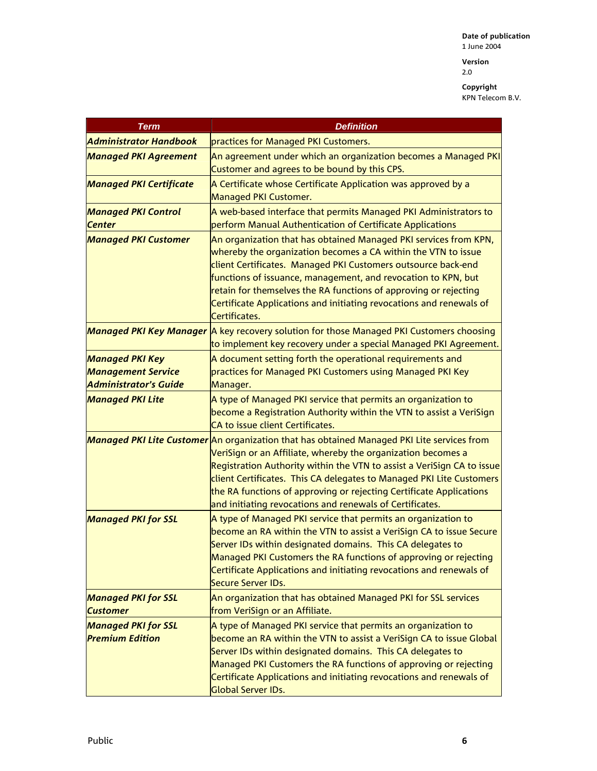**Version**  2.0

| <b>Term</b>                                          | <b>Definition</b>                                                                                                                                                                                                                                                                                                                                                                                                                               |
|------------------------------------------------------|-------------------------------------------------------------------------------------------------------------------------------------------------------------------------------------------------------------------------------------------------------------------------------------------------------------------------------------------------------------------------------------------------------------------------------------------------|
| <b>Administrator Handbook</b>                        | practices for Managed PKI Customers.                                                                                                                                                                                                                                                                                                                                                                                                            |
| <b>Managed PKI Agreement</b>                         | An agreement under which an organization becomes a Managed PKI<br>Customer and agrees to be bound by this CPS.                                                                                                                                                                                                                                                                                                                                  |
| <b>Managed PKI Certificate</b>                       | A Certificate whose Certificate Application was approved by a<br>Managed PKI Customer.                                                                                                                                                                                                                                                                                                                                                          |
| <b>Managed PKI Control</b><br><b>Center</b>          | A web-based interface that permits Managed PKI Administrators to<br>perform Manual Authentication of Certificate Applications                                                                                                                                                                                                                                                                                                                   |
| <b>Managed PKI Customer</b>                          | An organization that has obtained Managed PKI services from KPN,<br>whereby the organization becomes a CA within the VTN to issue<br>client Certificates. Managed PKI Customers outsource back-end<br>functions of issuance, management, and revocation to KPN, but<br>retain for themselves the RA functions of approving or rejecting<br>Certificate Applications and initiating revocations and renewals of<br>Certificates.                 |
|                                                      | Managed PKI Key Manager A key recovery solution for those Managed PKI Customers choosing<br>to implement key recovery under a special Managed PKI Agreement.                                                                                                                                                                                                                                                                                    |
| <b>Managed PKI Key</b>                               | A document setting forth the operational requirements and                                                                                                                                                                                                                                                                                                                                                                                       |
| <b>Management Service</b>                            | practices for Managed PKI Customers using Managed PKI Key                                                                                                                                                                                                                                                                                                                                                                                       |
| <b>Administrator's Guide</b>                         | Manager.                                                                                                                                                                                                                                                                                                                                                                                                                                        |
| <b>Managed PKI Lite</b>                              | A type of Managed PKI service that permits an organization to<br>become a Registration Authority within the VTN to assist a VeriSign<br>CA to issue client Certificates.                                                                                                                                                                                                                                                                        |
|                                                      | Managed PKI Lite Customer An organization that has obtained Managed PKI Lite services from<br>VeriSign or an Affiliate, whereby the organization becomes a<br>Registration Authority within the VTN to assist a VeriSign CA to issue<br>client Certificates. This CA delegates to Managed PKI Lite Customers<br>the RA functions of approving or rejecting Certificate Applications<br>and initiating revocations and renewals of Certificates. |
| <b>Managed PKI for SSL</b>                           | A type of Managed PKI service that permits an organization to<br>become an RA within the VTN to assist a VeriSign CA to issue Secure<br>Server IDs within designated domains. This CA delegates to<br>Managed PKI Customers the RA functions of approving or rejecting<br>Certificate Applications and initiating revocations and renewals of<br><b>Secure Server IDs.</b>                                                                      |
| <b>Managed PKI for SSL</b><br><b>Customer</b>        | An organization that has obtained Managed PKI for SSL services<br>from VeriSign or an Affiliate.                                                                                                                                                                                                                                                                                                                                                |
| <b>Managed PKI for SSL</b><br><b>Premium Edition</b> | A type of Managed PKI service that permits an organization to<br>become an RA within the VTN to assist a VeriSign CA to issue Global<br>Server IDs within designated domains. This CA delegates to<br>Managed PKI Customers the RA functions of approving or rejecting<br>Certificate Applications and initiating revocations and renewals of<br>Global Server IDs.                                                                             |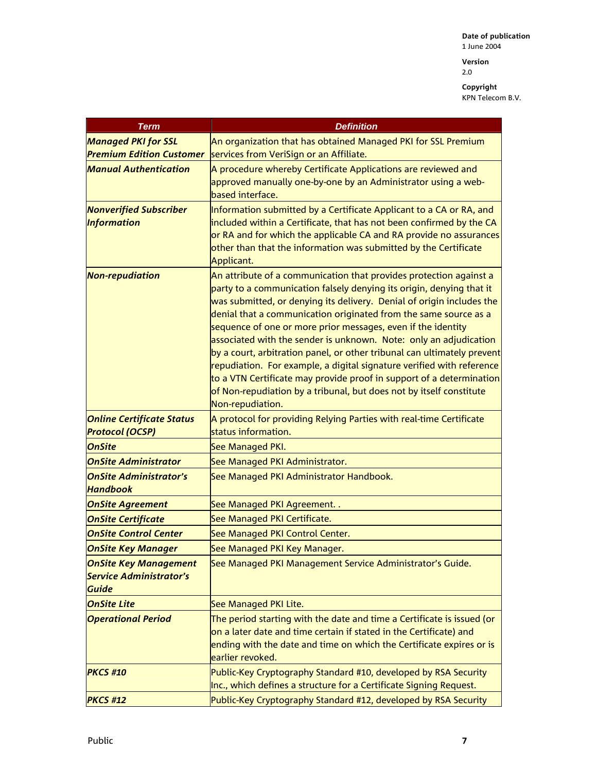2.0

| <b>Term</b>                                                                    | <b>Definition</b>                                                                                                                                                                                                                                                                                                                                                                                                                                                                                                                                                                                                                                                                                                                                   |
|--------------------------------------------------------------------------------|-----------------------------------------------------------------------------------------------------------------------------------------------------------------------------------------------------------------------------------------------------------------------------------------------------------------------------------------------------------------------------------------------------------------------------------------------------------------------------------------------------------------------------------------------------------------------------------------------------------------------------------------------------------------------------------------------------------------------------------------------------|
| <b>Managed PKI for SSL</b>                                                     | An organization that has obtained Managed PKI for SSL Premium                                                                                                                                                                                                                                                                                                                                                                                                                                                                                                                                                                                                                                                                                       |
| <b>Premium Edition Customer</b>                                                | services from VeriSign or an Affiliate.                                                                                                                                                                                                                                                                                                                                                                                                                                                                                                                                                                                                                                                                                                             |
| <b>Manual Authentication</b>                                                   | A procedure whereby Certificate Applications are reviewed and<br>approved manually one-by-one by an Administrator using a web-<br>based interface.                                                                                                                                                                                                                                                                                                                                                                                                                                                                                                                                                                                                  |
| <b>Nonverified Subscriber</b>                                                  | Information submitted by a Certificate Applicant to a CA or RA, and                                                                                                                                                                                                                                                                                                                                                                                                                                                                                                                                                                                                                                                                                 |
| <b>Information</b>                                                             | included within a Certificate, that has not been confirmed by the CA<br>or RA and for which the applicable CA and RA provide no assurances<br>other than that the information was submitted by the Certificate<br>Applicant.                                                                                                                                                                                                                                                                                                                                                                                                                                                                                                                        |
| <b>Non-repudiation</b>                                                         | An attribute of a communication that provides protection against a<br>party to a communication falsely denying its origin, denying that it<br>was submitted, or denying its delivery. Denial of origin includes the<br>denial that a communication originated from the same source as a<br>sequence of one or more prior messages, even if the identity<br>associated with the sender is unknown. Note: only an adjudication<br>by a court, arbitration panel, or other tribunal can ultimately prevent<br>repudiation. For example, a digital signature verified with reference<br>to a VTN Certificate may provide proof in support of a determination<br>of Non-repudiation by a tribunal, but does not by itself constitute<br>Non-repudiation. |
| <b>Online Certificate Status</b>                                               | A protocol for providing Relying Parties with real-time Certificate                                                                                                                                                                                                                                                                                                                                                                                                                                                                                                                                                                                                                                                                                 |
| <b>Protocol (OCSP)</b>                                                         | status information.                                                                                                                                                                                                                                                                                                                                                                                                                                                                                                                                                                                                                                                                                                                                 |
| <b>OnSite</b>                                                                  | See Managed PKI.                                                                                                                                                                                                                                                                                                                                                                                                                                                                                                                                                                                                                                                                                                                                    |
| <b>OnSite Administrator</b>                                                    | See Managed PKI Administrator.                                                                                                                                                                                                                                                                                                                                                                                                                                                                                                                                                                                                                                                                                                                      |
| <b>OnSite Administrator's</b><br><b>Handbook</b>                               | See Managed PKI Administrator Handbook.                                                                                                                                                                                                                                                                                                                                                                                                                                                                                                                                                                                                                                                                                                             |
| <b>OnSite Agreement</b>                                                        | See Managed PKI Agreement                                                                                                                                                                                                                                                                                                                                                                                                                                                                                                                                                                                                                                                                                                                           |
| <b>OnSite Certificate</b>                                                      | See Managed PKI Certificate.                                                                                                                                                                                                                                                                                                                                                                                                                                                                                                                                                                                                                                                                                                                        |
| <b>OnSite Control Center</b>                                                   | See Managed PKI Control Center.                                                                                                                                                                                                                                                                                                                                                                                                                                                                                                                                                                                                                                                                                                                     |
| <b>OnSite Key Manager</b>                                                      | See Managed PKI Key Manager.                                                                                                                                                                                                                                                                                                                                                                                                                                                                                                                                                                                                                                                                                                                        |
| <b>OnSite Key Management</b><br><b>Service Administrator's</b><br><b>Guide</b> | See Managed PKI Management Service Administrator's Guide.                                                                                                                                                                                                                                                                                                                                                                                                                                                                                                                                                                                                                                                                                           |
| <b>OnSite Lite</b>                                                             | See Managed PKI Lite.                                                                                                                                                                                                                                                                                                                                                                                                                                                                                                                                                                                                                                                                                                                               |
| <b>Operational Period</b>                                                      | The period starting with the date and time a Certificate is issued (or<br>on a later date and time certain if stated in the Certificate) and<br>ending with the date and time on which the Certificate expires or is<br>earlier revoked.                                                                                                                                                                                                                                                                                                                                                                                                                                                                                                            |
| <b>PKCS #10</b>                                                                | Public-Key Cryptography Standard #10, developed by RSA Security<br>Inc., which defines a structure for a Certificate Signing Request.                                                                                                                                                                                                                                                                                                                                                                                                                                                                                                                                                                                                               |
| <b>PKCS #12</b>                                                                | Public-Key Cryptography Standard #12, developed by RSA Security                                                                                                                                                                                                                                                                                                                                                                                                                                                                                                                                                                                                                                                                                     |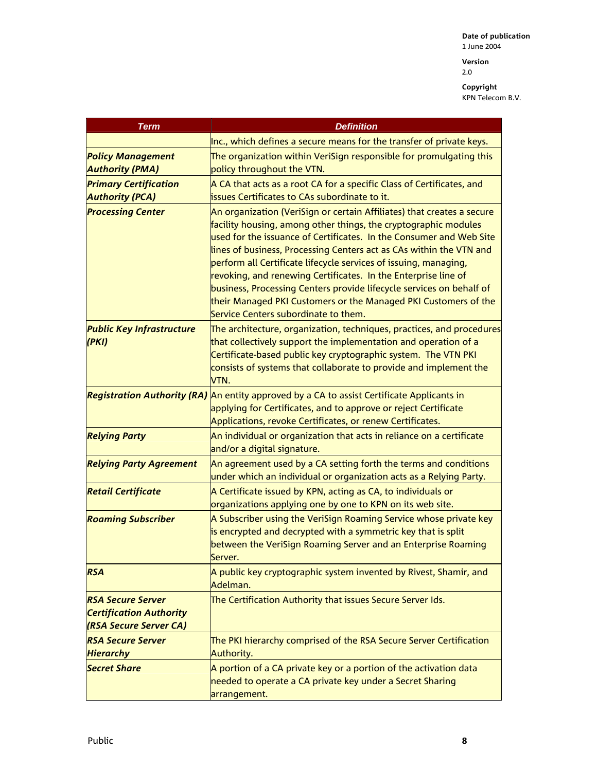2.0

| <b>Term</b>                                                                          | <b>Definition</b>                                                                                                                                                                                                                                                                                                                                                                                                                                                                                                                                                                                                |
|--------------------------------------------------------------------------------------|------------------------------------------------------------------------------------------------------------------------------------------------------------------------------------------------------------------------------------------------------------------------------------------------------------------------------------------------------------------------------------------------------------------------------------------------------------------------------------------------------------------------------------------------------------------------------------------------------------------|
|                                                                                      | Inc., which defines a secure means for the transfer of private keys.                                                                                                                                                                                                                                                                                                                                                                                                                                                                                                                                             |
| <b>Policy Management</b><br><b>Authority (PMA)</b>                                   | The organization within VeriSign responsible for promulgating this<br>policy throughout the VTN.                                                                                                                                                                                                                                                                                                                                                                                                                                                                                                                 |
| <b>Primary Certification</b>                                                         | A CA that acts as a root CA for a specific Class of Certificates, and                                                                                                                                                                                                                                                                                                                                                                                                                                                                                                                                            |
| <b>Authority (PCA)</b>                                                               | issues Certificates to CAs subordinate to it.                                                                                                                                                                                                                                                                                                                                                                                                                                                                                                                                                                    |
| <b>Processing Center</b>                                                             | An organization (VeriSign or certain Affiliates) that creates a secure<br>facility housing, among other things, the cryptographic modules<br>used for the issuance of Certificates. In the Consumer and Web Site<br>lines of business, Processing Centers act as CAs within the VTN and<br>perform all Certificate lifecycle services of issuing, managing,<br>revoking, and renewing Certificates. In the Enterprise line of<br>business, Processing Centers provide lifecycle services on behalf of<br>their Managed PKI Customers or the Managed PKI Customers of the<br>Service Centers subordinate to them. |
| <b>Public Key Infrastructure</b><br>(PKI)                                            | The architecture, organization, techniques, practices, and procedures<br>that collectively support the implementation and operation of a<br>Certificate-based public key cryptographic system. The VTN PKI<br>consists of systems that collaborate to provide and implement the<br>VTN.                                                                                                                                                                                                                                                                                                                          |
|                                                                                      | Registration Authority (RA) An entity approved by a CA to assist Certificate Applicants in<br>applying for Certificates, and to approve or reject Certificate<br>Applications, revoke Certificates, or renew Certificates.                                                                                                                                                                                                                                                                                                                                                                                       |
| <b>Relying Party</b>                                                                 | An individual or organization that acts in reliance on a certificate<br>and/or a digital signature.                                                                                                                                                                                                                                                                                                                                                                                                                                                                                                              |
| <b>Relying Party Agreement</b>                                                       | An agreement used by a CA setting forth the terms and conditions<br>under which an individual or organization acts as a Relying Party.                                                                                                                                                                                                                                                                                                                                                                                                                                                                           |
| <b>Retail Certificate</b>                                                            | A Certificate issued by KPN, acting as CA, to individuals or<br>organizations applying one by one to KPN on its web site.                                                                                                                                                                                                                                                                                                                                                                                                                                                                                        |
| <b>Roaming Subscriber</b>                                                            | A Subscriber using the VeriSign Roaming Service whose private key<br>is encrypted and decrypted with a symmetric key that is split<br>between the VeriSign Roaming Server and an Enterprise Roaming<br>Server.                                                                                                                                                                                                                                                                                                                                                                                                   |
| <b>RSA</b>                                                                           | A public key cryptographic system invented by Rivest, Shamir, and<br>Adelman.                                                                                                                                                                                                                                                                                                                                                                                                                                                                                                                                    |
| <b>RSA Secure Server</b><br><b>Certification Authority</b><br>(RSA Secure Server CA) | The Certification Authority that issues Secure Server Ids.                                                                                                                                                                                                                                                                                                                                                                                                                                                                                                                                                       |
| <b>RSA Secure Server</b><br><b>Hierarchy</b>                                         | The PKI hierarchy comprised of the RSA Secure Server Certification<br>Authority.                                                                                                                                                                                                                                                                                                                                                                                                                                                                                                                                 |
| <b>Secret Share</b>                                                                  | A portion of a CA private key or a portion of the activation data<br>needed to operate a CA private key under a Secret Sharing<br>arrangement.                                                                                                                                                                                                                                                                                                                                                                                                                                                                   |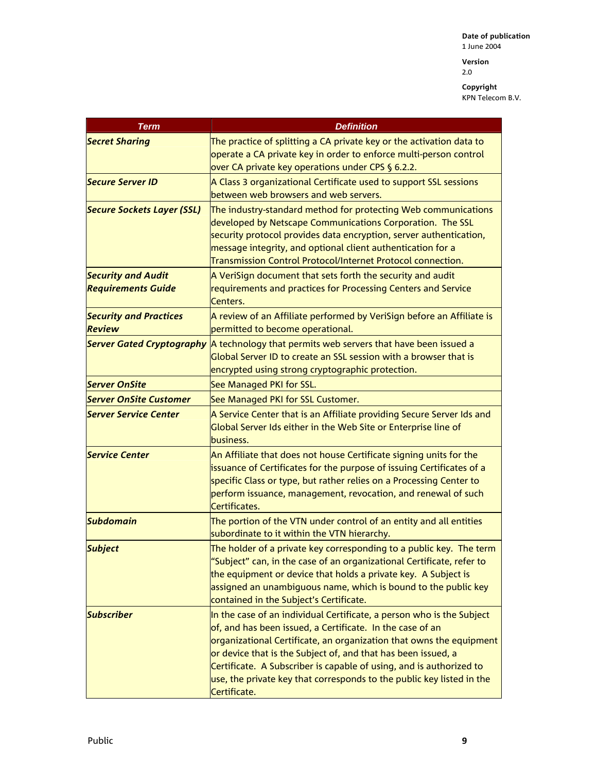**Version**  2.0

| Term                                                   | <b>Definition</b>                                                                                                                                                                                                                                                                                                                                                                                                                          |
|--------------------------------------------------------|--------------------------------------------------------------------------------------------------------------------------------------------------------------------------------------------------------------------------------------------------------------------------------------------------------------------------------------------------------------------------------------------------------------------------------------------|
| <b>Secret Sharing</b>                                  | The practice of splitting a CA private key or the activation data to<br>operate a CA private key in order to enforce multi-person control<br>over CA private key operations under CPS § 6.2.2.                                                                                                                                                                                                                                             |
| <b>Secure Server ID</b>                                | A Class 3 organizational Certificate used to support SSL sessions<br>between web browsers and web servers.                                                                                                                                                                                                                                                                                                                                 |
| <b>Secure Sockets Layer (SSL)</b>                      | The industry-standard method for protecting Web communications<br>developed by Netscape Communications Corporation. The SSL<br>security protocol provides data encryption, server authentication,<br>message integrity, and optional client authentication for a<br>Transmission Control Protocol/Internet Protocol connection.                                                                                                            |
| <b>Security and Audit</b><br><b>Requirements Guide</b> | A VeriSign document that sets forth the security and audit<br>requirements and practices for Processing Centers and Service<br>Centers.                                                                                                                                                                                                                                                                                                    |
| <b>Security and Practices</b><br><b>Review</b>         | A review of an Affiliate performed by VeriSign before an Affiliate is<br>permitted to become operational.                                                                                                                                                                                                                                                                                                                                  |
|                                                        | Server Gated Cryptography A technology that permits web servers that have been issued a<br>Global Server ID to create an SSL session with a browser that is<br>encrypted using strong cryptographic protection.                                                                                                                                                                                                                            |
| <b>Server OnSite</b>                                   | See Managed PKI for SSL.                                                                                                                                                                                                                                                                                                                                                                                                                   |
| <b>Server OnSite Customer</b>                          | See Managed PKI for SSL Customer.                                                                                                                                                                                                                                                                                                                                                                                                          |
| <b>Server Service Center</b>                           | A Service Center that is an Affiliate providing Secure Server Ids and<br>Global Server Ids either in the Web Site or Enterprise line of<br>business.                                                                                                                                                                                                                                                                                       |
| <b>Service Center</b>                                  | An Affiliate that does not house Certificate signing units for the<br>issuance of Certificates for the purpose of issuing Certificates of a<br>specific Class or type, but rather relies on a Processing Center to<br>perform issuance, management, revocation, and renewal of such<br>Certificates.                                                                                                                                       |
| <b>Subdomain</b>                                       | The portion of the VTN under control of an entity and all entities<br>subordinate to it within the VTN hierarchy.                                                                                                                                                                                                                                                                                                                          |
| <b>Subject</b>                                         | The holder of a private key corresponding to a public key. The term<br>"Subject" can, in the case of an organizational Certificate, refer to<br>the equipment or device that holds a private key. A Subject is<br>assigned an unambiguous name, which is bound to the public key<br>contained in the Subject's Certificate.                                                                                                                |
| <b>Subscriber</b>                                      | In the case of an individual Certificate, a person who is the Subject<br>of, and has been issued, a Certificate. In the case of an<br>organizational Certificate, an organization that owns the equipment<br>or device that is the Subject of, and that has been issued, a<br>Certificate. A Subscriber is capable of using, and is authorized to<br>use, the private key that corresponds to the public key listed in the<br>Certificate. |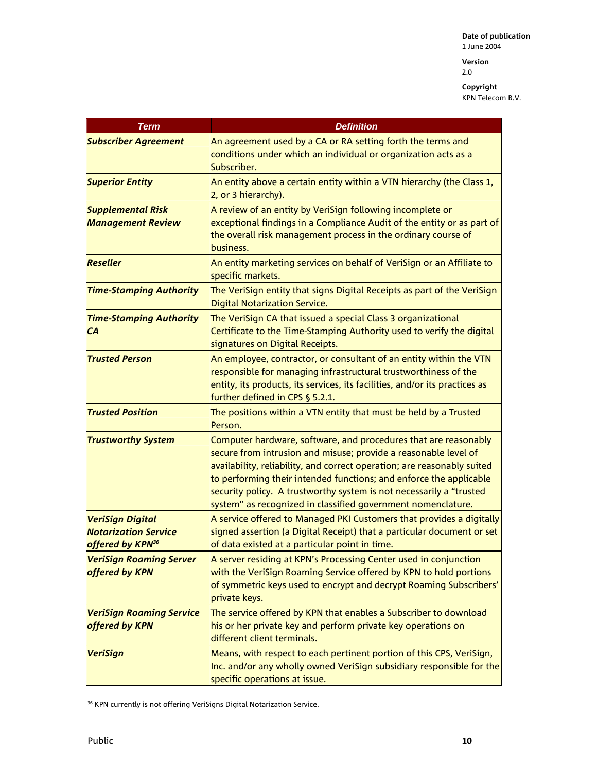**Version**  2.0

| <b>Term</b>                                                 | <b>Definition</b>                                                                                                                                                                                                                                                                                                                                                                                                          |
|-------------------------------------------------------------|----------------------------------------------------------------------------------------------------------------------------------------------------------------------------------------------------------------------------------------------------------------------------------------------------------------------------------------------------------------------------------------------------------------------------|
| <b>Subscriber Agreement</b>                                 | An agreement used by a CA or RA setting forth the terms and<br>conditions under which an individual or organization acts as a<br>Subscriber.                                                                                                                                                                                                                                                                               |
| <b>Superior Entity</b>                                      | An entity above a certain entity within a VTN hierarchy (the Class 1,<br>2, or 3 hierarchy).                                                                                                                                                                                                                                                                                                                               |
| <b>Supplemental Risk</b><br><b>Management Review</b>        | A review of an entity by VeriSign following incomplete or<br>exceptional findings in a Compliance Audit of the entity or as part of<br>the overall risk management process in the ordinary course of<br>business.                                                                                                                                                                                                          |
| <b>Reseller</b>                                             | An entity marketing services on behalf of VeriSign or an Affiliate to<br>specific markets.                                                                                                                                                                                                                                                                                                                                 |
| <b>Time-Stamping Authority</b>                              | The VeriSign entity that signs Digital Receipts as part of the VeriSign<br>Digital Notarization Service.                                                                                                                                                                                                                                                                                                                   |
| <b>Time-Stamping Authority</b><br>CA                        | The VeriSign CA that issued a special Class 3 organizational<br>Certificate to the Time-Stamping Authority used to verify the digital<br>signatures on Digital Receipts.                                                                                                                                                                                                                                                   |
| <b>Trusted Person</b>                                       | An employee, contractor, or consultant of an entity within the VTN<br>responsible for managing infrastructural trustworthiness of the<br>entity, its products, its services, its facilities, and/or its practices as<br>further defined in CPS $\S$ 5.2.1.                                                                                                                                                                 |
| <b>Trusted Position</b>                                     | The positions within a VTN entity that must be held by a Trusted<br>Person.                                                                                                                                                                                                                                                                                                                                                |
| <b>Trustworthy System</b>                                   | Computer hardware, software, and procedures that are reasonably<br>secure from intrusion and misuse; provide a reasonable level of<br>availability, reliability, and correct operation; are reasonably suited<br>to performing their intended functions; and enforce the applicable<br>security policy. A trustworthy system is not necessarily a "trusted<br>system" as recognized in classified government nomenclature. |
| <b>VeriSign Digital</b>                                     | A service offered to Managed PKI Customers that provides a digitally                                                                                                                                                                                                                                                                                                                                                       |
| <b>Notarization Service</b><br>offered by KPN <sup>36</sup> | signed assertion (a Digital Receipt) that a particular document or set<br>of data existed at a particular point in time.                                                                                                                                                                                                                                                                                                   |
| <b>VeriSign Roaming Server</b><br>offered by KPN            | A server residing at KPN's Processing Center used in conjunction<br>with the VeriSign Roaming Service offered by KPN to hold portions<br>of symmetric keys used to encrypt and decrypt Roaming Subscribers'<br>private keys.                                                                                                                                                                                               |
| <b>VeriSign Roaming Service</b><br>offered by KPN           | The service offered by KPN that enables a Subscriber to download<br>his or her private key and perform private key operations on<br>different client terminals.                                                                                                                                                                                                                                                            |
| <b>VeriSign</b>                                             | Means, with respect to each pertinent portion of this CPS, VeriSign,<br>Inc. and/or any wholly owned VeriSign subsidiary responsible for the<br>specific operations at issue.                                                                                                                                                                                                                                              |

l <sup>36</sup> KPN currently is not offering VeriSigns Digital Notarization Service.